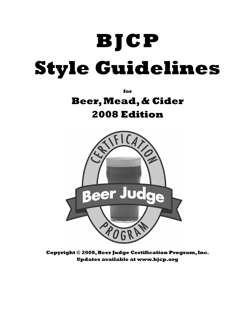# **BJCP Style Guidelines**



**Copyright © 2008, Beer Judge Certification Program, Inc. Updates available at www.bjcp.org**

 $\overline{GR}$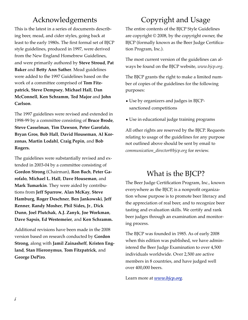# Acknowledgements

This is the latest in a series of documents describing beer, mead, and cider styles, going back at least to the early 1980s. The first formal set of BJCP style guidelines, produced in 1997, were derived from the New England Homebrew Guidelines, and were primarily authored by **Steve Stroud**, **Pat Baker** and **Betty Ann Sather**. Mead guidelines were added to the 1997 Guidelines based on the work of a committee comprised of **Tom Fitzpatrick**, **Steve Dempsey**, **Michael Hall**, **Dan McConnell**, **Ken Schramm**, **Ted Major** and **John Carlson**.

The 1997 guidelines were revised and extended in 1998-99 by a committee consisting of **Bruce Brode**, **Steve Casselman**, **Tim Dawson**, **Peter Garofalo**, **Bryan Gros**, **Bob Hall**, **David Houseman**, **Al Korzonas**, **Martin Lodahl**, **Craig Pepin**, and **Bob Rogers.**

The guidelines were substantially revised and extended in 2003-04 by a committee consisting of **Gordon Strong** (Chairman), **Ron Bach**, **Peter Garofalo**, **Michael L. Hall**, **Dave Houseman**, and **Mark Tumarkin**. They were aided by contributions from **Jeff Sparrow**, **Alan McKay**, **Steve Hamburg**, **Roger Deschner**, **Ben Jankowski**, **Jeff Renner**, **Randy Mosher**, **Phil Sides, Jr**., **Dick Dunn**, **Joel Plutchak**, **A.J. Zanyk**, **Joe Workman**, **Dave Sapsis**, **Ed Westemeier**, and **Ken Schramm.**

Additional revisions have been made in the 2008 version based on research conducted by **Gordon Strong**, along with **Jamil Zainasheff**, **Kristen England**, **Stan Hieronymus**, **Tom Fitzpatrick**, and **George DePiro**.

# Copyright and Usage

The entire contents of the BJCP Style Guidelines are copyright © 2008, by the copyright owner, the BJCP (formally known as the Beer Judge Certification Program, Inc.).

The most current version of the guidelines can always be found on the BJCP website, *[www.bjcp.org](http://www.bjcp.org)*.

The BJCP grants the right to make a limited number of copies of the guidelines for the following purposes:

- Use by organizers and judges in BJCPsanctioned competitions
- Use in educational judge training programs

All other rights are reserved by the BJCP. Requests relating to usage of the guidelines for any purpose not outlined above should be sent by email to *[communication\\_director@bjcp.org](mailto:communication_director@bjcp.org)* for review.

# What is the BJCP?

The Beer Judge Certification Program, Inc., known everywhere as the BJCP, is a nonprofit organization whose purpose is to promote beer literacy and the appreciation of real beer, and to recognize beer tasting and evaluation skills. We certify and rank beer judges through an examination and monitoring process.

The BJCP was founded in 1985. As of early 2008 when this edition was published, we have administered the Beer Judge Examination to over 4,500 individuals worldwide. Over 2,500 are active members in 8 countries, and have judged well over 400,000 beers.

Learn more at *[www.bjcp.org](http://www.bjcp.org)*.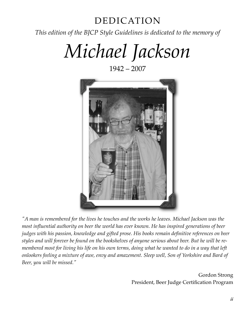# DEDICATION

*This edition of the BJCP Style Guidelines is dedicated to the memory of*

*Michael Jackson*

1942 – 2007



*"A man is remembered for the lives he touches and the works he leaves. Michael Jackson was the most influential authority on beer the world has ever known. He has inspired generations of beer judges with his passion, knowledge and gifted prose. His books remain definitive references on beer styles and will forever be found on the bookshelves of anyone serious about beer. But he will be remembered most for living his life on his own terms, doing what he wanted to do in a way that left onlookers feeling a mixture of awe, envy and amazement. Sleep well, Son of Yorkshire and Bard of Beer, you will be missed."*

> Gordon Strong President, Beer Judge Certification Program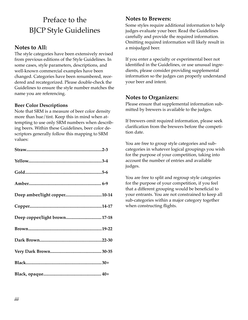# Preface to the BJCP Style Guidelines

# **Notes to All:**

The style categories have been extensively revised from previous editions of the Style Guidelines. In some cases, style parameters, descriptions, and well-known commercial examples have been changed. Categories have been renumbered, reordered and recategorized. Please double-check the Guidelines to ensure the style number matches the name you are referencing.

## **Beer Color Descriptions**

Note that SRM is a measure of beer color density more than hue/tint. Keep this in mind when attempting to use only SRM numbers when describing beers. Within these Guidelines, beer color descriptors generally follow this mapping to SRM values:

| Deep amber/light copper10-14 |  |
|------------------------------|--|
|                              |  |
| Deep copper/light brown17-18 |  |
|                              |  |
|                              |  |
|                              |  |
|                              |  |
|                              |  |

## **Notes to Brewers:**

Some styles require additional information to help judges evaluate your beer. Read the Guidelines carefully and provide the required information. Omitting required information will likely result in a misjudged beer.

If you enter a specialty or experimental beer not identified in the Guidelines, or use unusual ingredients, please consider providing supplemental information so the judges can properly understand your beer and intent.

# **Notes to Organizers:**

Please ensure that supplemental information submitted by brewers is available to the judges.

If brewers omit required information, please seek clarification from the brewers before the competition date.

You are free to group style categories and subcategories in whatever logical groupings you wish for the purpose of your competition, taking into account the number of entries and available judges.

You are free to split and regroup style categories for the purpose of your competition, if you feel that a different grouping would be beneficial to your entrants. You are not constrained to keep all sub-categories within a major category together when constructing flights.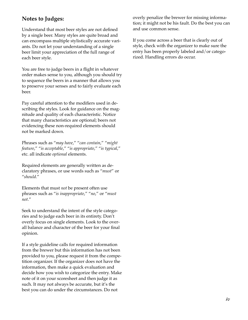# **Notes to Judges:**

Understand that most beer styles are not defined by a single beer. Many styles are quite broad and can encompass multiple stylistically accurate variants. Do not let your understanding of a single beer limit your appreciation of the full range of each beer style.

You are free to judge beers in a flight in whatever order makes sense to you, although you should try to sequence the beers in a manner that allows you to preserve your senses and to fairly evaluate each beer.

Pay careful attention to the modifiers used in describing the styles. Look for guidance on the magnitude and quality of each characteristic. Notice that many characteristics are optional; beers not evidencing these non-required elements should not be marked down.

Phrases such as "*may have*," "*can contain*," "*might feature*," "*is acceptable*," "*is appropriate*," "*is typical*," etc. all indicate *optional* elements.

Required elements are generally written as declaratory phrases, or use words such as "*must*" or "*should*."

Elements that must *not* be present often use phrases such as "*is inappropriate*," "*no*," or "*must not*."

Seek to understand the intent of the style categories and to judge each beer in its entirety. Don't overly focus on single elements. Look to the overall balance and character of the beer for your final opinion.

If a style guideline calls for required information from the brewer but this information has not been provided to you, please request it from the competition organizer. If the organizer does not have the information, then make a quick evaluation and decide how you wish to categorize the entry. Make note of it on your scoresheet and then judge it as such. It may not always be accurate, but it's the best you can do under the circumstances. Do not

overly penalize the brewer for missing information; it might not be his fault. Do the best you can and use common sense.

If you come across a beer that is clearly out of style, check with the organizer to make sure the entry has been properly labeled and/or categorized. Handling errors do occur.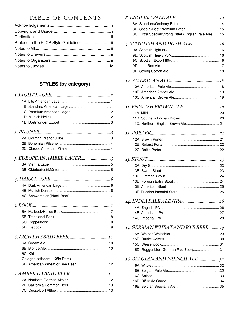# TABLE OF CONTENTS

# **STYLES (by category)**

| 8C. Extra Special/Strong Bitter (English Pale Ale) 15 |  |
|-------------------------------------------------------|--|
|                                                       |  |
| 9. SCOTTISH AND IRISH ALE 16                          |  |
|                                                       |  |
|                                                       |  |
|                                                       |  |
|                                                       |  |
|                                                       |  |
|                                                       |  |
|                                                       |  |
|                                                       |  |
|                                                       |  |
|                                                       |  |
|                                                       |  |
|                                                       |  |
|                                                       |  |
|                                                       |  |
|                                                       |  |
|                                                       |  |
|                                                       |  |
|                                                       |  |
|                                                       |  |
|                                                       |  |
|                                                       |  |
|                                                       |  |
|                                                       |  |
|                                                       |  |
|                                                       |  |
|                                                       |  |
|                                                       |  |
|                                                       |  |
|                                                       |  |
| 15. GERMAN WHEAT AND RYE BEER 29                      |  |
|                                                       |  |
|                                                       |  |
|                                                       |  |
| 15D. Roggenbier (German Rye Beer)31                   |  |
| 16. BELGIAN AND FRENCH ALE32                          |  |
|                                                       |  |
|                                                       |  |
|                                                       |  |
|                                                       |  |
|                                                       |  |
|                                                       |  |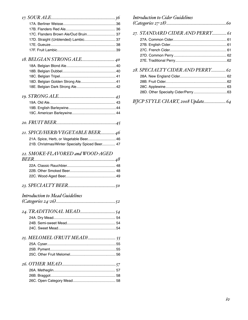| 17C. Flanders Brown Ale/Oud Bruin 37           |  |
|------------------------------------------------|--|
| 17D. Straight (Unblended) Lambic 37            |  |
|                                                |  |
|                                                |  |
|                                                |  |
|                                                |  |
|                                                |  |
|                                                |  |
|                                                |  |
|                                                |  |
|                                                |  |
|                                                |  |
|                                                |  |
|                                                |  |
|                                                |  |
|                                                |  |
|                                                |  |
| 21. SPICE/HERB/VEGETABLE BEER 46               |  |
| 21A. Spice, Herb, or Vegetable Beer 46         |  |
| 21B. Christmas/Winter Specialty Spiced Beer 47 |  |
|                                                |  |
| 22. SMOKE-FLAVORED and WOOD-AGED               |  |
| <b>BEER</b>                                    |  |
|                                                |  |
|                                                |  |
|                                                |  |
|                                                |  |
|                                                |  |
| <b>Introduction to Mead Guidelines</b>         |  |
|                                                |  |
|                                                |  |
|                                                |  |
|                                                |  |
|                                                |  |
|                                                |  |
|                                                |  |
|                                                |  |
|                                                |  |
|                                                |  |
|                                                |  |
|                                                |  |
|                                                |  |

| <b>Introduction to Cider Guidelines</b> |  |
|-----------------------------------------|--|
|                                         |  |

| 27. STANDARD CIDER AND PERRY 61  |  |
|----------------------------------|--|
|                                  |  |
|                                  |  |
|                                  |  |
|                                  |  |
|                                  |  |
| 28. SPECIALTY CIDER AND PERRY 62 |  |
|                                  |  |
|                                  |  |
|                                  |  |
|                                  |  |
|                                  |  |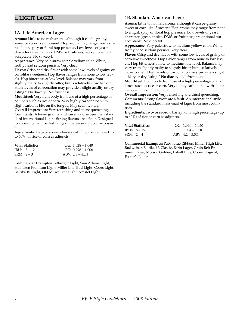## <span id="page-7-0"></span>**1. LIGHT LAGER**

#### <span id="page-7-1"></span>**1A. Lite American Lager**

**Aroma:** Little to no malt aroma, although it can be grainy, sweet or corn-like if present. Hop aroma may range from none to a light, spicy or floral hop presence. Low levels of yeast character (green apples, DMS, or fruitiness) are optional but acceptable. No diacetyl.

**Appearance:** Very pale straw to pale yellow color. White, frothy head seldom persists. Very clear.

**Flavor:** Crisp and dry flavor with some low levels of grainy or corn-like sweetness. Hop flavor ranges from none to low levels. Hop bitterness at low level. Balance may vary from slightly malty to slightly bitter, but is relatively close to even. High levels of carbonation may provide a slight acidity or dry "sting." No diacetyl. No fruitiness.

**Mouthfeel:** Very light body from use of a high percentage of adjuncts such as rice or corn. Very highly carbonated with slight carbonic bite on the tongue. May seem watery.

**Overall Impression:** Very refreshing and thirst quenching. **Comments:** A lower gravity and lower calorie beer than standard international lagers. Strong flavors are a fault. Designed to appeal to the broadest range of the general public as possible.

**Ingredients:** Two- or six-row barley with high percentage (up to 40%) of rice or corn as adjuncts.

| <b>Vital Statistics:</b> | $OG: 1.028 - 1.040$ |
|--------------------------|---------------------|
| <b>IBUs:</b> $8-12$      | FG: $0.998 - 1.008$ |
| SRM: $2-3$               | ABV: $2.8 - 4.2\%$  |

**Commercial Examples:** Bitburger Light, Sam Adams Light, Heineken Premium Light, Miller Lite, Bud Light, Coors Light, Baltika #1 Light, Old Milwaukee Light, Amstel Light

#### <span id="page-7-2"></span>**1B. Standard American Lager**

**Aroma:** Little to no malt aroma, although it can be grainy, sweet or corn-like if present. Hop aroma may range from none to a light, spicy or floral hop presence. Low levels of yeast character (green apples, DMS, or fruitiness) are optional but acceptable. No diacetyl.

**Appearance:** Very pale straw to medium yellow color. White, frothy head seldom persists. Very clear.

**Flavor:** Crisp and dry flavor with some low levels of grainy or corn-like sweetness. Hop flavor ranges from none to low levels. Hop bitterness at low to medium-low level. Balance may vary from slightly malty to slightly bitter, but is relatively close to even. High levels of carbonation may provide a slight acidity or dry "sting." No diacetyl. No fruitiness.

**Mouthfeel:** Light body from use of a high percentage of adjuncts such as rice or corn. Very highly carbonated with slight carbonic bite on the tongue.

**Overall Impression:** Very refreshing and thirst quenching. **Comments:** Strong flavors are a fault. An international style including the standard mass-market lager from most countries.

**Ingredients:** Two- or six-row barley with high percentage (up to 40%) of rice or corn as adjuncts.

| Vital Statistics: | $OG: 1.040 - 1.050$ |
|-------------------|---------------------|
| IBUs: 8–15        | $FG: 1.004 - 1.010$ |
| SRM: 2–4          | ABV: $4.2 - 5.3\%$  |

**Commercial Examples:** Pabst Blue Ribbon, Miller High Life, Budweiser, Baltika #3 Classic, Kirin Lager, Grain Belt Premium Lager, Molson Golden, Labatt Blue, Coors Original, Foster's Lager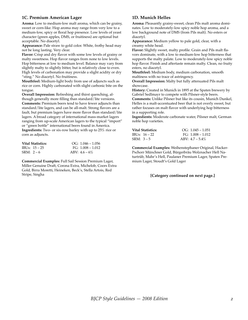#### <span id="page-8-0"></span>**1C. Premium American Lager**

**Aroma:** Low to medium-low malt aroma, which can be grainy, sweet or corn-like. Hop aroma may range from very low to a medium-low, spicy or floral hop presence. Low levels of yeast character (green apples, DMS, or fruitiness) are optional but acceptable. No diacetyl.

**Appearance:** Pale straw to gold color. White, frothy head may not be long lasting. Very clear.

**Flavor:** Crisp and dry flavor with some low levels of grainy or malty sweetness. Hop flavor ranges from none to low levels. Hop bitterness at low to medium level. Balance may vary from slightly malty to slightly bitter, but is relatively close to even. High levels of carbonation may provide a slight acidity or dry "sting." No diacetyl. No fruitiness.

**Mouthfeel:** Medium-light body from use of adjuncts such as rice or corn. Highly carbonated with slight carbonic bite on the tongue.

**Overall Impression:** Refreshing and thirst quenching, although generally more filling than standard/lite versions. **Comments:** Premium beers tend to have fewer adjuncts than standard/lite lagers, and can be all-malt. Strong flavors are a fault, but premium lagers have more flavor than standard/lite lagers. A broad category of international mass-market lagers ranging from up-scale American lagers to the typical "import" or "green bottle" international beers found in America. **Ingredients:** Two- or six-row barley with up to 25% rice or corn as adjuncts.

| <b>Vital Statistics:</b> | $OG: 1.046 - 1.056$ |
|--------------------------|---------------------|
| IBUs: $15-25$            | $FG: 1.008 - 1.012$ |
| $SRM: 2-6$               | ABV: $4.6 - 6\%$    |

**Commercial Examples:** Full Sail Session Premium Lager, Miller Genuine Draft, Corona Extra, Michelob, Coors Extra Gold, Birra Moretti, Heineken, Beck's, Stella Artois, Red Stripe, Singha

#### <span id="page-8-1"></span>**1D. Munich Helles**

**Aroma:** Pleasantly grainy-sweet, clean Pils malt aroma dominates. Low to moderately-low spicy noble hop aroma, and a low background note of DMS (from Pils malt). No esters or diacetyl.

**Appearance:** Medium yellow to pale gold, clear, with a creamy white head.

**Flavor:** Slightly sweet, malty profile. Grain and Pils malt flavors dominate, with a low to medium-low hop bitterness that supports the malty palate. Low to moderately-low spicy noble hop flavor. Finish and aftertaste remain malty. Clean, no fruity esters, no diacetyl.

**Mouthfeel:** Medium body, medium carbonation, smooth maltiness with no trace of astringency.

**Overall Impression:** Malty but fully attenuated Pils malt showcase.

**History:** Created in Munich in 1895 at the Spaten brewery by Gabriel Sedlmayr to compete with Pilsner-style beers.

**Comments:** Unlike Pilsner but like its cousin, Munich Dunkel, Helles is a malt-accentuated beer that is not overly sweet, but rather focuses on malt flavor with underlying hop bitterness in a supporting role.

**Ingredients:** Moderate carbonate water, Pilsner malt, German noble hop varieties.

| Vital Statistics: | $OG: 1.045 - 1.051$ |
|-------------------|---------------------|
| IBUs: 16 – 22     | $FG: 1.008 - 1.012$ |
| SRM: 3–5          | ABV: $4.7-5.4\%$    |

**Commercial Examples:** Weihenstephaner Original, Hacker-Pschorr Münchner Gold, Bürgerbräu Wolznacher Hell Naturtrüb, Mahr's Hell, Paulaner Premium Lager, Spaten Premium Lager, Stoudt's Gold Lager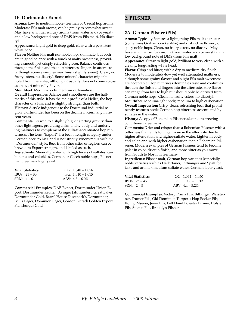#### <span id="page-9-0"></span>**1E. Dortmunder Export**

**Aroma:** Low to medium noble (German or Czech) hop aroma. Moderate Pils malt aroma; can be grainy to somewhat sweet. May have an initial sulfury aroma (from water and/or yeast) and a low background note of DMS (from Pils malt). No diacetyl.

**Appearance:** Light gold to deep gold, clear with a persistent white head.

**Flavor:** Neither Pils malt nor noble hops dominate, but both are in good balance with a touch of malty sweetness, providing a smooth yet crisply refreshing beer. Balance continues through the finish and the hop bitterness lingers in aftertaste (although some examples may finish slightly sweet). Clean, no fruity esters, no diacetyl. Some mineral character might be noted from the water, although it usually does not come across as an overt minerally flavor.

**Mouthfeel:** Medium body, medium carbonation.

**Overall Impression:** Balance and smoothness are the hallmarks of this style. It has the malt profile of a Helles, the hop character of a Pils, and is slightly stronger than both.

**History:** A style indigenous to the Dortmund industrial region, Dortmunder has been on the decline in Germany in recent years.

**Comments:** Brewed to a slightly higher starting gravity than other light lagers, providing a firm malty body and underlying maltiness to complement the sulfate-accentuated hop bitterness. The term "Export" is a beer strength category under German beer tax law, and is not strictly synonymous with the "Dortmunder" style. Beer from other cities or regions can be brewed to Export strength, and labeled as such.

**Ingredients:** Minerally water with high levels of sulfates, carbonates and chlorides, German or Czech noble hops, Pilsner malt, German lager yeast.

| <b>Vital Statistics:</b> | $OG: 1.048 - 1.056$ |
|--------------------------|---------------------|
| $IBUs: 23-30$            | $FG: 1.010 - 1.015$ |
| $SRM: 4-6$               | ABV: $4.8 - 6.0\%$  |

**Commercial Examples:** DAB Export, Dortmunder Union Export, Dortmunder Kronen, Ayinger Jahrhundert, Great Lakes Dortmunder Gold, Barrel House Duveneck's Dortmunder, Bell's Lager, Dominion Lager, Gordon Biersch Golden Export, Flensburger Gold

## <span id="page-9-1"></span>**2. PILSNER**

#### <span id="page-9-2"></span>**2A. German Pilsner (Pils)**

**Aroma:** Typically features a light grainy Pils malt character (sometimes Graham cracker-like) and distinctive flowery or spicy noble hops. Clean, no fruity esters, no diacetyl. May have an initial sulfury aroma (from water and/or yeast) and a low background note of DMS (from Pils malt).

**Appearance:** Straw to light gold, brilliant to very clear, with a creamy, long-lasting white head.

**Flavor:** Crisp and bitter, with a dry to medium-dry finish. Moderate to moderately-low yet well attenuated maltiness, although some grainy flavors and slight Pils malt sweetness are acceptable. Hop bitterness dominates taste and continues through the finish and lingers into the aftertaste. Hop flavor can range from low to high but should only be derived from German noble hops. Clean, no fruity esters, no diacetyl.

**Mouthfeel:** Medium-light body, medium to high carbonation. **Overall Impression:** Crisp, clean, refreshing beer that prominently features noble German hop bitterness accentuated by sulfates in the water.

**History:** A copy of Bohemian Pilsener adapted to brewing conditions in Germany.

**Comments:** Drier and crisper than a Bohemian Pilsener with a bitterness that tends to linger more in the aftertaste due to higher attenuation and higher-sulfate water. Lighter in body and color, and with higher carbonation than a Bohemian Pilsener. Modern examples of German Pilsners tend to become paler in color, drier in finish, and more bitter as you move from South to North in Germany.

**Ingredients:** Pilsner malt, German hop varieties (especially noble varieties such as Hallertauer, Tettnanger and Spalt for taste and aroma), medium sulfate water, German lager yeast.

| Vital Statistics: | $OG: 1.044 - 1.050$ |
|-------------------|---------------------|
| IBUs: 25 – 45     | $FG: 1.008 - 1.013$ |
| SRM: 2–5          | ABV: $4.4 - 5.2\%$  |

**Commercial Examples:** Victory Prima Pils, Bitburger, Warsteiner, Trumer Pils, Old Dominion Tupper's Hop Pocket Pils, König Pilsener, Jever Pils, Left Hand Polestar Pilsner, Holsten Pils, Spaten Pils, Brooklyn Pilsner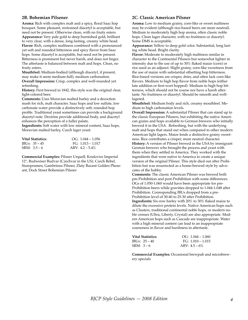#### <span id="page-10-0"></span>**2B. Bohemian Pilsener**

**Aroma:** Rich with complex malt and a spicy, floral Saaz hop bouquet. Some pleasant, restrained diacetyl is acceptable, but need not be present. Otherwise clean, with no fruity esters. **Appearance:** Very pale gold to deep burnished gold, brilliant to very clear, with a dense, long-lasting, creamy white head. **Flavor:** Rich, complex maltiness combined with a pronounced yet soft and rounded bitterness and spicy flavor from Saaz hops. Some diacetyl is acceptable, but need not be present. Bitterness is prominent but never harsh, and does not linger. The aftertaste is balanced between malt and hops. Clean, no fruity esters.

**Mouthfeel:** Medium-bodied (although diacetyl, if present, may make it seem medium-full), medium carbonation.

**Overall Impression:** Crisp, complex and well-rounded yet refreshing.

**History:** First brewed in 1842, this style was the original clear, light-colored beer.

**Comments:** Uses Moravian malted barley and a decoction mash for rich, malt character. Saaz hops and low sulfate, low carbonate water provide a distinctively soft, rounded hop profile. Traditional yeast sometimes can provide a background diacetyl note. Dextrins provide additional body, and diacetyl enhances the perception of a fuller palate.

**Ingredients:** Soft water with low mineral content, Saaz hops, Moravian malted barley, Czech lager yeast.

| Vital Statistics: | $OG: 1.044 - 1.056$ |
|-------------------|---------------------|
| IBUs: $35 - 45$   | $FG: 1.013 - 1.017$ |
| SRM: 3.5 – 6      | ABV: $4.2 - 5.4\%$  |

**Commercial Examples:** Pilsner Urquell, Krušovice Imperial 12°, Budweiser Budvar (Czechvar in the US), Czech Rebel, Staropramen, Gambrinus Pilsner, Zlaty Bazant Golden Pheasant, Dock Street Bohemian Pilsner

#### <span id="page-10-1"></span>**2C. Classic American Pilsner**

**Aroma:** Low to medium grainy, corn-like or sweet maltiness may be evident (although rice-based beers are more neutral). Medium to moderately high hop aroma, often classic noble hops. Clean lager character, with no fruitiness or diacetyl. Some DMS is acceptable.

**Appearance:** Yellow to deep gold color. Substantial, long lasting white head. Bright clarity.

**Flavor:** Moderate to moderately high maltiness similar in character to the Continental Pilsners but somewhat lighter in intensity due to the use of up to 30% flaked maize (corn) or rice used as an adjunct. Slight grainy, corn-like sweetness from the use of maize with substantial offsetting hop bitterness. Rice-based versions are crisper, drier, and often lack corn-like flavors. Medium to high hop flavor from noble hops (either late addition or first-wort hopped). Medium to high hop bitterness, which should not be coarse nor have a harsh aftertaste. No fruitiness or diacetyl. Should be smooth and welllagered.

**Mouthfeel:** Medium body and rich, creamy mouthfeel. Medium to high carbonation levels.

**Overall Impression:** A substantial Pilsner that can stand up to the classic European Pilsners, but exhibiting the native American grains and hops available to German brewers who initially brewed it in the USA. Refreshing, but with the underlying malt and hops that stand out when compared to other modern American light lagers. Maize lends a distinctive grainy sweetness. Rice contributes a crisper, more neutral character. **History:** A version of Pilsner brewed in the USA by immigrant German brewers who brought the process and yeast with them when they settled in America. They worked with the ingredients that were native to America to create a unique version of the original Pilsner. This style died out after Prohibition but was resurrected as a home-brewed style by advocates of the hobby.

**Comments:** The classic American Pilsner was brewed both pre-Prohibition and post-Prohibition with some differences. OGs of 1.050-1.060 would have been appropriate for pre-Prohibition beers while gravities dropped to 1.044-1.048 after Prohibition. Corresponding IBUs dropped from a pre-Prohibition level of 30-40 to 25-30 after Prohibition. **Ingredients:** Six-row barley with 20% to 30% flaked maize to dilute the excessive protein levels. Native American hops such as Clusters, traditional continental noble hops, or modern noble crosses (Ultra, Liberty, Crystal) are also appropriate. Modern American hops such as Cascade are inappropriate. Water with a high mineral content can lead to an inappropriate coarseness in flavor and harshness in aftertaste.

| <b>Vital Statistics:</b> | $OG: 1.044 - 1.060$ |
|--------------------------|---------------------|
| $IBUs: 25-40$            | $FG: 1.010 - 1.015$ |
| SRM: $3-6$               | ABV: $4.5 - 6\%$    |

**Commercial Examples:** Occasional brewpub and microbrewery specials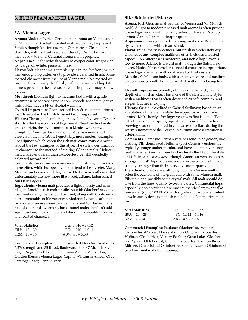#### <span id="page-11-0"></span>**3. EUROPEAN AMBER LAGER**

#### <span id="page-11-1"></span>**3A. Vienna Lager**

**Aroma:** Moderately rich German malt aroma (of Vienna and/ or Munich malt). A light toasted malt aroma may be present. Similar, though less intense than Oktoberfest. Clean lager character, with no fruity esters or diacetyl. Noble hop aroma may be low to none. Caramel aroma is inappropriate. **Appearance:** Light reddish amber to copper color. Bright clar-

ity. Large, off-white, persistent head.

**Flavor:** Soft, elegant malt complexity is in the forefront, with a firm enough hop bitterness to provide a balanced finish. Some toasted character from the use of Vienna malt. No roasted or caramel flavor. Fairly dry finish, with both malt and hop bitterness present in the aftertaste. Noble hop flavor may be low to none.

**Mouthfeel:** Medium-light to medium body, with a gentle creaminess. Moderate carbonation. Smooth. Moderately crisp finish. May have a bit of alcohol warming.

**Overall Impression:** Characterized by soft, elegant maltiness that dries out in the finish to avoid becoming sweet. **History:** The original amber lager developed by Anton Dreher shortly after the isolation of lager yeast. Nearly extinct in its area of origin, the style continues in Mexico where it was brought by Santiago Graf and other Austrian immigrant brewers in the late 1800s. Regrettably, most modern examples use adjuncts which lessen the rich malt complexity characteristic of the best examples of this style. The style owes much of its character to the method of malting (Vienna malt). Lighter malt character overall than Oktoberfest, yet still decidedly balanced toward malt.

**Comments:** American versions can be a bit stronger, drier and more bitter, while European versions tend to be sweeter. Many Mexican amber and dark lagers used to be more authentic, but unfortunately are now more like sweet, adjunct-laden American Dark Lagers.

**Ingredients:** Vienna malt provides a lightly toasty and complex, melanoidin-rich malt profile. As with Oktoberfests, only the finest quality malt should be used, along with Continental hops (preferably noble varieties). Moderately hard, carbonaterich water. Can use some caramel malts and/or darker malts to add color and sweetness, but caramel malts shouldn't add significant aroma and flavor and dark malts shouldn't provide any roasted character.

| <b>Vital Statistics:</b> | $OG: 1.046 - 1.052$ |
|--------------------------|---------------------|
| IBUs: $18 - 30$          | $FG: 1.010 - 1.014$ |
| SRM: 10 – 16             | ABV: $4.5 - 5.5\%$  |

**Commercial Examples:** Great Lakes Eliot Ness (unusual in its 6.2% strength and 35 IBUs), Boulevard Bobs 47 Munich-Style Lager, Negra Modelo, Old Dominion Aviator Amber Lager, Gordon Biersch Vienna Lager, Capital Wisconsin Amber, Olde Saratoga Lager, Penn Pilsner

#### <span id="page-11-2"></span>**3B. Oktoberfest/Märzen**

**Aroma:** Rich German malt aroma (of Vienna and/or Munich malt). A light to moderate toasted malt aroma is often present. Clean lager aroma with no fruity esters or diacetyl. No hop aroma. Caramel aroma is inappropriate.

**Appearance:** Dark gold to deep orange-red color. Bright clarity, with solid, off-white, foam stand.

**Flavor:** Initial malty sweetness, but finish is moderately dry. Distinctive and complex maltiness often includes a toasted aspect. Hop bitterness is moderate, and noble hop flavor is low to none. Balance is toward malt, though the finish is not sweet. Noticeable caramel or roasted flavors are inappropriate. Clean lager character with no diacetyl or fruity esters. **Mouthfeel:** Medium body, with a creamy texture and medium carbonation. Smooth. Fully fermented, without a cloying finish.

**Overall Impression:** Smooth, clean, and rather rich, with a depth of malt character. This is one of the classic malty styles, with a maltiness that is often described as soft, complex, and elegant but never cloying.

**History:** Origin is credited to Gabriel Sedlmayr, based on an adaptation of the Vienna style developed by Anton Dreher around 1840, shortly after lager yeast was first isolated. Typically brewed in the spring, signaling the end of the traditional brewing season and stored in cold caves or cellars during the warm summer months. Served in autumn amidst traditional celebrations.

**Comments:** Domestic German versions tend to be golden, like a strong Pils-dominated Helles. Export German versions are typically orange-amber in color, and have a distinctive toasty malt character. German beer tax law limits the OG of the style at 14˚P since it is a *vollbier*, although American versions can be stronger. "Fest" type beers are special occasion beers that are usually stronger than their everyday counterparts. **Ingredients:** Grist varies, although German Vienna malt is often the backbone of the grain bill, with some Munich malt, Pils malt, and possibly some crystal malt. All malt should derive from the finest quality two-row barley. Continental hops, especially noble varieties, are most authentic. Somewhat alkaline water (up to 300 PPM), with significant carbonate content is welcome. A decoction mash can help develop the rich malt profile.

| Vital Statistics: | $OG: 1.050 - 1.057$ |
|-------------------|---------------------|
| IBUs: 20 – 28     | $FG: 1.012 - 1.016$ |
| SRM: 7–14         | ABV: $4.8 - 5.7\%$  |

**Commercial Examples:** Paulaner Oktoberfest, Ayinger Oktoberfest-Märzen, Hacker-Pschorr Original Oktoberfest, Hofbräu Oktoberfest, Victory Festbier, Great Lakes Oktoberfest, Spaten Oktoberfest, Capital Oktoberfest, Gordon Biersch Märzen, Goose Island Oktoberfest, Samuel Adams Oktoberfest (a bit unusual in its late hopping)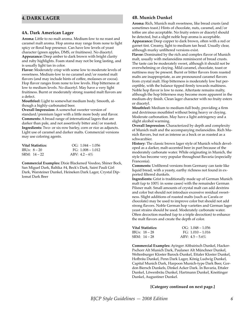#### <span id="page-12-0"></span>**4. DARK LAGER**

#### <span id="page-12-1"></span>**4A. Dark American Lager**

**Aroma:** Little to no malt aroma. Medium-low to no roast and caramel malt aroma. Hop aroma may range from none to light spicy or floral hop presence. Can have low levels of yeast character (green apples, DMS, or fruitiness). No diacetyl. **Appearance:** Deep amber to dark brown with bright clarity and ruby highlights. Foam stand may not be long lasting, and is usually light tan in color.

**Flavor:** Moderately crisp with some low to moderate levels of sweetness. Medium-low to no caramel and/or roasted malt flavors (and may include hints of coffee, molasses or cocoa). Hop flavor ranges from none to low levels. Hop bitterness at low to medium levels. No diacetyl. May have a very light fruitiness. Burnt or moderately strong roasted malt flavors are a defect.

**Mouthfeel:** Light to somewhat medium body. Smooth, although a highly-carbonated beer.

**Overall Impression:** A somewhat sweeter version of standard/premium lager with a little more body and flavor. **Comments:** A broad range of international lagers that are darker than pale, and not assertively bitter and/or roasted. **Ingredients:** Two- or six-row barley, corn or rice as adjuncts. Light use of caramel and darker malts. Commercial versions may use coloring agents.

| <b>Vital Statistics:</b> | $OG: 1.044 - 1.056$ |
|--------------------------|---------------------|
| <b>IBUs:</b> $8-20$      | $FG: 1.008 - 1.012$ |
| $SRM: 14-22$             | ABV: $4.2 - 6\%$    |

**Commercial Examples:** Dixie Blackened Voodoo, Shiner Bock, San Miguel Dark, Baltika #4, Beck's Dark, Saint Pauli Girl Dark, Warsteiner Dunkel, Heineken Dark Lager, Crystal Diplomat Dark Beer

#### <span id="page-12-2"></span>**4B. Munich Dunkel**

**Aroma:** Rich, Munich malt sweetness, like bread crusts (and sometimes toast.) Hints of chocolate, nuts, caramel, and/or toffee are also acceptable. No fruity esters or diacetyl should be detected, but a slight noble hop aroma is acceptable.

**Appearance:** Deep copper to dark brown, often with a red or garnet tint. Creamy, light to medium tan head. Usually clear, although murky unfiltered versions exist.

**Flavor:** Dominated by the rich and complex flavor of Munich malt, usually with melanoidins reminiscent of bread crusts. The taste can be moderately sweet, although it should not be overwhelming or cloying. Mild caramel, chocolate, toast or nuttiness may be present. Burnt or bitter flavors from roasted malts are inappropriate, as are pronounced caramel flavors from crystal malt. Hop bitterness is moderately low but perceptible, with the balance tipped firmly towards maltiness. Noble hop flavor is low to none. Aftertaste remains malty, although the hop bitterness may become more apparent in the medium-dry finish. Clean lager character with no fruity esters or diacetyl.

**Mouthfeel:** Medium to medium-full body, providing a firm and dextrinous mouthfeel without being heavy or cloying. Moderate carbonation. May have a light astringency and a slight alcohol warming.

**Overall Impression:** Characterized by depth and complexity of Munich malt and the accompanying melanoidins. Rich Munich flavors, but not as intense as a bock or as roasted as a schwarzbier.

**History:** The classic brown lager style of Munich which developed as a darker, malt-accented beer in part because of the moderately carbonate water. While originating in Munich, the style has become very popular throughout Bavaria (especially Franconia).

**Comments:** Unfiltered versions from Germany can taste like liquid bread, with a yeasty, earthy richness not found in exported filtered dunkels.

**Ingredients:** Grist is traditionally made up of German Munich malt (up to 100% in some cases) with the remainder German Pilsner malt. Small amounts of crystal malt can add dextrins and color but should not introduce excessive residual sweetness. Slight additions of roasted malts (such as Carafa or chocolate) may be used to improve color but should not add strong flavors. Noble German hop varieties and German lager yeast strains should be used. Moderately carbonate water. Often decoction mashed (up to a triple decoction) to enhance the malt flavors and create the depth of color.

| Vital Statistics: | $OG: 1.048 - 1.056$ |
|-------------------|---------------------|
| IBUs: 18 – 28     | FG: 1.010 – 1.016   |
| SRM: 14–28        | ABV: $4.5 - 5.6\%$  |

**Commercial Examples:** Ayinger Altbairisch Dunkel, Hacker-Pschorr Alt Munich Dark, Paulaner Alt Münchner Dunkel, Weltenburger Kloster Barock-Dunkel, Ettaler Kloster Dunkel, Hofbräu Dunkel, Penn Dark Lager, König Ludwig Dunkel, Capital Munich Dark, Harpoon Munich-type Dark Beer, Gordon Biersch Dunkels, Dinkel Acker Dark. In Bavaria, Ettaler Dunkel, Löwenbräu Dunkel, Hartmann Dunkel, Kneitinger Dunkel, Augustiner Dunkel.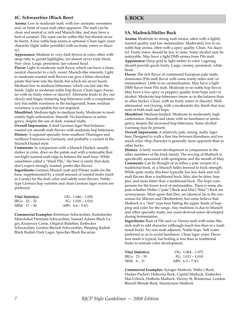#### <span id="page-13-0"></span>**4C. Schwarzbier (Black Beer)**

**Aroma:** Low to moderate malt, with low aromatic sweetness and/or hints of roast malt often apparent. The malt can be clean and neutral or rich and Munich-like, and may have a hint of caramel. The roast can be coffee-like but should never be burnt. A low noble hop aroma is optional. Clean lager yeast character (light sulfur possible) with no fruity esters or diacetyl.

**Appearance:** Medium to very dark brown in color, often with deep ruby to garnet highlights, yet almost never truly black. Very clear. Large, persistent, tan-colored head.

**Flavor:** Light to moderate malt flavor, which can have a clean, neutral character to a rich, sweet, Munich-like intensity. Light to moderate roasted malt flavors can give a bitter-chocolate palate that lasts into the finish, but which are never burnt. Medium-low to medium bitterness, which can last into the finish. Light to moderate noble hop flavor. Clean lager character with no fruity esters or diacetyl. Aftertaste tends to dry out slowly and linger, featuring hop bitterness with a complementary but subtle roastiness in the background. Some residual sweetness is acceptable but not required.

**Mouthfeel:** Medium-light to medium body. Moderate to moderately high carbonation. Smooth. No harshness or astringency, despite the use of dark, roasted malts.

**Overall Impression:** A dark German lager that balances roasted yet smooth malt flavors with moderate hop bitterness. **History:** A regional specialty from southern Thuringen and northern Franconia in Germany, and probably a variant of the Munich Dunkel style.

**Comments:** In comparison with a Munich Dunkel, usually darker in color, drier on the palate and with a noticeable (but not high) roasted malt edge to balance the malt base. While sometimes called a "black Pils," the beer is rarely that dark; don't expect strongly roasted, porter-like flavors.

**Ingredients:** German Munich malt and Pilsner malts for the base, supplemented by a small amount of roasted malts (such as Carafa) for the dark color and subtle roast flavors. Nobletype German hop varieties and clean German lager yeasts are preferred.

| $OG: 1.046 - 1.052$ |
|---------------------|
| $FG: 1.010 - 1.016$ |
| ABV: $4.4-5.4\%$    |
|                     |

**Commercial Examples:** Köstritzer Schwarzbier, Kulmbacher Mönchshof Premium Schwarzbier, Samuel Adams Black Lager, Krušovice Cerne, Original Badebier, Einbecker Schwarzbier, Gordon Biersch Schwarzbier, Weeping Radish Black Radish Dark Lager, Sprecher Black Bavarian

#### <span id="page-13-1"></span>**5. BOCK**

#### <span id="page-13-2"></span>**5A. Maibock/Helles Bock**

**Aroma:** Moderate to strong malt aroma, often with a lightly toasted quality and low melanoidins. Moderately low to no noble hop aroma, often with a spicy quality. Clean. No diacetyl. Fruity esters should be low to none. Some alcohol may be noticeable. May have a light DMS aroma from Pils malt. **Appearance:** Deep gold to light amber in color. Lagering should provide good clarity. Large, creamy, persistent, white head.

**Flavor:** The rich flavor of continental European pale malts dominates (Pils malt flavor with some toasty notes and/or melanoidins). Little to no caramelization. May have a light DMS flavor from Pils malt. Moderate to no noble hop flavor. May have a low spicy or peppery quality from hops and/or alcohol. Moderate hop bitterness (more so in the balance than in other bocks). Clean, with no fruity esters or diacetyl. Wellattenuated, not cloying, with a moderately dry finish that may taste of both malt and hops.

**Mouthfeel:** Medium-bodied. Moderate to moderately high carbonation. Smooth and clean with no harshness or astringency, despite the increased hop bitterness. Some alcohol warming may be present.

**Overall Impression:** A relatively pale, strong, malty lager beer. Designed to walk a fine line between blandness and too much color. Hop character is generally more apparent than in other bocks.

**History:** A fairly recent development in comparison to the other members of the bock family. The serving of Maibock is specifically associated with springtime and the month of May. **Comments:** Can be thought of as either a pale version of a traditional bock, or a Munich helles brewed to bock strength. While quite malty, this beer typically has less dark and rich malt flavors than a traditional bock. May also be drier, hoppier, and more bitter than a traditional bock. The hops compensate for the lower level of melanoidins. There is some dispute whether Helles ("pale") Bock and Mai ("May") Bock are synonymous. Most agree that they are identical (as is the consensus for Märzen and Oktoberfest), but some believe that Maibock is a "fest" type beer hitting the upper limits of hopping and color for the range. Any fruitiness is due to Munich and other specialty malts, not yeast-derived esters developed during fermentation.

**Ingredients:** Base of Pils and/or Vienna malt with some Munich malt to add character (although much less than in a traditional bock). No non-malt adjuncts. Noble hops. Soft water preferred so as to avoid harshness. Clean lager yeast. Decoction mash is typical, but boiling is less than in traditional bocks to restrain color development.

| <b>Vital Statistics:</b> | $OG: 1.064 - 1.072$ |
|--------------------------|---------------------|
| $IBUs: 23-35$            | $FG: 1.011 - 1.018$ |
| $SRM: 6-11$              | ABV: $6.3 - 7.4\%$  |

**Commercial Examples:** Ayinger Maibock, Mahr's Bock, Hacker-Pschorr Hubertus Bock, Capital Maibock, Einbecker Mai-Urbock, Hofbräu Maibock, Victory St. Boisterous, Gordon Biersch Blonde Bock, Smuttynose Maibock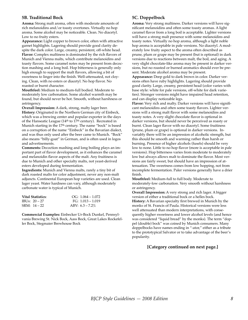#### <span id="page-14-0"></span>**5B. Traditional Bock**

**Aroma:** Strong malt aroma, often with moderate amounts of rich melanoidins and/or toasty overtones. Virtually no hop aroma. Some alcohol may be noticeable. Clean. No diacetyl. Low to no fruity esters.

**Appearance:** Light copper to brown color, often with attractive garnet highlights. Lagering should provide good clarity despite the dark color. Large, creamy, persistent, off-white head. **Flavor:** Complex maltiness is dominated by the rich flavors of Munich and Vienna malts, which contribute melanoidins and toasty flavors. Some caramel notes may be present from decoction mashing and a long boil. Hop bitterness is generally only high enough to support the malt flavors, allowing a bit of sweetness to linger into the finish. Well-attenuated, not cloying. Clean, with no esters or diacetyl. No hop flavor. No roasted or burnt character.

**Mouthfeel:** Medium to medium-full bodied. Moderate to moderately low carbonation. Some alcohol warmth may be found, but should never be hot. Smooth, without harshness or astringency.

**Overall Impression:** A dark, strong, malty lager beer. **History:** Originated in the Northern German city of Einbeck, which was a brewing center and popular exporter in the days of the Hanseatic League (14<sup>th</sup> to 17<sup>th</sup> century). Recreated in Munich starting in the 17<sup>th</sup> century. The name "bock" is based on a corruption of the name "Einbeck" in the Bavarian dialect, and was thus only used after the beer came to Munich. "Bock" also means "billy-goat" in German, and is often used in logos and advertisements.

**Comments:** Decoction mashing and long boiling plays an important part of flavor development, as it enhances the caramel and melanoidin flavor aspects of the malt. Any fruitiness is due to Munich and other specialty malts, not yeast-derived esters developed during fermentation.

**Ingredients:** Munich and Vienna malts, rarely a tiny bit of dark roasted malts for color adjustment, never any non-malt adjuncts. Continental European hop varieties are used. Clean lager yeast. Water hardness can vary, although moderately carbonate water is typical of Munich.

| <b>Vital Statistics:</b> | $OG: 1.064 - 1.072$ |
|--------------------------|---------------------|
| $IBUs: 20-27$            | $FG: 1.013 - 1.019$ |
| SRM: 14 – 22             | ABV: $6.3 - 7.2\%$  |

**Commercial Examples:** Einbecker Ur-Bock Dunkel, Pennsylvania Brewing St. Nick Bock, Aass Bock, Great Lakes Rockefeller Bock, Stegmaier Brewhouse Bock

#### <span id="page-14-1"></span>**5C. Doppelbock**

**Aroma:** Very strong maltiness. Darker versions will have significant melanoidins and often some toasty aromas. A light caramel flavor from a long boil is acceptable. Lighter versions will have a strong malt presence with some melanoidins and toasty notes. Virtually no hop aroma, although a light noble hop aroma is acceptable in pale versions. No diacetyl. A moderately low fruity aspect to the aroma often described as prune, plum or grape may be present (but is optional) in dark versions due to reactions between malt, the boil, and aging. A very slight chocolate-like aroma may be present in darker versions, but no roasted or burned aromatics should ever be present. Moderate alcohol aroma may be present.

**Appearance:** Deep gold to dark brown in color. Darker versions often have ruby highlights. Lagering should provide good clarity. Large, creamy, persistent head (color varies with base style: white for pale versions, off-white for dark varieties). Stronger versions might have impaired head retention, and can display noticeable legs.

**Flavor:** Very rich and malty. Darker versions will have significant melanoidins and often some toasty flavors. Lighter versions will a strong malt flavor with some melanoidins and toasty notes. A very slight chocolate flavor is optional in darker versions, but should never be perceived as roasty or burnt. Clean lager flavor with no diacetyl. Some fruitiness (prune, plum or grape) is optional in darker versions. Invariably there will be an impression of alcoholic strength, but this should be smooth and warming rather than harsh or burning. Presence of higher alcohols (fusels) should be very low to none. Little to no hop flavor (more is acceptable in pale versions). Hop bitterness varies from moderate to moderately low but always allows malt to dominate the flavor. Most versions are fairly sweet, but should have an impression of attenuation. The sweetness comes from low hopping, not from incomplete fermentation. Paler versions generally have a drier finish.

**Mouthfeel:** Medium-full to full body. Moderate to moderately-low carbonation. Very smooth without harshness or astringency.

**Overall Impression:** A very strong and rich lager. A bigger version of either a traditional bock or a helles bock. **History:** A Bavarian specialty first brewed in Munich by the monks of St. Francis of Paula. Historical versions were less well attenuated than modern interpretations, with consequently higher sweetness and lower alcohol levels (and hence was considered "liquid bread" by the monks). The term "doppel (double) bock" was coined by Munich consumers. Many doppelbocks have names ending in "-ator," either as a tribute to the prototypical Salvator or to take advantage of the beer's popularity.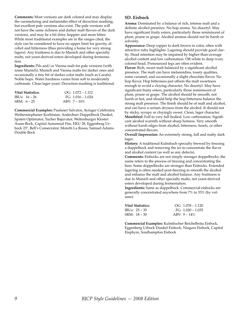**Comments:** Most versions are dark colored and may display the caramelizing and melanoidin effect of decoction mashing, but excellent pale versions also exist. The pale versions will not have the same richness and darker malt flavors of the dark versions, and may be a bit drier, hoppier and more bitter. While most traditional examples are in the ranges cited, the style can be considered to have no upper limit for gravity, alcohol and bitterness (thus providing a home for very strong lagers). Any fruitiness is due to Munich and other specialty malts, not yeast-derived esters developed during fermentation.

**Ingredients:** Pils and/or Vienna malt for pale versions (with some Munich), Munich and Vienna malts for darker ones and occasionally a tiny bit of darker color malts (such as Carafa). Noble hops. Water hardness varies from soft to moderately carbonate. Clean lager yeast. Decoction mashing is traditional.

| <b>Vital Statistics:</b> | $OG: 1.072 - 1.112$ |
|--------------------------|---------------------|
| IBUs: $16 - 26$          | $FG: 1.016 - 1.024$ |
| SRM: 6-25                | ABV: $7-10\%$       |

**Commercial Examples:** Paulaner Salvator, Ayinger Celebrator, Weihenstephaner Korbinian, Andechser Doppelbock Dunkel, Spaten Optimator, Tucher Bajuvator, Weltenburger Kloster Asam-Bock, Capital Autumnal Fire, EKU 28, Eggenberg Urbock 23º, Bell's Consecrator, Moretti La Rossa, Samuel Adams Double Bock

#### <span id="page-15-0"></span>**5D. Eisbock**

**Aroma:** Dominated by a balance of rich, intense malt and a definite alcohol presence. No hop aroma. No diacetyl. May have significant fruity esters, particularly those reminiscent of plum, prune or grape. Alcohol aromas should not be harsh or solventy.

**Appearance:** Deep copper to dark brown in color, often with attractive ruby highlights. Lagering should provide good clarity. Head retention may be impaired by higher-than-average alcohol content and low carbonation. Off-white to deep ivory colored head. Pronounced legs are often evident.

**Flavor:** Rich, sweet malt balanced by a significant alcohol presence. The malt can have melanoidins, toasty qualities, some caramel, and occasionally a slight chocolate flavor. No hop flavor. Hop bitterness just offsets the malt sweetness enough to avoid a cloying character. No diacetyl. May have significant fruity esters, particularly those reminiscent of plum, prune or grape. The alcohol should be smooth, not harsh or hot, and should help the hop bitterness balance the strong malt presence. The finish should be of malt and alcohol, and can have a certain dryness from the alcohol. It should not by sticky, syrupy or cloyingly sweet. Clean, lager character. **Mouthfeel:** Full to very full bodied. Low carbonation. Significant alcohol warmth without sharp hotness. Very smooth without harsh edges from alcohol, bitterness, fusels, or other concentrated flavors.

**Overall Impression:** An extremely strong, full and malty dark lager.

**History:** A traditional Kulmbach specialty brewed by freezing a doppelbock and removing the ice to concentrate the flavor and alcohol content (as well as any defects).

**Comments:** Eisbocks are not simply stronger doppelbocks; the name refers to the process of freezing and concentrating the beer. Some doppelbocks are stronger than Eisbocks. Extended lagering is often needed post-freezing to smooth the alcohol and enhance the malt and alcohol balance. Any fruitiness is due to Munich and other specialty malts, not yeast-derived esters developed during fermentation.

**Ingredients:** Same as doppelbock. Commercial eisbocks are generally concentrated anywhere from 7% to 33% (by volume).

| Vital Statistics: | $OG: 1.078 - 1.120$ |
|-------------------|---------------------|
| IBUs: $25 - 35$   | FG: $1.020 - 1.035$ |
| $SRM: 18-30$      | ABV: $9-14\%$       |

**Commercial Examples:** Kulmbacher Reichelbräu Eisbock, Eggenberg Urbock Dunkel Eisbock, Niagara Eisbock, Capital Eisphyre, Southampton Eisbock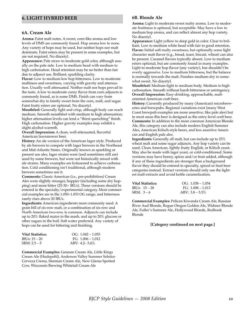#### <span id="page-16-0"></span>**6. LIGHT HYBRID BEER**

#### <span id="page-16-1"></span>**6A. Cream Ale**

**Aroma:** Faint malt notes. A sweet, corn-like aroma and low levels of DMS are commonly found. Hop aroma low to none. Any variety of hops may be used, but neither hops nor malt dominate. Faint esters may be present in some examples, but are not required. No diacetyl.

**Appearance:** Pale straw to moderate gold color, although usually on the pale side. Low to medium head with medium to high carbonation. Head retention may be no better than fair due to adjunct use. Brilliant, sparkling clarity.

**Flavor:** Low to medium-low hop bitterness. Low to moderate maltiness and sweetness, varying with gravity and attenuation. Usually well attenuated. Neither malt nor hops prevail in the taste. A low to moderate corny flavor from corn adjuncts is commonly found, as is some DMS. Finish can vary from somewhat dry to faintly sweet from the corn, malt, and sugar. Faint fruity esters are optional. No diacetyl.

**Mouthfeel:** Generally light and crisp, although body can reach medium. Smooth mouthfeel with medium to high attenuation; higher attenuation levels can lend a "thirst quenching" finish. High carbonation. Higher gravity examples may exhibit a slight alcohol warmth.

**Overall Impression:** A clean, well-attenuated, flavorful American lawnmower beer.

**History:** An ale version of the American lager style. Produced by ale brewers to compete with lager brewers in the Northeast and Mid-Atlantic States. Originally known as sparkling or present use ales, lager strains were (and sometimes still are) used by some brewers, but were not historically mixed with ale strains. Many examples are kräusened to achieve carbonation. Cold conditioning isn't traditional, although modern brewers sometimes use it.

**Comments:** Classic American (i.e., pre-prohibition) Cream Ales were slightly stronger, hoppier (including some dry hopping) and more bitter (25-30+ IBUs). These versions should be entered in the specialty/experimental category. Most commercial examples are in the 1.050–1.053 OG range, and bitterness rarely rises above 20 IBUs.

**Ingredients:** American ingredients most commonly used. A grain bill of six-row malt, or a combination of six-row and North American two-row, is common. Adjuncts can include up to 20% flaked maize in the mash, and up to 20% glucose or other sugars in the boil. Soft water preferred. Any variety of hops can be used for bittering and finishing.

| <b>Vital Statistics:</b> | $OG: 1.042 - 1.055$ |
|--------------------------|---------------------|
| IBUs: $15 - 20$          | $FG: 1.006 - 1.012$ |
| $SRM: 2.5 - 5$           | ABV: $4.2 - 5.6\%$  |

**Commercial Examples:** Genesee Cream Ale, Little Kings Cream Ale (Hudepohl), Anderson Valley Summer Solstice Cerveza Crema, Sleeman Cream Ale, New Glarus Spotted Cow, Wisconsin Brewing Whitetail Cream Ale

#### <span id="page-16-2"></span>**6B. Blonde Ale**

**Aroma:** Light to moderate sweet malty aroma. Low to moderate fruitiness is optional, but acceptable. May have a low to medium hop aroma, and can reflect almost any hop variety. No diacetyl.

**Appearance:** Light yellow to deep gold in color. Clear to brilliant. Low to medium white head with fair to good retention. **Flavor:** Initial soft malty sweetness, but optionally some light character malt flavor (e.g., bread, toast, biscuit, wheat) can also be present. Caramel flavors typically absent. Low to medium esters optional, but are commonly found in many examples. Light to moderate hop flavor (any variety), but shouldn't be overly aggressive. Low to medium bitterness, but the balance is normally towards the malt. Finishes medium-dry to somewhat sweet. No diacetyl.

**Mouthfeel:** Medium-light to medium body. Medium to high carbonation. Smooth without harsh bitterness or astringency. **Overall Impression:** Easy-drinking, approachable, maltoriented American craft beer.

**History:** Currently produced by many (American) microbreweries and brewpubs. Regional variations exist (many West Coast brewpub examples are more assertive, like pale ales) but in most areas this beer is designed as the entry-level craft beer. **Comments:** In addition to the more common American Blonde Ale, this category can also include modern English Summer Ales, American Kölsch-style beers, and less assertive American and English pale ales.

**Ingredients:** Generally all malt, but can include up to 25% wheat malt and some sugar adjuncts. Any hop variety can be used. Clean American, lightly fruity English, or Kölsch yeast. May also be made with lager yeast, or cold-conditioned. Some versions may have honey, spices and/or fruit added, although if any of these ingredients are stronger than a background flavor they should be entered in specialty, spiced or fruit beer categories instead. Extract versions should only use the lightest malt extracts and avoid kettle caramelization.

| Vital Statistics: | $OG: 1.038 - 1.054$ |
|-------------------|---------------------|
| IBUs: 15 – 28     | $FG: 1.008 - 1.013$ |
| SRM: 3–6          | ABV: $3.8 - 5.5\%$  |

**Commercial Examples:** Pelican Kiwanda Cream Ale, Russian River Aud Blonde, Rogue Oregon Golden Ale, Widmer Blonde Ale, Fuller's Summer Ale, Hollywood Blonde, Redhook Blonde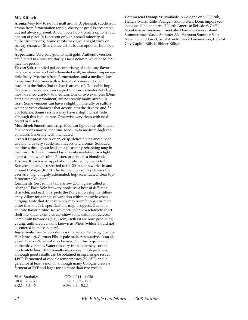#### <span id="page-17-0"></span>**6C. Kölsch**

**Aroma:** Very low to no Pils malt aroma. A pleasant, subtle fruit aroma from fermentation (apple, cherry or pear) is acceptable, but not always present. A low noble hop aroma is optional but not out of place (it is present only in a small minority of authentic versions). Some yeasts may give a slight winy or sulfury character (this characteristic is also optional, but not a fault).

**Appearance:** Very pale gold to light gold. Authentic versions are filtered to a brilliant clarity. Has a delicate white head that may not persist.

**Flavor:** Soft, rounded palate comprising of a delicate flavor balance between soft yet attenuated malt, an almost imperceptible fruity sweetness from fermentation, and a medium-low to medium bitterness with a delicate dryness and slight pucker in the finish (but no harsh aftertaste). The noble hop flavor is variable, and can range from low to moderately high; most are medium-low to medium. One or two examples (Dom being the most prominent) are noticeably malty-sweet up front. Some versions can have a slightly minerally or sulfury water or yeast character that accentuates the dryness and flavor balance. Some versions may have a slight wheat taste, although this is quite rare. Otherwise very clean with no diacetyl or fusels.

**Mouthfeel:** Smooth and crisp. Medium-light body, although a few versions may be medium. Medium to medium-high carbonation. Generally well-attenuated.

**Overall Impression:** A clean, crisp, delicately balanced beer usually with very subtle fruit flavors and aromas. Subdued maltiness throughout leads to a pleasantly refreshing tang in the finish. To the untrained taster easily mistaken for a light lager, a somewhat subtle Pilsner, or perhaps a blonde ale. **History:** Kölsch is an appellation protected by the Kölsch Konvention, and is restricted to the 20 or so breweries in and around Cologne (Köln). The Konvention simply defines the beer as a "light, highly attenuated, hop-accentuated, clear topfermenting Vollbier."

**Comments:** Served in a tall, narrow 200ml glass called a "Stange." Each Köln brewery produces a beer of different character, and each interprets the Konvention slightly differently. Allow for a range of variation within the style when judging. Note that drier versions may seem hoppier or more bitter than the IBU specifications might suggest. Due to its delicate flavor profile, Kölsch tends to have a relatively short shelf-life; older examples can show some oxidation defects. Some Köln breweries (e.g., Dom, Hellers) are now producing young, unfiltered versions known as Wiess (which should not be entered in this category).

**Ingredients:** German noble hops (Hallertau, Tettnang, Spalt or Hersbrucker). German Pils or pale malt. Attenuative, clean ale yeast. Up to 20% wheat may be used, but this is quite rare in authentic versions. Water can vary from extremely soft to moderately hard. Traditionally uses a step mash program, although good results can be obtained using a single rest at 149˚F. Fermented at cool ale temperatures (59-65˚F) and lagered for at least a month, although many Cologne brewers ferment at 70˚F and lager for no more than two weeks.

| <b>Vital Statistics:</b> | $OG: 1.044 - 1.050$ |
|--------------------------|---------------------|
| $IBUs: 20-30$            | $FG: 1.007 - 1.011$ |
| $SRM: 3.5-5$             | ABV: $4.4 - 5.2\%$  |

**Commercial Examples:** Available in Cologne only: PJ Früh, Hellers, Malzmühle, Paeffgen, Sion, Peters, Dom; import versions available in parts of North America: Reissdorf, Gaffel; Non-German versions: Eisenbahn Dourada, Goose Island Summertime, Alaska Summer Ale, Harpoon Summer Beer, New Holland Lucid, Saint Arnold Fancy Lawnmower, Capitol City Capitol Kölsch, Shiner Kölsch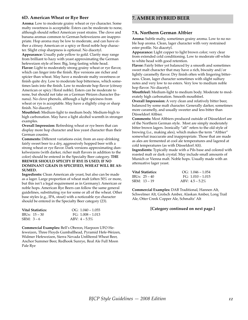#### <span id="page-18-0"></span>**6D. American Wheat or Rye Beer**

**Aroma:** Low to moderate grainy wheat or rye character. Some malty sweetness is acceptable. Esters can be moderate to none, although should reflect American yeast strains. The clove and banana aromas common to German hefeweizens are inappropriate. Hop aroma may be low to moderate, and can have either a citrusy American or a spicy or floral noble hop character. Slight crisp sharpness is optional. No diacetyl.

**Appearance:** Usually pale yellow to gold. Clarity may range from brilliant to hazy with yeast approximating the German hefeweizen style of beer. Big, long-lasting white head.

**Flavor:** Light to moderately strong grainy wheat or rye flavor, which can linger into the finish. Rye versions are richer and spicier than wheat. May have a moderate malty sweetness or finish quite dry. Low to moderate hop bitterness, which sometimes lasts into the finish. Low to moderate hop flavor (citrusy American or spicy/floral noble). Esters can be moderate to none, but should not take on a German Weizen character (banana). No clove phenols, although a light spiciness from wheat or rye is acceptable. May have a slightly crisp or sharp finish. No diacetyl.

**Mouthfeel:** Medium-light to medium body. Medium-high to high carbonation. May have a light alcohol warmth in stronger examples.

**Overall Impression:** Refreshing wheat or rye beers that can display more hop character and less yeast character than their German cousins.

**Comments:** Different variations exist, from an easy-drinking fairly sweet beer to a dry, aggressively hopped beer with a strong wheat or rye flavor. Dark versions approximating dunkelweizens (with darker, richer malt flavors in addition to the color) should be entered in the Specialty Beer category. **THE BREWER SHOULD SPECIFY IF RYE IS USED; IF NO DOMINANT GRAIN IS SPECIFIED, WHEAT WILL BE AS-SUMED.**

**Ingredients:** Clean American ale yeast, but also can be made as a lager. Large proportion of wheat malt (often 50% or more, but this isn't a legal requirement as in Germany). American or noble hops. American Rye Beers can follow the same general guidelines, substituting rye for some or all of the wheat. Other base styles (e.g., IPA, stout) with a noticeable rye character should be entered in the Specialty Beer category (23).

| Vital Statistics: | $OG: 1.040 - 1.055$ |
|-------------------|---------------------|
| IBUs: $15 - 30$   | FG: $1.008 - 1.013$ |
| SRM: 3-6          | ABV: $4-5.5\%$      |

**Commercial Examples:** Bell's Oberon, Harpoon UFO Hefeweizen, Three Floyds Gumballhead, Pyramid Hefe-Weizen, Widmer Hefeweizen, Sierra Nevada Unfiltered Wheat Beer, Anchor Summer Beer, Redhook Sunrye, Real Ale Full Moon Pale Rye

#### <span id="page-18-1"></span>**7. AMBER HYBRID BEER**

#### <span id="page-18-2"></span>**7A. Northern German Altbier**

**Aroma:** Subtle malty, sometimes grainy aroma. Low to no noble hop aroma. Clean, lager character with very restrained ester profile. No diacetyl.

**Appearance:** Light copper to light brown color; very clear from extended cold conditioning. Low to moderate off-white to white head with good retention.

**Flavor:** Fairly bitter yet balanced by a smooth and sometimes sweet malt character that may have a rich, biscuity and/or lightly caramelly flavor. Dry finish often with lingering bitterness. Clean, lager character sometimes with slight sulfury notes and very low to no esters. Very low to medium noble hop flavor. No diacetyl.

**Mouthfeel:** Medium-light to medium body. Moderate to moderately high carbonation. Smooth mouthfeel.

**Overall Impression:** A very clean and relatively bitter beer, balanced by some malt character. Generally darker, sometimes more caramelly, and usually sweeter and less bitter than Düsseldorf Altbier.

**Comments:** Most Altbiers produced outside of Düsseldorf are of the Northern German style. Most are simply moderately bitter brown lagers. Ironically "alt" refers to the old style of brewing (i.e., making ales), which makes the term "Altbier" somewhat inaccurate and inappropriate. Those that are made as ales are fermented at cool ale temperatures and lagered at cold temperatures (as with Düsseldorf Alt).

**Ingredients:** Typically made with a Pils base and colored with roasted malt or dark crystal. May include small amounts of Munich or Vienna malt. Noble hops. Usually made with an attenuative lager yeast.

| Vital Statistics: | $OG: 1.046 - 1.054$ |
|-------------------|---------------------|
| IBUs: 25 – 40     | $FG: 1.010 - 1.015$ |
| SRM: 13–19        | ABV: $4.5 - 5.2\%$  |

**Commercial Examples:** DAB Traditional, Hannen Alt, Schwelmer Alt, Grolsch Amber, Alaskan Amber, Long Trail Ale, Otter Creek Copper Ale, Schmaltz' Alt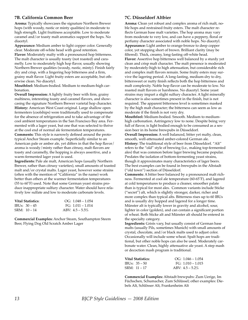#### <span id="page-19-0"></span>**7B. California Common Beer**

**Aroma:** Typically showcases the signature Northern Brewer hops (with woody, rustic or minty qualities) in moderate to high strength. Light fruitiness acceptable. Low to moderate caramel and/or toasty malt aromatics support the hops. No diacetyl.

**Appearance:** Medium amber to light copper color. Generally clear. Moderate off-white head with good retention.

**Flavor:** Moderately malty with a pronounced hop bitterness. The malt character is usually toasty (not roasted) and caramelly. Low to moderately high hop flavor, usually showing Northern Brewer qualities (woody, rustic, minty). Finish fairly dry and crisp, with a lingering hop bitterness and a firm, grainy malt flavor. Light fruity esters are acceptable, but otherwise clean. No diacetyl.

**Mouthfeel:** Medium-bodied. Medium to medium-high carbonation.

**Overall Impression:** A lightly fruity beer with firm, grainy maltiness, interesting toasty and caramel flavors, and showcasing the signature Northern Brewer varietal hop character. **History:** American West Coast original. Large shallow open fermenters (coolships) were traditionally used to compensate for the absence of refrigeration and to take advantage of the cool ambient temperatures in the San Francisco Bay area. Fermented with a lager yeast, but one that was selected to thrive at the cool end of normal ale fermentation temperatures. **Comments:** This style is narrowly defined around the prototypical Anchor Steam example. Superficially similar to an American pale or amber ale, yet differs in that the hop flavor/ aroma is woody/minty rather than citrusy, malt flavors are toasty and caramelly, the hopping is always assertive, and a warm-fermented lager yeast is used.

**Ingredients:** Pale ale malt, American hops (usually Northern Brewer, rather than citrusy varieties), small amounts of toasted malt and/or crystal malts. Lager yeast, however some strains (often with the mention of "California" in the name) work better than others at the warmer fermentation temperatures (55 to 60˚F) used. Note that some German yeast strains produce inappropriate sulfury character. Water should have relatively low sulfate and low to moderate carbonate levels.

| Vital Statistics: | $OG: 1.048 - 1.054$ |
|-------------------|---------------------|
| IBUs: 30 – 45     | $FG: 1.011 - 1.014$ |
| SRM: 10-14        | ABV: $4.5 - 5.5\%$  |

**Commercial Examples:** Anchor Steam, Southampton Steem Beer, Flying Dog Old Scratch Amber Lager

#### <span id="page-19-1"></span>**7C. Düsseldorf Altbier**

**Aroma:** Clean yet robust and complex aroma of rich malt, noble hops and restrained fruity esters. The malt character reflects German base malt varieties. The hop aroma may vary from moderate to very low, and can have a peppery, floral or perfumy character associated with noble hops. No diacetyl. **Appearance:** Light amber to orange-bronze to deep copper color, yet stopping short of brown. Brilliant clarity (may be filtered). Thick, creamy, long-lasting off-white head. **Flavor:** Assertive hop bitterness well balanced by a sturdy yet clean and crisp malt character. The malt presence is moderated by moderately-high to high attenuation, but considerable rich and complex malt flavors remain. Some fruity esters may survive the lagering period. A long-lasting, medium-dry to dry, bittersweet or nutty finish reflects both the hop bitterness and malt complexity. Noble hop flavor can be moderate to low. No roasted malt flavors or harshness. No diacetyl. Some yeast strains may impart a slight sulfury character. A light minerally character is also sometimes present in the finish, but is not required. The apparent bitterness level is sometimes masked by the high malt character; the bitterness can seem as low as moderate if the finish is not very dry.

**Mouthfeel:** Medium-bodied. Smooth. Medium to mediumhigh carbonation. Astringency low to none. Despite being very full of flavor, is light bodied enough to be consumed as a session beer in its home brewpubs in Düsseldorf.

**Overall Impression:** A well balanced, bitter yet malty, clean, smooth, well-attenuated amber-colored German ale. **History:** The traditional style of beer from Düsseldorf. "Alt" refers to the "old" style of brewing (i.e., making top-fermented ales) that was common before lager brewing became popular. Predates the isolation of bottom-fermenting yeast strains, though it approximates many characteristics of lager beers. The best examples can be found in brewpubs in the Altstadt ("old town") section of Düsseldorf.

**Comments:** A bitter beer balanced by a pronounced malt richness. Fermented at cool ale temperature (60-65˚F), and lagered at cold temperatures to produce a cleaner, smoother palate than is typical for most ales. Common variants include Sticke ("secret") alt, which is slightly stronger, darker, richer and more complex than typical alts. Bitterness rises up to 60 IBUs and is usually dry hopped and lagered for a longer time. Münster alt is typically lower in gravity and alcohol, sour, lighter in color (golden), and can contain a significant portion of wheat. Both Sticke alt and Münster alt should be entered in the specialty category.

**Ingredients:** Grists vary, but usually consist of German base malts (usually Pils, sometimes Munich) with small amounts of crystal, chocolate, and/or black malts used to adjust color. Occasionally will include some wheat. Spalt hops are traditional, but other noble hops can also be used. Moderately carbonate water. Clean, highly attenuative ale yeast. A step mash or decoction mash program is traditional.

| <b>Vital Statistics:</b> | $OG: 1.046 - 1.054$ |
|--------------------------|---------------------|
| $IBUs: 35-50$            | $FG: 1.010 - 1.015$ |
| $SRM: 11-17$             | ABV: $4.5 - 5.2\%$  |

**Commercial Examples:** Altstadt brewpubs: Zum Uerige, Im Füchschen, Schumacher, Zum Schlüssel; other examples: Diebels Alt, Schlösser Alt, Frankenheim Alt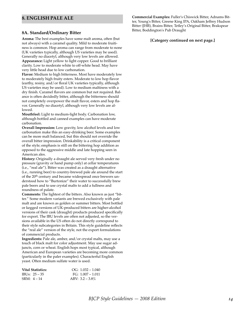#### <span id="page-20-0"></span>**8. ENGLISH PALE ALE**

#### <span id="page-20-1"></span>**8A. Standard/Ordinary Bitter**

**Aroma:** The best examples have some malt aroma, often (but not always) with a caramel quality. Mild to moderate fruitiness is common. Hop aroma can range from moderate to none (UK varieties typically, although US varieties may be used). Generally no diacetyl, although very low levels are allowed. **Appearance:** Light yellow to light copper. Good to brilliant clarity. Low to moderate white to off-white head. May have very little head due to low carbonation.

**Flavor:** Medium to high bitterness. Most have moderately low to moderately high fruity esters. Moderate to low hop flavor (earthy, resiny, and/or floral UK varieties typically, although US varieties may be used). Low to medium maltiness with a dry finish. Caramel flavors are common but not required. Balance is often decidedly bitter, although the bitterness should not completely overpower the malt flavor, esters and hop flavor. Generally no diacetyl, although very low levels are allowed.

**Mouthfeel:** Light to medium-light body. Carbonation low, although bottled and canned examples can have moderate carbonation.

**Overall Impression:** Low gravity, low alcohol levels and low carbonation make this an easy-drinking beer. Some examples can be more malt balanced, but this should not override the overall bitter impression. Drinkability is a critical component of the style; emphasis is still on the bittering hop addition as opposed to the aggressive middle and late hopping seen in American ales.

**History:** Originally a draught ale served very fresh under no pressure (gravity or hand pump only) at cellar temperatures (i.e., "real ale"). Bitter was created as a draught alternative (i.e., running beer) to country-brewed pale ale around the start of the 20th century and became widespread once brewers understood how to "Burtonize" their water to successfully brew pale beers and to use crystal malts to add a fullness and roundness of palate.

**Comments:** The lightest of the bitters. Also known as just "bitter." Some modern variants are brewed exclusively with pale malt and are known as golden or summer bitters. Most bottled or kegged versions of UK-produced bitters are higher-alcohol versions of their cask (draught) products produced specifically for export. The IBU levels are often not adjusted, so the versions available in the US often do not directly correspond to their style subcategories in Britain. This style guideline reflects the "real ale" version of the style, not the export formulations of commercial products.

**Ingredients:** Pale ale, amber, and/or crystal malts, may use a touch of black malt for color adjustment. May use sugar adjuncts, corn or wheat. English hops most typical, although American and European varieties are becoming more common (particularly in the paler examples). Characterful English yeast. Often medium sulfate water is used.

| <b>Vital Statistics:</b> | $OG: 1.032 - 1.040$ |
|--------------------------|---------------------|
| $IBUs: 25-35$            | $FG: 1.007 - 1.011$ |
| SRM: 4 – 14              | ABV: $3.2 - 3.8\%$  |

**Commercial Examples:** Fuller's Chiswick Bitter, Adnams Bitter, Young's Bitter, Greene King IPA, Oakham Jeffrey Hudson Bitter (JHB), Brains Bitter, Tetley's Original Bitter, Brakspear Bitter, Boddington's Pub Draught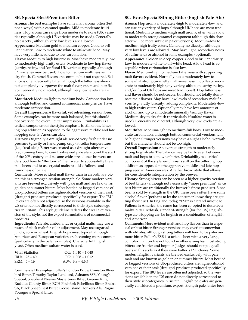#### <span id="page-21-0"></span>**8B. Special/Best/Premium Bitter**

**Aroma:** The best examples have some malt aroma, often (but not always) with a caramel quality. Mild to moderate fruitiness. Hop aroma can range from moderate to none (UK varieties typically, although US varieties may be used). Generally no diacetyl, although very low levels are allowed.

**Appearance:** Medium gold to medium copper. Good to brilliant clarity. Low to moderate white to off-white head. May have very little head due to low carbonation.

**Flavor:** Medium to high bitterness. Most have moderately low to moderately high fruity esters. Moderate to low hop flavor (earthy, resiny, and/or floral UK varieties typically, although US varieties may be used). Low to medium maltiness with a dry finish. Caramel flavors are common but not required. Balance is often decidedly bitter, although the bitterness should not completely overpower the malt flavor, esters and hop flavor. Generally no diacetyl, although very low levels are allowed.

**Mouthfeel:** Medium-light to medium body. Carbonation low, although bottled and canned commercial examples can have moderate carbonation.

**Overall Impression:** A flavorful, yet refreshing, session beer. Some examples can be more malt balanced, but this should not override the overall bitter impression. Drinkability is a critical component of the style; emphasis is still on the bittering hop addition as opposed to the aggressive middle and late hopping seen in American ales.

**History:** Originally a draught ale served very fresh under no pressure (gravity or hand pump only) at cellar temperatures (i.e., "real ale"). Bitter was created as a draught alternative (i.e., running beer) to country-brewed pale ale around the start of the 20<sup>th</sup> century and became widespread once brewers understood how to "Burtonize" their water to successfully brew pale beers and to use crystal malts to add a fullness and roundness of palate.

**Comments:** More evident malt flavor than in an ordinary bitter, this is a stronger, session-strength ale. Some modern variants are brewed exclusively with pale malt and are known as golden or summer bitters. Most bottled or kegged versions of UK-produced bitters are higher-alcohol versions of their cask (draught) products produced specifically for export. The IBU levels are often not adjusted, so the versions available in the US often do not directly correspond to their style subcategories in Britain. This style guideline reflects the "real ale" version of the style, not the export formulations of commercial products.

**Ingredients:** Pale ale, amber, and/or crystal malts, may use a touch of black malt for color adjustment. May use sugar adjuncts, corn or wheat. English hops most typical, although American and European varieties are becoming more common (particularly in the paler examples). Characterful English yeast. Often medium sulfate water is used.

| <b>Vital Statistics:</b> | $OG: 1.040 - 1.048$ |
|--------------------------|---------------------|
| $IBUs: 25-40$            | $FG: 1.008 - 1.012$ |
| SRM: 5 – 16              | ABV: $3.8 - 4.6\%$  |

**Commercial Examples:** Fuller's London Pride, Coniston Bluebird Bitter, Timothy Taylor Landlord, Adnams SSB, Young's Special, Shepherd Neame Masterbrew Bitter, Greene King Ruddles County Bitter, RCH Pitchfork Rebellious Bitter, Brains SA, Black Sheep Best Bitter, Goose Island Honkers Ale, Rogue Younger's Special Bitter

#### <span id="page-21-1"></span>**8C. Extra Special/Strong Bitter (English Pale Ale)**

**Aroma:** Hop aroma moderately-high to moderately-low, and can use any variety of hops although UK hops are most traditional. Medium to medium-high malt aroma, often with a low to moderately strong caramel component (although this character will be more subtle in paler versions). Medium-low to medium-high fruity esters. Generally no diacetyl, although very low levels are allowed. May have light, secondary notes of sulfur and/or alcohol in some examples (optional). **Appearance:** Golden to deep copper. Good to brilliant clarity. Low to moderate white to off-white head. A low head is ac-

ceptable when carbonation is also low.

**Flavor:** Medium-high to medium bitterness with supporting malt flavors evident. Normally has a moderately low to somewhat strong caramelly malt sweetness. Hop flavor moderate to moderately high (any variety, although earthy, resiny, and/or floral UK hops are most traditional). Hop bitterness and flavor should be noticeable, but should not totally dominate malt flavors. May have low levels of secondary malt flavors (e.g., nutty, biscuity) adding complexity. Moderately-low to high fruity esters. Optionally may have low amounts of alcohol, and up to a moderate minerally/sulfury flavor. Medium-dry to dry finish (particularly if sulfate water is used). Generally no diacetyl, although very low levels are allowed.

**Mouthfeel:** Medium-light to medium-full body. Low to moderate carbonation, although bottled commercial versions will be higher. Stronger versions may have a slight alcohol warmth but this character should not be too high.

**Overall Impression:** An average-strength to moderatelystrong English ale. The balance may be fairly even between malt and hops to somewhat bitter. Drinkability is a critical component of the style; emphasis is still on the bittering hop addition as opposed to the aggressive middle and late hopping seen in American ales. A rather broad style that allows for considerable interpretation by the brewer.

**History:** Strong bitters can be seen as a higher-gravity version of best bitters (although not necessarily "more premium" since best bitters are traditionally the brewer's finest product). Since beer is sold by strength in the UK, these beers often have some alcohol flavor (perhaps to let the consumer know they are getting their due). In England today, "ESB" is a brand unique to Fullers; in America, the name has been co-opted to describe a malty, bitter, reddish, standard-strength (for the US) Englishtype ale. Hopping can be English or a combination of English and American.

**Comments:** More evident malt and hop flavors than in a special or best bitter. Stronger versions may overlap somewhat with old ales, although strong bitters will tend to be paler and more bitter. Fuller's ESB is a unique beer with a very large, complex malt profile not found in other examples; most strong bitters are fruitier and hoppier. Judges should not judge all beers in this style as if they were Fuller's ESB clones. Some modern English variants are brewed exclusively with pale malt and are known as golden or summer bitters. Most bottled or kegged versions of UK-produced bitters are higher-alcohol versions of their cask (draught) products produced specifically for export. The IBU levels are often not adjusted, so the versions available in the US often do not directly correspond to their style subcategories in Britain. English pale ales are generally considered a premium, export-strength pale, bitter beer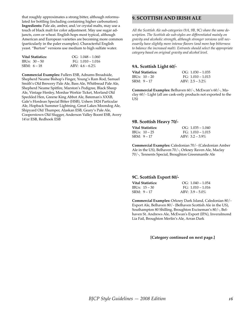that roughly approximates a strong bitter, although reformulated for bottling (including containing higher carbonation). **Ingredients:** Pale ale, amber, and/or crystal malts, may use a touch of black malt for color adjustment. May use sugar adjuncts, corn or wheat. English hops most typical, although American and European varieties are becoming more common (particularly in the paler examples). Characterful English yeast. "Burton" versions use medium to high sulfate water.

| <b>Vital Statistics:</b> | $OG: 1.048 - 1.060$ |
|--------------------------|---------------------|
| $IBUs: 30-50$            | $FG: 1.010 - 1.016$ |
| SRM: $6-18$              | ABV: $4.6 - 6.2\%$  |

**Commercial Examples:** Fullers ESB, Adnams Broadside, Shepherd Neame Bishop's Finger, Young's Ram Rod, Samuel Smith's Old Brewery Pale Ale, Bass Ale, Whitbread Pale Ale, Shepherd Neame Spitfire, Marston's Pedigree, Black Sheep Ale, Vintage Henley, Mordue Workie Ticket, Morland Old Speckled Hen, Greene King Abbot Ale, Bateman's XXXB, Gale's Hordean Special Bitter (HSB), Ushers 1824 Particular Ale, Hopback Summer Lightning, Great Lakes Moondog Ale, Shipyard Old Thumper, Alaskan ESB, Geary's Pale Ale, Cooperstown Old Slugger, Anderson Valley Boont ESB, Avery 14'er ESB, Redhook ESB

#### <span id="page-22-0"></span>**9. SCOTTISH AND IRISH ALE**

*All the Scottish Ale sub-categories (9A, 9B, 9C) share the same description. The Scottish ale sub-styles are differentiated mainly on gravity and alcoholic strength, although stronger versions will necessarily have slightly more intense flavors (and more hop bitterness to balance the increased malt). Entrants should select the appropriate category based on original gravity and alcohol level.*

#### <span id="page-22-1"></span>**9A. Scottish Light 60/-**

| $OG: 1.030 - 1.035$ |
|---------------------|
| $FG: 1.010 - 1.013$ |
| ABV: $2.5 - 3.2\%$  |
|                     |

**Commercial Examples:** Belhaven 60/-, McEwan's 60/-, Maclay 60/- Light (all are cask-only products not exported to the US)

#### <span id="page-22-2"></span>**9B. Scottish Heavy 70/-**

| Vital Statistics: | $OG: 1.035 - 1.040$ |
|-------------------|---------------------|
| IBUs: 10 – 25     | $FG: 1.010 - 1.015$ |
| SRM: 9–17         | $ABV: 3.2 - 3.9\%$  |

**Commercial Examples:** Caledonian 70/- (Caledonian Amber Ale in the US), Belhaven 70/-, Orkney Raven Ale, Maclay 70/-, Tennents Special, Broughton Greenmantle Ale

#### <span id="page-22-3"></span>**9C. Scottish Export 80/-**

| <b>Vital Statistics:</b> | $OG: 1.040 - 1.054$ |
|--------------------------|---------------------|
| IBUs: $15 - 30$          | $FG: 1.010 - 1.016$ |
| SRM: 9 – 17              | ABV: $3.9 - 5.0\%$  |

**Commercial Examples:** Orkney Dark Island, Caledonian 80/- Export Ale, Belhaven 80/- (Belhaven Scottish Ale in the US), Southampton 80 Shilling, Broughton Exciseman's 80/-, Belhaven St. Andrews Ale, McEwan's Export (IPA), Inveralmond Lia Fail, Broughton Merlin's Ale, Arran Dark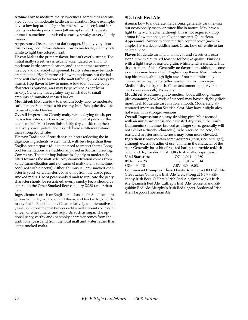**Aroma:** Low to medium malty sweetness, sometimes accentuated by low to moderate kettle caramelization. Some examples have a low hop aroma, light fruitiness, low diacetyl, and/or a low to moderate peaty aroma (all are optional). The peaty aroma is sometimes perceived as earthy, smoky or very lightly roasted.

**Appearance:** Deep amber to dark copper. Usually very clear due to long, cool fermentations. Low to moderate, creamy offwhite to light tan-colored head.

**Flavor:** Malt is the primary flavor, but isn't overly strong. The initial malty sweetness is usually accentuated by a low to moderate kettle caramelization, and is sometimes accompanied by a low diacetyl component. Fruity esters may be moderate to none. Hop bitterness is low to moderate, but the balance will always be towards the malt (although not always by much). Hop flavor is low to none. A low to moderate peaty character is optional, and may be perceived as earthy or smoky. Generally has a grainy, dry finish due to small amounts of unmalted roasted barley.

**Mouthfeel:** Medium-low to medium body. Low to moderate carbonation. Sometimes a bit creamy, but often quite dry due to use of roasted barley.

**Overall Impression:** Cleanly malty with a drying finish, perhaps a few esters, and on occasion a faint bit of peaty earthiness (smoke). Most beers finish fairly dry considering their relatively sweet palate, and as such have a different balance than strong Scotch ales.

**History:** Traditional Scottish session beers reflecting the indigenous ingredients (water, malt), with less hops than their English counterparts (due to the need to import them). Long, cool fermentations are traditionally used in Scottish brewing. **Comments:** The malt-hop balance is slightly to moderately tilted towards the malt side. Any caramelization comes from kettle caramelization and not caramel malt (and is sometimes confused with diacetyl). Although unusual, any smoked character is yeast- or water-derived and not from the use of peatsmoked malts. Use of peat-smoked malt to replicate the peaty character should be restrained; overly smoky beers should be entered in the Other Smoked Beer category (22B) rather than here.

**Ingredients:** Scottish or English pale base malt. Small amounts of roasted barley add color and flavor, and lend a dry, slightly roasty finish. English hops. Clean, relatively un-attenuative ale yeast. Some commercial brewers add small amounts of crystal, amber, or wheat malts, and adjuncts such as sugar. The optional peaty, earthy and/or smoky character comes from the traditional yeast and from the local malt and water rather than using smoked malts.

#### <span id="page-23-0"></span>**9D. Irish Red Ale**

**Aroma:** Low to moderate malt aroma, generally caramel-like but occasionally toasty or toffee-like in nature. May have a light buttery character (although this is not required). Hop aroma is low to none (usually not present). Quite clean. **Appearance:** Amber to deep reddish copper color (most examples have a deep reddish hue). Clear. Low off-white to tan colored head.

**Flavor:** Moderate caramel malt flavor and sweetness, occasionally with a buttered toast or toffee-like quality. Finishes with a light taste of roasted grain, which lends a characteristic dryness to the finish. Generally no flavor hops, although some examples may have a light English hop flavor. Medium-low hop bitterness, although light use of roasted grains may increase the perception of bitterness to the medium range. Medium-dry to dry finish. Clean and smooth (lager versions can be very smooth). No esters.

**Mouthfeel:** Medium-light to medium body, although examples containing low levels of diacetyl may have a slightly slick mouthfeel. Moderate carbonation. Smooth. Moderately attenuated (more so than Scottish ales). May have a slight alcohol warmth in stronger versions.

**Overall Impression:** An easy-drinking pint. Malt-focused with an initial sweetness and a roasted dryness in the finish. **Comments:** Sometimes brewed as a lager (if so, generally will not exhibit a diacetyl character). When served too cold, the roasted character and bitterness may seem more elevated. **Ingredients:** May contain some adjuncts (corn, rice, or sugar), although excessive adjunct use will harm the character of the beer. Generally has a bit of roasted barley to provide reddish color and dry roasted finish. UK/Irish malts, hops, yeast.

| Vital Statistics: | $OG: 1.044 - 1.060$ |
|-------------------|---------------------|
| IBUs: $17-28$     | $FG: 1.010 - 1.014$ |
| $SRM: 9-18$       | ABV: $4.0 - 6.0\%$  |
|                   | --------            |

**Commercial Examples:** Three Floyds Brian Boru Old Irish Ale, Great Lakes Conway's Irish Ale (a bit strong at 6.5%), Kilkenny Irish Beer, O'Hara's Irish Red Ale, Smithwick's Irish Ale, Beamish Red Ale, Caffrey's Irish Ale, Goose Island Kilgubbin Red Ale, Murphy's Irish Red (lager), Boulevard Irish Ale, Harpoon Hibernian Ale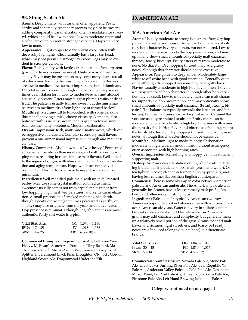#### <span id="page-24-0"></span>**9E. Strong Scotch Ale**

**Aroma:** Deeply malty, with caramel often apparent. Peaty, earthy and/or smoky secondary aromas may also be present, adding complexity. Caramelization often is mistaken for diacetyl, which should be low to none. Low to moderate esters and alcohol are often present in stronger versions. Hops are very low to none.

**Appearance:** Light copper to dark brown color, often with deep ruby highlights. Clear. Usually has a large tan head, which may not persist in stronger versions. Legs may be evident in stronger versions.

**Flavor:** Richly malty with kettle caramelization often apparent (particularly in stronger versions). Hints of roasted malt or smoky flavor may be present, as may some nutty character, all of which may last into the finish. Hop flavors and bitterness are low to medium-low, so malt impression should dominate. Diacetyl is low to none, although caramelization may sometimes be mistaken for it. Low to moderate esters and alcohol are usually present. Esters may suggest plums, raisins or dried fruit. The palate is usually full and sweet, but the finish may be sweet to medium-dry (from light use of roasted barley). **Mouthfeel:** Medium-full to full-bodied, with some versions (but not all) having a thick, chewy viscosity. A smooth, alcoholic warmth is usually present and is quite welcome since it balances the malty sweetness. Moderate carbonation. **Overall Impression:** Rich, malty and usually sweet, which can

be suggestive of a dessert. Complex secondary malt flavors prevent a one-dimensional impression. Strength and maltiness can vary.

**History/Comments:** Also known as a "wee heavy." Fermented at cooler temperatures than most ales, and with lower hopping rates, resulting in clean, intense malt flavors. Well suited to the region of origin, with abundant malt and cool fermentation and aging temperature. Hops, which are not native to Scotland and formerly expensive to import, were kept to a minimum.

**Ingredients:** Well-modified pale malt, with up to 3% roasted barley. May use some crystal malt for color adjustment; sweetness usually comes not from crystal malts rather from low hopping, high mash temperatures, and kettle caramelization. A small proportion of smoked malt may add depth, though a peaty character (sometimes perceived as earthy or smoky) may also originate from the yeast and native water. Hop presence is minimal, although English varieties are most authentic. Fairly soft water is typical.

| <b>Vital Statistics:</b> | $OG: 1.070 - 1.130$ |
|--------------------------|---------------------|
| <b>IBUs:</b> $17 - 35$   | $FG: 1.018 - 1.056$ |
| SRM: 14 – 25             | ABV: $6.5 - 10\%$   |

**Commercial Examples:** Traquair House Ale, Belhaven Wee Heavy, McEwan's Scotch Ale, Founders Dirty Bastard, MacAndrew's Scotch Ale, AleSmith Wee Heavy, Orkney Skull Splitter, Inveralmond Black Friar, Broughton Old Jock, Gordon Highland Scotch Ale, Dragonmead Under the Kilt

#### <span id="page-24-1"></span>**10. AMERICAN ALE**

#### <span id="page-24-2"></span>**10A. American Pale Ale**

**Aroma:** Usually moderate to strong hop aroma from dry hopping or late kettle additions of American hop varieties. A citrusy hop character is very common, but not required. Low to moderate maltiness supports the hop presentation, and may optionally show small amounts of specialty malt character (bready, toasty, biscuity). Fruity esters vary from moderate to none. No diacetyl. Dry hopping (if used) may add grassy notes, although this character should not be excessive. **Appearance:** Pale golden to deep amber. Moderately large white to off-white head with good retention. Generally quite clear, although dry-hopped versions may be slightly hazy. **Flavor:** Usually a moderate to high hop flavor, often showing a citrusy American hop character (although other hop varieties may be used). Low to moderately high clean malt character supports the hop presentation, and may optionally show small amounts of specialty malt character (bready, toasty, biscuity). The balance is typically towards the late hops and bitterness, but the malt presence can be substantial. Caramel flavors are usually restrained or absent. Fruity esters can be moderate to none. Moderate to high hop bitterness with a medium to dry finish. Hop flavor and bitterness often lingers into the finish. No diacetyl. Dry hopping (if used) may add grassy notes, although this character should not be excessive. **Mouthfeel:** Medium-light to medium body. Carbonation moderate to high. Overall smooth finish without astringency often associated with high hopping rates.

**Overall Impression:** Refreshing and hoppy, yet with sufficient supporting malt.

**History:** An American adaptation of English pale ale, reflecting indigenous ingredients (hops, malt, yeast, and water). Often lighter in color, cleaner in fermentation by-products, and having less caramel flavors than English counterparts. **Comments:** There is some overlap in color between American pale ale and American amber ale. The American pale ale will generally be cleaner, have a less caramelly malt profile, less body, and often more finishing hops.

**Ingredients:** Pale ale malt, typically American two-row. American hops, often but not always ones with a citrusy character. American ale yeast. Water can vary in sulfate content, but carbonate content should be relatively low. Specialty grains may add character and complexity, but generally make up a relatively small portion of the grist. Grains that add malt flavor and richness, light sweetness, and toasty or bready notes are often used (along with late hops) to differentiate brands.

| Vital Statistics: | $OG: 1.045 - 1.060$ |
|-------------------|---------------------|
| IBUs: 30 – 45     | $FG: 1.010 - 1.015$ |
| SRM: 5–14         | ABV: $4.5 - 6.2\%$  |

**Commercial Examples:** Sierra Nevada Pale Ale, Stone Pale Ale, Great Lakes Burning River Pale Ale, Bear Republic XP Pale Ale, Anderson Valley Poleeko Gold Pale Ale, Deschutes Mirror Pond, Full Sail Pale Ale, Three Floyds X-Tra Pale Ale, Firestone Pale Ale, Left Hand Brewing Jackman's Pale Ale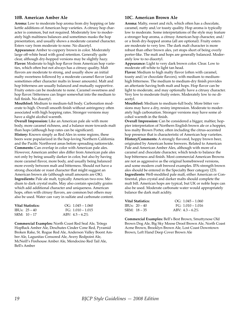#### <span id="page-25-0"></span>**10B. American Amber Ale**

**Aroma:** Low to moderate hop aroma from dry hopping or late kettle additions of American hop varieties. A citrusy hop character is common, but not required. Moderately low to moderately high maltiness balances and sometimes masks the hop presentation, and usually shows a moderate caramel character. Esters vary from moderate to none. No diacetyl.

**Appearance:** Amber to coppery brown in color. Moderately large off-white head with good retention. Generally quite clear, although dry-hopped versions may be slightly hazy. **Flavor:** Moderate to high hop flavor from American hop varieties, which often but not always has a citrusy quality. Malt flavors are moderate to strong, and usually show an initial malty sweetness followed by a moderate caramel flavor (and sometimes other character malts in lesser amounts). Malt and hop bitterness are usually balanced and mutually supportive. Fruity esters can be moderate to none. Caramel sweetness and hop flavor/bitterness can linger somewhat into the medium to full finish. No diacetyl.

**Mouthfeel:** Medium to medium-full body. Carbonation moderate to high. Overall smooth finish without astringency often associated with high hopping rates. Stronger versions may have a slight alcohol warmth.

**Overall Impression:** Like an American pale ale with more body, more caramel richness, and a balance more towards malt than hops (although hop rates can be significant).

**History:** Known simply as Red Ales in some regions, these beers were popularized in the hop-loving Northern California and the Pacific Northwest areas before spreading nationwide.

**Comments:** Can overlap in color with American pale ales. However, American amber ales differ from American pale ales not only by being usually darker in color, but also by having more caramel flavor, more body, and usually being balanced more evenly between malt and bitterness. Should not have a strong chocolate or roast character that might suggest an American brown ale (although small amounts are OK). **Ingredients:** Pale ale malt, typically American two-row. Medium to dark crystal malts. May also contain specialty grains which add additional character and uniqueness. American hops, often with citrusy flavors, are common but others may also be used. Water can vary in sulfate and carbonate content.

| Vital Statistics: | $OG: 1.045 - 1.060$ |
|-------------------|---------------------|
| IBUs: $25-40$     | FG: $1.010 - 1.015$ |
| SRM: 10 – 17      | ABV: $4.5 - 6.2\%$  |

**Commercial Examples:** North Coast Red Seal Ale, Tröegs HopBack Amber Ale, Deschutes Cinder Cone Red, Pyramid Broken Rake, St. Rogue Red Ale, Anderson Valley Boont Amber Ale, Lagunitas Censored Ale, Avery Redpoint Ale, McNeill's Firehouse Amber Ale, Mendocino Red Tail Ale, Bell's Amber

#### <span id="page-25-1"></span>**10C. American Brown Ale**

**Aroma:** Malty, sweet and rich, which often has a chocolate, caramel, nutty and/or toasty quality. Hop aroma is typically low to moderate. Some interpretations of the style may feature a stronger hop aroma, a citrusy American hop character, and/ or a fresh dry-hopped aroma (all are optional). Fruity esters are moderate to very low. The dark malt character is more robust than other brown ales, yet stops short of being overly porter-like. The malt and hops are generally balanced. Moderately low to no diacetyl.

**Appearance:** Light to very dark brown color. Clear. Low to moderate off-white to light tan head.

**Flavor:** Medium to high malty flavor (often with caramel, toasty and/or chocolate flavors), with medium to mediumhigh bitterness. The medium to medium-dry finish provides an aftertaste having both malt and hops. Hop flavor can be light to moderate, and may optionally have a citrusy character. Very low to moderate fruity esters. Moderately low to no diacetyl.

**Mouthfeel:** Medium to medium-full body. More bitter versions may have a dry, resiny impression. Moderate to moderately high carbonation. Stronger versions may have some alcohol warmth in the finish.

**Overall Impression:** Can be considered a bigger, maltier, hoppier interpretation of Northern English brown ale or a hoppier, less malty Brown Porter, often including the citrus-accented hop presence that is characteristic of American hop varieties. **History/Comments:** A strongly flavored, hoppy brown beer, originated by American home brewers. Related to American Pale and American Amber Ales, although with more of a caramel and chocolate character, which tends to balance the hop bitterness and finish. Most commercial American Browns are not as aggressive as the original homebrewed versions, and some modern craft brewed examples. IPA-strength brown ales should be entered in the Specialty Beer category (23). **Ingredients:** Well-modified pale malt, either American or Continental, plus crystal and darker malts should complete the malt bill. American hops are typical, but UK or noble hops can also be used. Moderate carbonate water would appropriately balance the dark malt acidity.

| <b>Vital Statistics:</b> | $OG: 1.045 - 1.060$ |
|--------------------------|---------------------|
| IBUs: $20 - 40$          | $FG: 1.010 - 1.016$ |
| $SRM: 18-35$             | ABV: $4.3 - 6.2\%$  |

**Commercial Examples:** Bell's Best Brown, Smuttynose Old Brown Dog Ale, Big Sky Moose Drool Brown Ale, North Coast Acme Brown, Brooklyn Brown Ale, Lost Coast Downtown Brown, Left Hand Deep Cover Brown Ale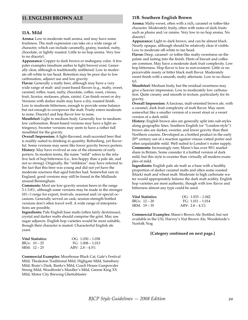#### <span id="page-26-0"></span>**11. ENGLISH BROWN ALE**

#### <span id="page-26-1"></span>**11A. Mild**

**Aroma:** Low to moderate malt aroma, and may have some fruitiness. The malt expression can take on a wide range of character, which can include caramelly, grainy, toasted, nutty, chocolate, or lightly roasted. Little to no hop aroma. Very low to no diacetyl.

**Appearance:** Copper to dark brown or mahogany color. A few paler examples (medium amber to light brown) exist. Generally clear, although is traditionally unfiltered. Low to moderate off-white to tan head. Retention may be poor due to low carbonation, adjunct use and low gravity.

**Flavor:** Generally a malty beer, although may have a very wide range of malt- and yeast-based flavors (e.g., malty, sweet, caramel, toffee, toast, nutty, chocolate, coffee, roast, vinous, fruit, licorice, molasses, plum, raisin). Can finish sweet or dry. Versions with darker malts may have a dry, roasted finish. Low to moderate bitterness, enough to provide some balance but not enough to overpower the malt. Fruity esters moderate to none. Diacetyl and hop flavor low to none.

**Mouthfeel:** Light to medium body. Generally low to mediumlow carbonation. Roast-based versions may have a light astringency. Sweeter versions may seem to have a rather full mouthfeel for the gravity.

**Overall Impression:** A light-flavored, malt-accented beer that is readily suited to drinking in quantity. Refreshing, yet flavorful. Some versions may seem like lower gravity brown porters. **History:** May have evolved as one of the elements of early porters. In modern terms, the name "mild" refers to the relative lack of hop bitterness (i.e., less hoppy than a pale ale, and not so strong). Originally, the "mildness" may have referred to the fact that this beer was young and did not yet have the moderate sourness that aged batches had. Somewhat rare in England, good versions may still be found in the Midlands around Birmingham.

**Comments:** Most are low-gravity session beers in the range 3.1-3.8%, although some versions may be made in the stronger  $(4\%)$  range for export, festivals, seasonal and/or special occasions. Generally served on cask; session-strength bottled versions don't often travel well. A wide range of interpretations are possible.

**Ingredients:** Pale English base malts (often fairly dextrinous), crystal and darker malts should comprise the grist. May use sugar adjuncts. English hop varieties would be most suitable, though their character is muted. Characterful English ale yeast.

| <b>Vital Statistics:</b> | $OG: 1.030 - 1.038$ |
|--------------------------|---------------------|
| IBUs: $10-25$            | $FG: 1.008 - 1.013$ |
| $SRM: 12-25$             | ABV: $2.8 - 4.5\%$  |

**Commercial Examples:** Moorhouse Black Cat, Gale's Festival Mild, Theakston Traditional Mild, Highgate Mild, Sainsbury Mild, Brain's Dark, Banks's Mild, Coach House Gunpowder Strong Mild, Woodforde's Mardler's Mild, Greene King XX Mild, Motor City Brewing Ghettoblaster

#### <span id="page-26-2"></span>**11B. Southern English Brown**

**Aroma:** Malty-sweet, often with a rich, caramel or toffee-like character. Moderately fruity, often with notes of dark fruits such as plums and/or raisins. Very low to no hop aroma. No diacetyl.

**Appearance:** Light to dark brown, and can be almost black. Nearly opaque, although should be relatively clear if visible. Low to moderate off-white to tan head.

**Flavor:** Deep, caramel- or toffee-like malty sweetness on the palate and lasting into the finish. Hints of biscuit and coffee are common. May have a moderate dark fruit complexity. Low hop bitterness. Hop flavor is low to non-existent. Little or no perceivable roasty or bitter black malt flavor. Moderately sweet finish with a smooth, malty aftertaste. Low to no diacetyl.

**Mouthfeel:** Medium body, but the residual sweetness may give a heavier impression. Low to moderately low carbonation. Quite creamy and smooth in texture, particularly for its gravity.

**Overall Impression:** A luscious, malt-oriented brown ale, with a caramel, dark fruit complexity of malt flavor. May seem somewhat like a smaller version of a sweet stout or a sweet version of a dark mild.

**History:** English brown ales are generally split into sub-styles along geographic lines. Southern English (or "London-style") brown ales are darker, sweeter, and lower gravity than their Northern cousins. Developed as a bottled product in the early 20<sup>th</sup> century out of a reaction against vinous vatted porter and often unpalatable mild. Well suited to London's water supply. **Comments:** Increasingly rare; Mann's has over 90% market share in Britain. Some consider it a bottled version of dark mild, but this style is sweeter than virtually all modern examples of mild.

**Ingredients:** English pale ale malt as a base with a healthy proportion of darker caramel malts and often some roasted (black) malt and wheat malt. Moderate to high carbonate water would appropriately balance the dark malt acidity. English hop varieties are most authentic, though with low flavor and bitterness almost any type could be used.

| <b>Vital Statistics:</b> | $OG: 1.033 - 1.042$ |
|--------------------------|---------------------|
| IBUs: $12-20$            | $FG: 1.011 - 1.014$ |
| $SRM: 19-35$             | $ABV: 2.8 - 4.1\%$  |

**Commercial Examples:** Mann's Brown Ale (bottled, but not available in the US), Harvey's Nut Brown Ale, Woodeforde's Norfolk Nog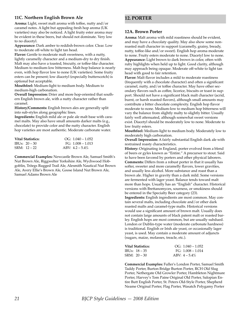#### <span id="page-27-0"></span>**11C. Northern English Brown Ale**

**Aroma:** Light, sweet malt aroma with toffee, nutty and/or caramel notes. A light but appealing fresh hop aroma (UK varieties) may also be noticed. A light fruity ester aroma may be evident in these beers, but should not dominate. Very low to no diacetyl.

**Appearance:** Dark amber to reddish-brown color. Clear. Low to moderate off-white to light tan head.

**Flavor:** Gentle to moderate malt sweetness, with a nutty, lightly caramelly character and a medium-dry to dry finish. Malt may also have a toasted, biscuity, or toffee-like character. Medium to medium-low bitterness. Malt-hop balance is nearly even, with hop flavor low to none (UK varieties). Some fruity esters can be present; low diacetyl (especially butterscotch) is optional but acceptable.

**Mouthfeel:** Medium-light to medium body. Medium to medium-high carbonation.

**Overall Impression:** Drier and more hop-oriented that southern English brown ale, with a nutty character rather than caramel.

**History/Comments:** English brown ales are generally split into sub-styles along geographic lines.

**Ingredients:** English mild ale or pale ale malt base with caramel malts. May also have small amounts darker malts (e.g., chocolate) to provide color and the nutty character. English hop varieties are most authentic. Moderate carbonate water.

| Vital Statistics: | $OG: 1.040 - 1.052$ |
|-------------------|---------------------|
| $IBUs: 20-30$     | $FG: 1.008 - 1.013$ |
| SRM: 12 – 22      | ABV: $4.2 - 5.4\%$  |

**Commercial Examples:** Newcastle Brown Ale, Samuel Smith's Nut Brown Ale, Riggwelter Yorkshire Ale, Wychwood Hobgoblin, Tröegs Rugged Trail Ale, Alesmith Nautical Nut Brown Ale, Avery Ellie's Brown Ale, Goose Island Nut Brown Ale, Samuel Adams Brown Ale

## <span id="page-27-1"></span>**12. PORTER**

#### <span id="page-27-2"></span>**12A. Brown Porter**

**Aroma:** Malt aroma with mild roastiness should be evident, and may have a chocolaty quality. May also show some nonroasted malt character in support (caramelly, grainy, bready, nutty, toffee-like and/or sweet). English hop aroma moderate to none. Fruity esters moderate to none. Diacetyl low to none. **Appearance:** Light brown to dark brown in color, often with ruby highlights when held up to light. Good clarity, although may approach being opaque. Moderate off-white to light tan head with good to fair retention.

**Flavor:** Malt flavor includes a mild to moderate roastiness (frequently with a chocolate character) and often a significant caramel, nutty, and/or toffee character. May have other secondary flavors such as coffee, licorice, biscuits or toast in support. Should not have a significant black malt character (acrid, burnt, or harsh roasted flavors), although small amounts may contribute a bitter chocolate complexity. English hop flavor moderate to none. Medium-low to medium hop bitterness will vary the balance from slightly malty to slightly bitter. Usually fairly well attenuated, although somewhat sweet versions exist. Diacetyl should be moderately low to none. Moderate to low fruity esters.

**Mouthfeel:** Medium-light to medium body. Moderately low to moderately high carbonation.

**Overall Impression:** A fairly substantial English dark ale with restrained roasty characteristics.

**History:** Originating in England, porter evolved from a blend of beers or gyles known as "Entire." A precursor to stout. Said to have been favored by porters and other physical laborers. **Comments:** Differs from a robust porter in that it usually has softer, sweeter and more caramelly flavors, lower gravities, and usually less alcohol. More substance and roast than a brown ale. Higher in gravity than a dark mild. Some versions are fermented with lager yeast. Balance tends toward malt more than hops. Usually has an "English" character. Historical versions with Brettanomyces, sourness, or smokiness should be entered in the Specialty Beer category (23).

**Ingredients:** English ingredients are most common. May contain several malts, including chocolate and/or other dark roasted malts and caramel-type malts. Historical versions would use a significant amount of brown malt. Usually does not contain large amounts of black patent malt or roasted barley. English hops are most common, but are usually subdued. London or Dublin-type water (moderate carbonate hardness) is traditional. English or Irish ale yeast, or occasionally lager yeast, is used. May contain a moderate amount of adjuncts (sugars, maize, molasses, treacle, etc.).

| <b>Vital Statistics:</b> | $OG: 1.040 - 1.052$ |
|--------------------------|---------------------|
| IBUs: $18 - 35$          | $FG: 1.008 - 1.014$ |
| $SRM: 20 - 30$           | ABV: $4 - 5.4\%$    |

**Commercial Examples:** Fuller's London Porter, Samuel Smith Taddy Porter, Burton Bridge Burton Porter, RCH Old Slug Porter, Nethergate Old Growler Porter, Hambleton Nightmare Porter, Harvey's Tom Paine Original Old Porter, Salopian Entire Butt English Porter, St. Peters Old-Style Porter, Shepherd Neame Original Porter, Flag Porter, Wasatch Polygamy Porter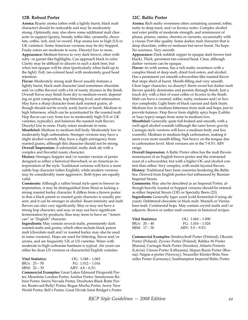#### <span id="page-28-0"></span>**12B. Robust Porter**

**Aroma:** Roasty aroma (often with a lightly burnt, black malt character) should be noticeable and may be moderately strong. Optionally may also show some additional malt character in support (grainy, bready, toffee-like, caramelly, chocolate, coffee, rich, and/or sweet). Hop aroma low to high (US or UK varieties). Some American versions may be dry-hopped. Fruity esters are moderate to none. Diacetyl low to none.

**Appearance:** Medium brown to very dark brown, often with ruby- or garnet-like highlights. Can approach black in color. Clarity may be difficult to discern in such a dark beer, but when not opaque will be clear (particularly when held up to the light). Full, tan-colored head with moderately good head retention.

**Flavor:** Moderately strong malt flavor usually features a lightly burnt, black malt character (and sometimes chocolate and/or coffee flavors) with a bit of roasty dryness in the finish. Overall flavor may finish from dry to medium-sweet, depending on grist composition, hop bittering level, and attenuation. May have a sharp character from dark roasted grains, although should not be overly acrid, burnt or harsh. Medium to high bitterness, which can be accentuated by the roasted malt. Hop flavor can vary from low to moderately high (US or UK varieties, typically), and balances the roasted malt flavors. Diacetyl low to none. Fruity esters moderate to none. **Mouthfeel:** Medium to medium-full body. Moderately low to moderately high carbonation. Stronger versions may have a slight alcohol warmth. May have a slight astringency from roasted grains, although this character should not be strong. **Overall Impression:** A substantial, malty dark ale with a complex and flavorful roasty character.

**History:** Stronger, hoppier and/or roastier version of porter designed as either a historical throwback or an American interpretation of the style. Traditional versions will have a more subtle hop character (often English), while modern versions may be considerably more aggressive. Both types are equally valid.

**Comments:** Although a rather broad style open to brewer interpretation, it may be distinguished from Stout as lacking a strong roasted barley character. It differs from a brown porter in that a black patent or roasted grain character is usually present, and it can be stronger in alcohol. Roast intensity and malt flavors can also vary significantly. May or may not have a strong hop character, and may or may not have significant fermentation by-products; thus may seem to have an "American" or "English" character.

**Ingredients:** May contain several malts, prominently dark roasted malts and grains, which often include black patent malt (chocolate malt and/or roasted barley may also be used in some versions). Hops are used for bittering, flavor and/or aroma, and are frequently UK or US varieties. Water with moderate to high carbonate hardness is typical. Ale yeast can either be clean US versions or characterful English varieties.

| <b>Vital Statistics:</b> |  | $OG: 1.048 - 1.065$ |  |
|--------------------------|--|---------------------|--|
| IBUs: 25 – 50            |  | $FG: 1.012 - 1.016$ |  |
| SRM: 22–35               |  | ABV: $4.8 - 6.5\%$  |  |
|                          |  |                     |  |

**Commercial Examples:** Great Lakes Edmund Fitzgerald Porter, Meantime London Porter, Anchor Porter, Smuttynose Robust Porter, Sierra Nevada Porter, Deschutes Black Butte Porter, Boulevard Bully! Porter, Rogue Mocha Porter, Avery New World Porter, Bell's Porter, Great Divide Saint Bridget's Porter

#### <span id="page-28-1"></span>**12C. Baltic Porter**

**Aroma:** Rich malty sweetness often containing caramel, toffee, nutty to deep toast, and/or licorice notes. Complex alcohol and ester profile of moderate strength, and reminiscent of plums, prunes, raisins, cherries or currants, occasionally with a vinous Port-like quality. Some darker malt character that is deep chocolate, coffee or molasses but never burnt. No hops. No sourness. Very smooth.

**Appearance:** Dark reddish copper to opaque dark brown (not black). Thick, persistent tan-colored head. Clear, although darker versions can be opaque.

**Flavor:** As with aroma, has a rich malty sweetness with a complex blend of deep malt, dried fruit esters, and alcohol. Has a prominent yet smooth schwarzbier-like roasted flavor that stops short of burnt. Mouth-filling and very smooth. Clean lager character; no diacetyl. Starts sweet but darker malt flavors quickly dominates and persists through finish. Just a touch dry with a hint of roast coffee or licorice in the finish. Malt can have a caramel, toffee, nutty, molasses and/or licorice complexity. Light hints of black currant and dark fruits. Medium-low to medium bitterness from malt and hops, just to provide balance. Hop flavor from slightly spicy hops (Lublin or Saaz types) ranges from none to medium-low.

**Mouthfeel:** Generally quite full-bodied and smooth, with a well-aged alcohol warmth (although the rarer lower gravity Carnegie-style versions will have a medium body and less warmth). Medium to medium-high carbonation, making it seem even more mouth-filling. Not heavy on the tongue due to carbonation level. Most versions are in the 7-8.5% ABV range.

**Overall Impression:** A Baltic Porter often has the malt flavors reminiscent of an English brown porter and the restrained roast of a schwarzbier, but with a higher OG and alcohol content than either. Very complex, with multi-layered flavors. **History:** Traditional beer from countries bordering the Baltic Sea. Derived from English porters but influenced by Russian Imperial Stouts.

**Comments:** May also be described as an Imperial Porter, although heavily roasted or hopped versions should be entered as either Imperial Stouts (13F) or Specialty Beers (23). **Ingredients:** Generally lager yeast (cold fermented if using ale yeast). Debittered chocolate or black malt. Munich or Vienna base malt. Continental hops. May contain crystal malts and/or adjuncts. Brown or amber malt common in historical recipes.

| Vital Statistics: | $OG: 1.060 - 1.090$ |
|-------------------|---------------------|
| IBUs: 20 – 40     | $FG: 1.016 - 1.024$ |
| SRM: 17–30        | ABV: $5.5 - 9.5\%$  |

**Commercial Examples:** Sinebrychoff Porter (Finland), Okocim Porter (Poland), Zywiec Porter (Poland), Baltika #6 Porter (Russia), Carnegie Stark Porter (Sweden), Aldaris Porteris (Latvia), Utenos Porter (Lithuania), Stepan Razin Porter (Russia), Nøgne ø porter (Norway), Neuzeller Kloster-Bräu Neuzeller Porter (Germany), Southampton Imperial Baltic Porter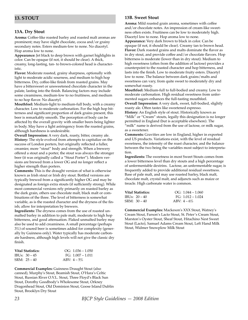#### <span id="page-29-1"></span><span id="page-29-0"></span>**13A. Dry Stout**

**Aroma:** Coffee-like roasted barley and roasted malt aromas are prominent; may have slight chocolate, cocoa and/or grainy secondary notes. Esters medium-low to none. No diacetyl. Hop aroma low to none.

**Appearance:** Jet black to deep brown with garnet highlights in color. Can be opaque (if not, it should be clear). A thick, creamy, long-lasting, tan- to brown-colored head is characteristic.

**Flavor:** Moderate roasted, grainy sharpness, optionally with light to moderate acidic sourness, and medium to high hop bitterness. Dry, coffee-like finish from roasted grains. May have a bittersweet or unsweetened chocolate character in the palate, lasting into the finish. Balancing factors may include some creaminess, medium-low to no fruitiness, and medium to no hop flavor. No diacetyl.

**Mouthfeel:** Medium-light to medium-full body, with a creamy character. Low to moderate carbonation. For the high hop bitterness and significant proportion of dark grains present, this beer is remarkably smooth. The perception of body can be affected by the overall gravity with smaller beers being lighter in body. May have a light astringency from the roasted grains, although harshness is undesirable.

**Overall Impression:** A very dark, roasty, bitter, creamy ale. **History:** The style evolved from attempts to capitalize on the success of London porters, but originally reflected a fuller, creamier, more "stout" body and strength. When a brewery offered a stout and a porter, the stout was always the stronger beer (it was originally called a "Stout Porter"). Modern versions are brewed from a lower OG and no longer reflect a higher strength than porters.

**Comments:** This is the draught version of what is otherwise known as Irish stout or Irish dry stout. Bottled versions are typically brewed from a significantly higher OG and may be designated as foreign extra stouts (if sufficiently strong). While most commercial versions rely primarily on roasted barley as the dark grain, others use chocolate malt, black malt or combinations of the three. The level of bitterness is somewhat variable, as is the roasted character and the dryness of the finish; allow for interpretation by brewers.

**Ingredients:** The dryness comes from the use of roasted unmalted barley in addition to pale malt, moderate to high hop bitterness, and good attenuation. Flaked unmalted barley may also be used to add creaminess. A small percentage (perhaps 3%) of soured beer is sometimes added for complexity (generally by Guinness only). Water typically has moderate carbonate hardness, although high levels will not give the classic dry finish.

| Vital Statistics: | $OG: 1.036 - 1.050$ |
|-------------------|---------------------|
| IBUs: 30 – 45     | $FG: 1.007 - 1.011$ |
| SRM: 25–40        | ABV: $4-5\%$        |

**Commercial Examples:** Guinness Draught Stout (also canned), Murphy's Stout, Beamish Stout, O'Hara's Celtic Stout, Russian River O.V.L. Stout, Three Floyd's Black Sun Stout, Dorothy Goodbody's Wholesome Stout, Orkney Dragonhead Stout, Old Dominion Stout, Goose Island Dublin Stout, Brooklyn Dry Stout

#### <span id="page-29-2"></span>**13B. Sweet Stout**

**Aroma:** Mild roasted grain aroma, sometimes with coffee and/or chocolate notes. An impression of cream-like sweetness often exists. Fruitiness can be low to moderately high. Diacetyl low to none. Hop aroma low to none.

**Appearance:** Very dark brown to black in color. Can be opaque (if not, it should be clear). Creamy tan to brown head. **Flavor:** Dark roasted grains and malts dominate the flavor as in dry stout, and provide coffee and/or chocolate flavors. Hop bitterness is moderate (lower than in dry stout). Medium to high sweetness (often from the addition of lactose) provides a counterpoint to the roasted character and hop bitterness, and lasts into the finish. Low to moderate fruity esters. Diacetyl low to none. The balance between dark grains/malts and sweetness can vary, from quite sweet to moderately dry and somewhat roasty.

**Mouthfeel:** Medium-full to full-bodied and creamy. Low to moderate carbonation. High residual sweetness from unfermented sugars enhances the full-tasting mouthfeel. **Overall Impression:** A very dark, sweet, full-bodied, slightly roasty ale. Often tastes like sweetened espresso.

**History:** An English style of stout. Historically known as "Milk" or "Cream" stouts, legally this designation is no longer permitted in England (but is acceptable elsewhere). The "milk" name is derived from the use of lactose, or milk sugar, as a sweetener.

**Comments:** Gravities are low in England, higher in exported and US products. Variations exist, with the level of residual sweetness, the intensity of the roast character, and the balance between the two being the variables most subject to interpretation.

**Ingredients:** The sweetness in most Sweet Stouts comes from a lower bitterness level than dry stouts and a high percentage of unfermentable dextrins. Lactose, an unfermentable sugar, is frequently added to provide additional residual sweetness. Base of pale malt, and may use roasted barley, black malt, chocolate malt, crystal malt, and adjuncts such as maize or treacle. High carbonate water is common.

| Vital Statistics: | $OG: 1.044 - 1.060$ |
|-------------------|---------------------|
| IBUs: 20–40       | $FG: 1.012 - 1.024$ |
| SRM: 30–40        | $ABV: 4-6%$         |

**Commercial Examples:** Mackeson's XXX Stout, Watney's Cream Stout, Farson's Lacto Stout, St. Peter's Cream Stout, Marston's Oyster Stout, Sheaf Stout, Hitachino Nest Sweet Stout (Lacto), Samuel Adams Cream Stout, Left Hand Milk Stout, Widmer Snowplow Milk Stout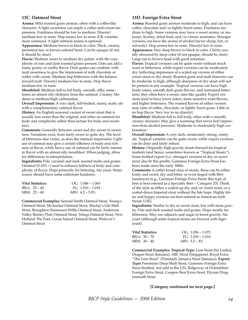#### <span id="page-30-0"></span>**13C. Oatmeal Stout**

**Aroma:** Mild roasted grain aromas, often with a coffee-like character. A light sweetness can imply a coffee-and-cream impression. Fruitiness should be low to medium. Diacetyl medium-low to none. Hop aroma low to none (UK varieties most common). A light oatmeal aroma is optional.

**Appearance:** Medium brown to black in color. Thick, creamy, persistent tan- to brown-colored head. Can be opaque (if not, it should be clear).

**Flavor:** Medium sweet to medium dry palate, with the complexity of oats and dark roasted grains present. Oats can add a nutty, grainy or earthy flavor. Dark grains can combine with malt sweetness to give the impression of milk chocolate or coffee with cream. Medium hop bitterness with the balance toward malt. Diacetyl medium-low to none. Hop flavor medium-low to none.

**Mouthfeel:** Medium-full to full body, smooth, silky, sometimes an almost oily slickness from the oatmeal. Creamy. Medium to medium-high carbonation.

**Overall Impression:** A very dark, full-bodied, roasty, malty ale with a complementary oatmeal flavor.

**History:** An English seasonal variant of sweet stout that is usually less sweet than the original, and relies on oatmeal for body and complexity rather than lactose for body and sweetness.

**Comments:** Generally between sweet and dry stouts in sweetness. Variations exist, from fairly sweet to quite dry. The level of bitterness also varies, as does the oatmeal impression. Light use of oatmeal may give a certain silkiness of body and richness of flavor, while heavy use of oatmeal can be fairly intense in flavor with an almost oily mouthfeel. When judging, allow for differences in interpretation.

**Ingredients:** Pale, caramel and dark roasted malts and grains. Oatmeal (5-10%+) used to enhance fullness of body and complexity of flavor. Hops primarily for bittering. Ale yeast. Water source should have some carbonate hardness.

| <b>Vital Statistics:</b> | $OG: 1.048 - 1.065$ |
|--------------------------|---------------------|
| IBUs: $25-40$            | $FG: 1.010 - 1.018$ |
| $SRM: 22-40$             | ABV: $4.2 - 5.9\%$  |

**Commercial Examples:** Samuel Smith Oatmeal Stout, Young's Oatmeal Stout, McAuslan Oatmeal Stout, Maclay's Oat Malt Stout, Broughton Kinmount Willie Oatmeal Stout, Anderson Valley Barney Flats Oatmeal Stout, Tröegs Oatmeal Stout, New Holland The Poet, Goose Island Oatmeal Stout, Wolaver's Oatmeal Stout

#### <span id="page-30-1"></span>**13D. Foreign Extra Stout**

**Aroma:** Roasted grain aromas moderate to high, and can have coffee, chocolate and/or lightly burnt notes. Fruitiness medium to high. Some versions may have a sweet aroma, or molasses, licorice, dried fruit, and/or vinous aromatics. Stronger versions can have the aroma of alcohol (never sharp, hot, or solventy). Hop aroma low to none. Diacetyl low to none. **Appearance:** Very deep brown to black in color. Clarity usually obscured by deep color (if not opaque, should be clear). Large tan to brown head with good retention. **Flavor:** Tropical versions can be quite sweet without much roast or bitterness, while export versions can be moderately dry (reflecting impression of a scaled-up version of either sweet stout or dry stout). Roasted grain and malt character can be moderate to high, although sharpness of dry stout will not be present in any example. Tropical versions can have high fruity esters, smooth dark grain flavors, and restrained bitterness; they often have a sweet, rum-like quality. Export versions tend to have lower esters, more assertive roast flavors, and higher bitterness. The roasted flavors of either version may taste of coffee, chocolate, or lightly burnt grain. Little to no hop flavor. Very low to no diacetyl.

**Mouthfeel:** Medium-full to full body, often with a smooth, creamy character. May give a warming (but never hot) impression from alcohol presence. Moderate to moderately-high carbonation.

**Overall Impression:** A very dark, moderately strong, roasty ale. Tropical varieties can be quite sweet, while export versions can be drier and fairly robust.

**History:** Originally high-gravity stouts brewed for tropical markets (and hence, sometimes known as "Tropical Stouts"). Some bottled export (i.e., stronger) versions of dry or sweet stout also fit this profile. Guinness Foreign Extra Stout has been made since the early 1800s.

**Comments:** A rather broad class of stouts, these can be either fruity and sweet, dry and bitter, or even tinged with Brettanomyces (e.g., Guinness Foreign Extra Stout; this type of beer is best entered as a Specialty Beer – Category 23). Think of the style as either a scaled-up dry and/or sweet stout, or a scaled-down Imperial stout without the late hops. Highly bitter and hoppy versions are best entered as American-style Stouts (13E).

**Ingredients:** Similar to dry or sweet stout, but with more gravity. Pale and dark roasted malts and grains. Hops mostly for bitterness. May use adjuncts and sugar to boost gravity. Ale yeast (although some tropical stouts are brewed with lager yeast).

| Vital Statistics: | $OG: 1.056 - 1.075$ |
|-------------------|---------------------|
| IBUs: 30 – 70     | $FG: 1.010 - 1.018$ |
| SRM: 30 – 40      | ABV: $5.5 - 8\%$    |

**Commercial Examples: Tropical-Type:** Lion Stout (Sri Lanka), Dragon Stout (Jamaica), ABC Stout (Singapore), Royal Extra "The Lion Stout" (Trinidad), Jamaica Stout (Jamaica), **Export-Type:** Freeminer Deep Shaft Stout, Guinness Foreign Extra Stout (bottled, not sold in the US), Ridgeway of Oxfordshire Foreign Extra Stout, Coopers Best Extra Stout, Elysian Dragonstooth Stout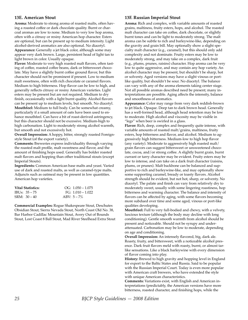#### <span id="page-31-0"></span>**13E. American Stout**

**Aroma:** Moderate to strong aroma of roasted malts, often having a roasted coffee or dark chocolate quality. Burnt or charcoal aromas are low to none. Medium to very low hop aroma, often with a citrusy or resiny American hop character. Esters are optional, but can be present up to medium intensity. Light alcohol-derived aromatics are also optional. No diacetyl. **Appearance:** Generally a jet black color, although some may

appear very dark brown. Large, persistent head of light tan to light brown in color. Usually opaque.

**Flavor:** Moderate to very high roasted malt flavors, often tasting of coffee, roasted coffee beans, dark or bittersweet chocolate. May have a slightly burnt coffee ground flavor, but this character should not be prominent if present. Low to medium malt sweetness, often with rich chocolate or caramel flavors. Medium to high bitterness. Hop flavor can be low to high, and generally reflects citrusy or resiny American varieties. Light esters may be present but are not required. Medium to dry finish, occasionally with a light burnt quality. Alcohol flavors can be present up to medium levels, but smooth. No diacetyl. **Mouthfeel:** Medium to full body. Can be somewhat creamy, particularly if a small amount of oats have been used to enhance mouthfeel. Can have a bit of roast-derived astringency, but this character should not be excessive. Medium-high to high carbonation. Light to moderately strong alcohol warmth, but smooth and not excessively hot.

**Overall Impression:** A hoppy, bitter, strongly roasted Foreignstyle Stout (of the export variety).

**Comments:** Breweries express individuality through varying the roasted malt profile, malt sweetness and flavor, and the amount of finishing hops used. Generally has bolder roasted malt flavors and hopping than other traditional stouts (except Imperial Stouts).

**Ingredients:** Common American base malts and yeast. Varied use of dark and roasted malts, as well as caramel-type malts. Adjuncts such as oatmeal may be present in low quantities. American hop varieties.

| <b>Vital Statistics:</b> | $OG: 1.050 - 1.075$ |
|--------------------------|---------------------|
| IBUs: $35 - 75$          | $FG: 1.010 - 1.022$ |
| $SRM: 30 - 40$           | ABV: $5 - 7\%$      |

**Commercial Examples:** Rogue Shakespeare Stout, Deschutes Obsidian Stout, Sierra Nevada Stout, North Coast Old No. 38, Bar Harbor Cadillac Mountain Stout, Avery Out of Bounds Stout, Lost Coast 8 Ball Stout, Mad River Steelhead Extra Stout

#### <span id="page-31-1"></span>**13F. Russian Imperial Stout**

**Aroma:** Rich and complex, with variable amounts of roasted grains, maltiness, fruity esters, hops, and alcohol. The roasted malt character can take on coffee, dark chocolate, or slightly burnt tones and can be light to moderately strong. The malt aroma can be subtle to rich and barleywine-like, depending on the gravity and grain bill. May optionally show a slight specialty malt character (e.g., caramel), but this should only add complexity and not dominate. Fruity esters may be low to moderately strong, and may take on a complex, dark fruit (e.g., plums, prunes, raisins) character. Hop aroma can be very low to quite aggressive, and may contain any hop variety. An alcohol character may be present, but shouldn't be sharp, hot or solventy. Aged versions may have a slight vinous or portlike quality, but shouldn't be sour. No diacetyl. The balance can vary with any of the aroma elements taking center stage. Not all possible aromas described need be present; many interpretations are possible. Aging affects the intensity, balance and smoothness of aromatics.

**Appearance:** Color may range from very dark reddish-brown to jet black. Opaque. Deep tan to dark brown head. Generally has a well-formed head, although head retention may be low to moderate. High alcohol and viscosity may be visible in "legs" when beer is swirled in a glass.

**Flavor:** Rich, deep, complex and frequently quite intense, with variable amounts of roasted malt/grains, maltiness, fruity esters, hop bitterness and flavor, and alcohol. Medium to aggressively high bitterness. Medium-low to high hop flavor (any variety). Moderate to aggressively high roasted malt/ grain flavors can suggest bittersweet or unsweetened chocolate, cocoa, and/or strong coffee. A slightly burnt grain, burnt currant or tarry character may be evident. Fruity esters may be low to intense, and can take on a dark fruit character (raisins, plums, or prunes). Malt backbone can be balanced and supportive to rich and barleywine-like, and may optionally show some supporting caramel, bready or toasty flavors. Alcohol strength should be evident, but not hot, sharp, or solventy. No diacetyl. The palate and finish can vary from relatively dry to moderately sweet, usually with some lingering roastiness, hop bitterness and warming character. The balance and intensity of flavors can be affected by aging, with some flavors becoming more subdued over time and some aged, vinous or port-like qualities developing.

**Mouthfeel:** Full to very full-bodied and chewy, with a velvety, luscious texture (although the body may decline with long conditioning). Gentle smooth warmth from alcohol should be present and noticeable. Should not be syrupy and underattenuated. Carbonation may be low to moderate, depending on age and conditioning.

**Overall Impression:** An intensely flavored, big, dark ale. Roasty, fruity, and bittersweet, with a noticeable alcohol presence. Dark fruit flavors meld with roasty, burnt, or almost tarlike sensations. Like a black barleywine with every dimension of flavor coming into play.

**History:** Brewed to high gravity and hopping level in England for export to the Baltic States and Russia. Said to be popular with the Russian Imperial Court. Today is even more popular with American craft brewers, who have extended the style with unique American characteristics.

**Comments:** Variations exist, with English and American interpretations (predictably, the American versions have more bitterness, roasted character, and finishing hops, while the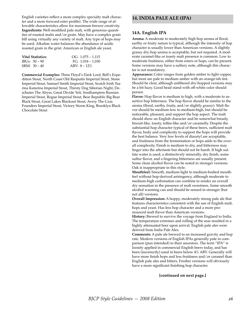English varieties reflect a more complex specialty malt character and a more forward ester profile). The wide range of allowable characteristics allow for maximum brewer creativity. **Ingredients:** Well-modified pale malt, with generous quantities of roasted malts and/or grain. May have a complex grain bill using virtually any variety of malt. Any type of hops may be used. Alkaline water balances the abundance of acidic roasted grain in the grist. American or English ale yeast.

| <b>Vital Statistics:</b> | $OG: 1.075 - 1.115$ |
|--------------------------|---------------------|
| $IBUs: 50-90$            | $FG: 1.018 - 1.030$ |
| $SRM: 30-40$             | $ABV: 8-12\%$       |

**Commercial Examples:** Three Floyd's Dark Lord, Bell's Expedition Stout, North Coast Old Rasputin Imperial Stout, Stone Imperial Stout, Samuel Smith Imperial Stout, Scotch Irish Tsarina Katarina Imperial Stout, Thirsty Dog Siberian Night, Deschutes The Abyss, Great Divide Yeti, Southampton Russian Imperial Stout, Rogue Imperial Stout, Bear Republic Big Bear Black Stout, Great Lakes Blackout Stout, Avery The Czar, Founders Imperial Stout, Victory Storm King, Brooklyn Black Chocolate Stout

#### <span id="page-32-0"></span>**14. INDIA PALE ALE (IPA)**

#### <span id="page-32-1"></span>**14A. English IPA**

**Aroma:** A moderate to moderately high hop aroma of floral, earthy or fruity nature is typical, although the intensity of hop character is usually lower than American versions. A slightly grassy dry-hop aroma is acceptable, but not required. A moderate caramel-like or toasty malt presence is common. Low to moderate fruitiness, either from esters or hops, can be present. Some versions may have a sulfury note, although this character is not mandatory.

**Appearance:** Color ranges from golden amber to light copper, but most are pale to medium amber with an orange-ish tint. Should be clear, although unfiltered dry-hopped versions may be a bit hazy. Good head stand with off-white color should persist.

**Flavor:** Hop flavor is medium to high, with a moderate to assertive hop bitterness. The hop flavor should be similar to the aroma (floral, earthy, fruity, and/or slightly grassy). Malt flavor should be medium-low to medium-high, but should be noticeable, pleasant, and support the hop aspect. The malt should show an English character and be somewhat bready, biscuit-like, toasty, toffee-like and/or caramelly. Despite the substantial hop character typical of these beers, sufficient malt flavor, body and complexity to support the hops will provide the best balance. Very low levels of diacetyl are acceptable, and fruitiness from the fermentation or hops adds to the overall complexity. Finish is medium to dry, and bitterness may linger into the aftertaste but should not be harsh. If high sulfate water is used, a distinctively minerally, dry finish, some sulfur flavor, and a lingering bitterness are usually present. Some clean alcohol flavor can be noted in stronger versions. Oak is inappropriate in this style.

**Mouthfeel:** Smooth, medium-light to medium-bodied mouthfeel without hop-derived astringency, although moderate to medium-high carbonation can combine to render an overall dry sensation in the presence of malt sweetness. Some smooth alcohol warming can and should be sensed in stronger (but not all) versions.

**Overall Impression:** A hoppy, moderately strong pale ale that features characteristics consistent with the use of English malt, hops and yeast. Has less hop character and a more pronounced malt flavor than American versions.

**History:** Brewed to survive the voyage from England to India. The temperature extremes and rolling of the seas resulted in a highly attenuated beer upon arrival. English pale ales were derived from India Pale Ales.

**Comments:** A pale ale brewed to an increased gravity and hop rate. Modern versions of English IPAs generally pale in comparison (pun intended) to their ancestors. The term "IPA" is loosely applied in commercial English beers today, and has been (incorrectly) used in beers below 4% ABV. Generally will have more finish hops and less fruitiness and/or caramel than English pale ales and bitters. Fresher versions will obviously have a more significant finishing hop character.

#### **[continued on next page.]**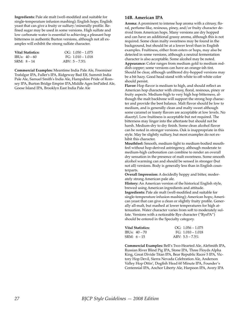**Ingredients:** Pale ale malt (well-modified and suitable for single-temperature infusion mashing); English hops; English yeast that can give a fruity or sulfury/minerally profile. Refined sugar may be used in some versions. High sulfate and low carbonate water is essential to achieving a pleasant hop bitterness in authentic Burton versions, although not all examples will exhibit the strong sulfate character.

| <b>Vital Statistics:</b> | $OG: 1.050 - 1.075$ |
|--------------------------|---------------------|
| $IBUs: 40-60$            | $FG: 1.010 - 1.018$ |
| $SRM: 8-14$              | ABV: $5 - 7.5\%$    |

**Commercial Examples:** Meantime India Pale Ale, Freeminer Trafalgar IPA, Fuller's IPA, Ridgeway Bad Elf, Summit India Pale Ale, Samuel Smith's India Ale, Hampshire Pride of Romsey IPA, Burton Bridge Empire IPA,Middle Ages ImPailed Ale, Goose Island IPA, Brooklyn East India Pale Ale

#### <span id="page-33-0"></span>**14B. American IPA**

**Aroma:** A prominent to intense hop aroma with a citrusy, floral, perfume-like, resinous, piney, and/or fruity character derived from American hops. Many versions are dry hopped and can have an additional grassy aroma, although this is not required. Some clean malty sweetness may be found in the background, but should be at a lower level than in English examples. Fruitiness, either from esters or hops, may also be detected in some versions, although a neutral fermentation character is also acceptable. Some alcohol may be noted. **Appearance:** Color ranges from medium gold to medium reddish copper; some versions can have an orange-ish tint. Should be clear, although unfiltered dry-hopped versions may be a bit hazy. Good head stand with white to off-white color should persist.

**Flavor:** Hop flavor is medium to high, and should reflect an American hop character with citrusy, floral, resinous, piney or fruity aspects. Medium-high to very high hop bitterness, although the malt backbone will support the strong hop character and provide the best balance. Malt flavor should be low to medium, and is generally clean and malty sweet although some caramel or toasty flavors are acceptable at low levels. No diacetyl. Low fruitiness is acceptable but not required. The bitterness may linger into the aftertaste but should not be harsh. Medium-dry to dry finish. Some clean alcohol flavor can be noted in stronger versions. Oak is inappropriate in this style. May be slightly sulfury, but most examples do not exhibit this character.

**Mouthfeel:** Smooth, medium-light to medium-bodied mouthfeel without hop-derived astringency, although moderate to medium-high carbonation can combine to render an overall dry sensation in the presence of malt sweetness. Some smooth alcohol warming can and should be sensed in stronger (but not all) versions. Body is generally less than in English counterparts.

**Overall Impression:** A decidedly hoppy and bitter, moderately strong American pale ale.

**History:** An American version of the historical English style, brewed using American ingredients and attitude. **Ingredients:** Pale ale malt (well-modified and suitable for single-temperature infusion mashing); American hops; American yeast that can give a clean or slightly fruity profile. Generally all-malt, but mashed at lower temperatures for high attenuation. Water character varies from soft to moderately sulfate. Versions with a noticeable Rye character ("RyePA") should be entered in the Specialty category.

| Vital Statistics: | $OG: 1.056 - 1.075$ |
|-------------------|---------------------|
| IBUs: 40 – 70     | $FG: 1.010 - 1.018$ |
| SRM: 6–15         | ABV: $5.5 - 7.5\%$  |

**Commercial Examples:** Bell's Two-Hearted Ale, AleSmith IPA, Russian River Blind Pig IPA, Stone IPA, Three Floyds Alpha King, Great Divide Titan IPA, Bear Republic Racer 5 IPA, Victory Hop Devil, Sierra Nevada Celebration Ale, Anderson Valley Hop Ottin', Dogfish Head 60 Minute IPA, Founder's Centennial IPA, Anchor Liberty Ale, Harpoon IPA, Avery IPA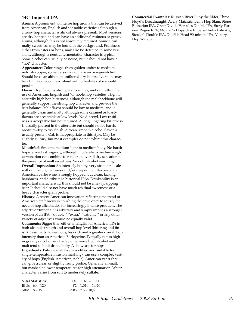#### <span id="page-34-0"></span>**14C. Imperial IPA**

**Aroma:** A prominent to intense hop aroma that can be derived from American, English and/or noble varieties (although a citrusy hop character is almost always present). Most versions are dry hopped and can have an additional resinous or grassy aroma, although this is not absolutely required. Some clean malty sweetness may be found in the background. Fruitiness, either from esters or hops, may also be detected in some versions, although a neutral fermentation character is typical. Some alcohol can usually be noted, but it should not have a "hot" character.

**Appearance:** Color ranges from golden amber to medium reddish copper; some versions can have an orange-ish tint. Should be clear, although unfiltered dry-hopped versions may be a bit hazy. Good head stand with off-white color should persist.

**Flavor:** Hop flavor is strong and complex, and can reflect the use of American, English and/or noble hop varieties. High to absurdly high hop bitterness, although the malt backbone will generally support the strong hop character and provide the best balance. Malt flavor should be low to medium, and is generally clean and malty although some caramel or toasty flavors are acceptable at low levels. No diacetyl. Low fruitiness is acceptable but not required. A long, lingering bitterness is usually present in the aftertaste but should not be harsh. Medium-dry to dry finish. A clean, smooth alcohol flavor is usually present. Oak is inappropriate in this style. May be slightly sulfury, but most examples do not exhibit this character.

**Mouthfeel:** Smooth, medium-light to medium body. No harsh hop-derived astringency, although moderate to medium-high carbonation can combine to render an overall dry sensation in the presence of malt sweetness. Smooth alcohol warming. **Overall Impression:** An intensely hoppy, very strong pale ale without the big maltiness and/or deeper malt flavors of an American barleywine. Strongly hopped, but clean, lacking harshness, and a tribute to historical IPAs. Drinkability is an important characteristic; this should not be a heavy, sipping beer. It should also not have much residual sweetness or a heavy character grain profile.

**History:** A recent American innovation reflecting the trend of American craft brewers "pushing the envelope" to satisfy the need of hop aficionados for increasingly intense products. The adjective "Imperial" is arbitrary and simply implies a stronger version of an IPA; "double," "extra," "extreme," or any other variety of adjectives would be equally valid.

**Comments:** Bigger than either an English or American IPA in both alcohol strength and overall hop level (bittering and finish). Less malty, lower body, less rich and a greater overall hop intensity than an American Barleywine. Typically not as high in gravity/alcohol as a barleywine, since high alcohol and malt tend to limit drinkability. A showcase for hops. **Ingredients:** Pale ale malt (well-modified and suitable for single-temperature infusion mashing); can use a complex variety of hops (English, American, noble). American yeast that can give a clean or slightly fruity profile. Generally all-malt, but mashed at lower temperatures for high attenuation. Water character varies from soft to moderately sulfate.

| <b>Vital Statistics:</b> | $OG: 1.070 - 1.090$ |
|--------------------------|---------------------|
| $IBUs: 60-120$           | $FG: 1.010 - 1.020$ |
| SRM: 8-15                | ABV: $7.5 - 10\%$   |

**Commercial Examples:** Russian River Pliny the Elder, Three Floyd's Dreadnaught, Avery Majaraja, Bell's Hop Slam, Stone Ruination IPA, Great Divide Hercules Double IPA, Surly Furious, Rogue I2PA, Moylan's Hopsickle Imperial India Pale Ale, Stoudt's Double IPA, Dogfish Head 90-minute IPA, Victory Hop Wallop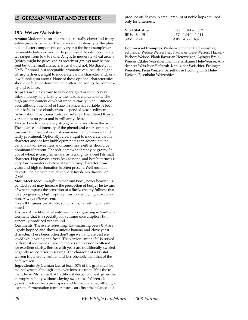#### <span id="page-35-0"></span>**15. GERMAN WHEAT AND RYE BEER**

#### <span id="page-35-1"></span>**15A. Weizen/Weissbier**

**Aroma:** Moderate to strong phenols (usually clove) and fruity esters (usually banana). The balance and intensity of the phenol and ester components can vary but the best examples are reasonably balanced and fairly prominent. Noble hop character ranges from low to none. A light to moderate wheat aroma (which might be perceived as bready or grainy) may be present but other malt characteristics should not. No diacetyl or DMS. Optional, but acceptable, aromatics can include a light, citrusy tartness, a light to moderate vanilla character, and/or a low bubblegum aroma. None of these optional characteristics should be high or dominant, but often can add to the complexity and balance.

**Appearance:** Pale straw to very dark gold in color. A very thick, moussy, long-lasting white head is characteristic. The high protein content of wheat impairs clarity in an unfiltered beer, although the level of haze is somewhat variable. A beer "mit hefe" is also cloudy from suspended yeast sediment (which should be roused before drinking). The filtered Krystal version has no yeast and is brilliantly clear.

**Flavor:** Low to moderately strong banana and clove flavor. The balance and intensity of the phenol and ester components can vary but the best examples are reasonably balanced and fairly prominent. Optionally, a very light to moderate vanilla character and/or low bubblegum notes can accentuate the banana flavor, sweetness and roundness; neither should be dominant if present. The soft, somewhat bready or grainy flavor of wheat is complementary, as is a slightly sweet Pils malt character. Hop flavor is very low to none, and hop bitterness is very low to moderately low. A tart, citrusy character from yeast and high carbonation is often present. Well rounded, flavorful palate with a relatively dry finish. No diacetyl or DMS.

**Mouthfeel:** Medium-light to medium body; never heavy. Suspended yeast may increase the perception of body. The texture of wheat imparts the sensation of a fluffy, creamy fullness that may progress to a light, spritzy finish aided by high carbonation. Always effervescent.

**Overall Impression:** A pale, spicy, fruity, refreshing wheatbased ale.

**History:** A traditional wheat-based ale originating in Southern Germany that is a specialty for summer consumption, but generally produced year-round.

**Comments:** These are refreshing, fast-maturing beers that are lightly hopped and show a unique banana-and-clove yeast character. These beers often don't age well and are best enjoyed while young and fresh. The version "mit hefe" is served with yeast sediment stirred in; the krystal version is filtered for excellent clarity. Bottles with yeast are traditionally swirled or gently rolled prior to serving. The character of a krystal weizen is generally fruitier and less phenolic than that of the hefe-weizen.

**Ingredients:** By German law, at least 50% of the grist must be malted wheat, although some versions use up to 70%; the remainder is Pilsner malt. A traditional decoction mash gives the appropriate body without cloying sweetness. Weizen ale yeasts produce the typical spicy and fruity character, although extreme fermentation temperatures can affect the balance and

produce off-flavors. A small amount of noble hops are used only for bitterness.

#### **Vital Statistics:** OG: 1.044 – 1.052

IBUs: 8 – 15 FG: 1.010 – 1.014

ABV:  $4.3 - 5.6%$ 

**Commercial Examples:** Weihenstephaner Hefeweissbier, Schneider Weisse Weizenhell, Paulaner Hefe-Weizen, Hacker-Pschorr Weisse, Plank Bavarian Hefeweizen, Ayinger Bräu Weisse, Ettaler Weissbier Hell, Franziskaner Hefe-Weisse, Andechser Weissbier Hefetrüb, Kapuziner Weissbier, Erdinger Weissbier, Penn Weizen, Barrelhouse Hocking Hills Hefe-Weizen, Eisenbahn Weizenbier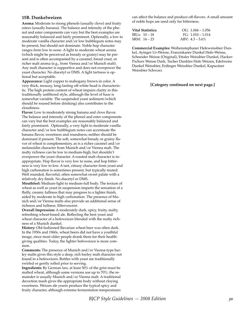### **15B. Dunkelweizen**

**Aroma:** Moderate to strong phenols (usually clove) and fruity esters (usually banana). The balance and intensity of the phenol and ester components can vary but the best examples are reasonably balanced and fairly prominent. Optionally, a low to moderate vanilla character and/or low bubblegum notes may be present, but should not dominate. Noble hop character ranges from low to none. A light to moderate wheat aroma (which might be perceived as bready or grainy) may be present and is often accompanied by a caramel, bread crust, or richer malt aroma (e.g., from Vienna and/or Munich malt). Any malt character is supportive and does not overpower the yeast character. No diacetyl or DMS. A light tartness is optional but acceptable.

**Appearance:** Light copper to mahogany brown in color. A very thick, moussy, long-lasting off-white head is characteristic. The high protein content of wheat impairs clarity in this traditionally unfiltered style, although the level of haze is somewhat variable. The suspended yeast sediment (which should be roused before drinking) also contributes to the cloudiness.

**Flavor:** Low to moderately strong banana and clove flavor. The balance and intensity of the phenol and ester components can vary but the best examples are reasonably balanced and fairly prominent. Optionally, a very light to moderate vanilla character and/or low bubblegum notes can accentuate the banana flavor, sweetness and roundness; neither should be dominant if present. The soft, somewhat bready or grainy flavor of wheat is complementary, as is a richer caramel and/or melanoidin character from Munich and/or Vienna malt. The malty richness can be low to medium-high, but shouldn't overpower the yeast character. A roasted malt character is inappropriate. Hop flavor is very low to none, and hop bitterness is very low to low. A tart, citrusy character from yeast and high carbonation is sometimes present, but typically muted. Well rounded, flavorful, often somewhat sweet palate with a relatively dry finish. No diacetyl or DMS.

**Mouthfeel:** Medium-light to medium-full body. The texture of wheat as well as yeast in suspension imparts the sensation of a fluffy, creamy fullness that may progress to a lighter finish, aided by moderate to high carbonation. The presence of Munich and/or Vienna malts also provide an additional sense of richness and fullness. Effervescent.

**Overall Impression:** A moderately dark, spicy, fruity, malty, refreshing wheat-based ale. Reflecting the best yeast and wheat character of a hefeweizen blended with the malty richness of a Munich dunkel.

**History:** Old-fashioned Bavarian wheat beer was often dark. In the 1950s and 1960s, wheat beers did not have a youthful image, since most older people drank them for their healthgiving qualities. Today, the lighter hefeweizen is more common.

**Comments:** The presence of Munich and/or Vienna-type barley malts gives this style a deep, rich barley malt character not found in a hefeweizen. Bottles with yeast are traditionally swirled or gently rolled prior to serving.

**Ingredients:** By German law, at least 50% of the grist must be malted wheat, although some versions use up to 70%; the remainder is usually Munich and/or Vienna malt. A traditional decoction mash gives the appropriate body without cloying sweetness. Weizen ale yeasts produce the typical spicy and fruity character, although extreme fermentation temperatures can affect the balance and produce off-flavors. A small amount of noble hops are used only for bitterness.

| $OG: 1.044 - 1.056$ |
|---------------------|
| FG: 1.010 – 1.014   |
| ABV: $4.3 - 5.6\%$  |
|                     |

**Commercial Examples:** Weihenstephaner Hefeweissbier Dunkel, Ayinger Ur-Weisse, Franziskaner Dunkel Hefe-Weisse, Schneider Weisse (Original), Ettaler Weissbier Dunkel, Hacker-Pschorr Weisse Dark, Tucher Dunkles Hefe Weizen, Edelweiss Dunkel Weissbier, Erdinger Weissbier Dunkel, Kapuziner Weissbier Schwarz

#### **[Category continued on next page.]**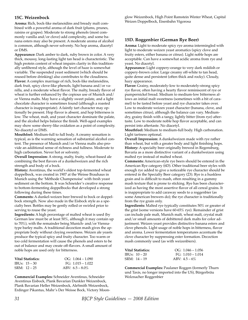# **15C. Weizenbock**

**Aroma:** Rich, bock-like melanoidins and bready malt combined with a powerful aroma of dark fruit (plums, prunes, raisins or grapes). Moderate to strong phenols (most commonly vanilla and/or clove) add complexity, and some banana esters may also be present. A moderate aroma of alcohol is common, although never solventy. No hop aroma, diacetyl or DMS.

**Appearance:** Dark amber to dark, ruby brown in color. A very thick, moussy, long-lasting light tan head is characteristic. The high protein content of wheat impairs clarity in this traditionally unfiltered style, although the level of haze is somewhat variable. The suspended yeast sediment (which should be roused before drinking) also contributes to the cloudiness. **Flavor:** A complex marriage of rich, bock-like melanoidins, dark fruit, spicy clove-like phenols, light banana and/or vanilla, and a moderate wheat flavor. The malty, bready flavor of wheat is further enhanced by the copious use of Munich and/ or Vienna malts. May have a slightly sweet palate, and a light chocolate character is sometimes found (although a roasted character is inappropriate). A faintly tart character may optionally be present. Hop flavor is absent, and hop bitterness is low. The wheat, malt, and yeast character dominate the palate, and the alcohol helps balance the finish. Well-aged examples may show some sherry-like oxidation as a point of complexity. No diacetyl or DMS.

**Mouthfeel:** Medium-full to full body. A creamy sensation is typical, as is the warming sensation of substantial alcohol content. The presence of Munich and/or Vienna malts also provide an additional sense of richness and fullness. Moderate to high carbonation. Never hot or solventy.

**Overall Impression:** A strong, malty, fruity, wheat-based ale combining the best flavors of a dunkelweizen and the rich strength and body of a bock.

**History:** Aventinus, the world's oldest top-fermented wheat doppelbock, was created in 1907 at the Weisse Brauhaus in Munich using the 'Méthode Champenoise' with fresh yeast sediment on the bottom. It was Schneider's creative response to bottom-fermenting doppelbocks that developed a strong following during these times.

**Comments:** A dunkel-weizen beer brewed to bock or doppelbock strength. Now also made in the Eisbock style as a specialty beer. Bottles may be gently rolled or swirled prior to serving to rouse the yeast.

**Ingredients:** A high percentage of malted wheat is used (by German law must be at least 50%, although it may contain up to 70%), with the remainder being Munich- and/or Viennatype barley malts. A traditional decoction mash gives the appropriate body without cloying sweetness. Weizen ale yeasts produce the typical spicy and fruity character. Too warm or too cold fermentation will cause the phenols and esters to be out of balance and may create off-flavors. A small amount of noble hops are used only for bitterness.

| Vital Statistics: | $OG: 1.064 - 1.090$ |
|-------------------|---------------------|
| IBUs: 15 – 30     | $FG: 1.015 - 1.022$ |
| SRM: 12 – 25      | ABV: $6.5 - 8.0\%$  |

**Commercial Examples:** Schneider Aventinus, Schneider Aventinus Eisbock, Plank Bavarian Dunkler Weizenbock, Plank Bavarian Heller Weizenbock, AleSmith Weizenbock, Erdinger Pikantus, Mahr's Der Weisse Bock, Victory Moonglow Weizenbock, High Point Ramstein Winter Wheat, Capital Weizen Doppelbock, Eisenbahn Vigorosa

# **15D. Roggenbier (German Rye Beer)**

**Aroma:** Light to moderate spicy rye aroma intermingled with light to moderate weizen yeast aromatics (spicy clove and fruity esters, either banana or citrus). Light noble hops are acceptable. Can have a somewhat acidic aroma from rye and yeast. No diacetyl.

**Appearance:** Light coppery-orange to very dark reddish or coppery-brown color. Large creamy off-white to tan head, quite dense and persistent (often thick and rocky). Cloudy, hazy appearance.

**Flavor:** Grainy, moderately-low to moderately-strong spicy rye flavor, often having a hearty flavor reminiscent of rye or pumpernickel bread. Medium to medium-low bitterness allows an initial malt sweetness (sometimes with a bit of caramel) to be tasted before yeast and rye character takes over. Low to moderate weizen yeast character (banana, clove, and sometimes citrus), although the balance can vary. Mediumdry, grainy finish with a tangy, lightly bitter (from rye) aftertaste. Low to moderate noble hop flavor acceptable, and can persist into aftertaste. No diacetyl.

**Mouthfeel:** Medium to medium-full body. High carbonation. Light tartness optional.

**Overall Impression:** A dunkelweizen made with rye rather than wheat, but with a greater body and light finishing hops. **History:** A specialty beer originally brewed in Regensburg, Bavaria as a more distinctive variant of a dunkelweizen using malted rye instead of malted wheat.

**Comments:** American-style rye beers should be entered in the American Rye category (6D). Other traditional beer styles with enough rye added to give a noticeable rye character should be entered in the Specialty Beer category (23). Rye is a huskless grain and is difficult to mash, often resulting in a gummy mash texture that is prone to sticking. Rye has been characterized as having the most assertive flavor of all cereal grains. It is inappropriate to add caraway seeds to a roggenbier (as some American brewers do); the rye character is traditionally from the rye grain only.

**Ingredients:** Malted rye typically constitutes 50% or greater of the grist (some versions have 60-65% rye). Remainder of grist can include pale malt, Munich malt, wheat malt, crystal malt and/or small amounts of debittered dark malts for color adjustment. Weizen yeast provides distinctive banana esters and clove phenols. Light usage of noble hops in bitterness, flavor and aroma. Lower fermentation temperatures accentuate the clove character by suppressing ester formation. Decoction mash commonly used (as with weizenbiers).

| <b>Vital Statistics:</b> | $OG: 1.046 - 1.056$ |
|--------------------------|---------------------|
| $IBUs: 10-20$            | $FG: 1.010 - 1.014$ |
| $SRM: 14-19$             | ABV: $4.5 - 6\%$    |

**Commercial Examples:** Paulaner Roggen (formerly Thurn und Taxis, no longer imported into the US), Bürgerbräu Wolznacher Roggenbier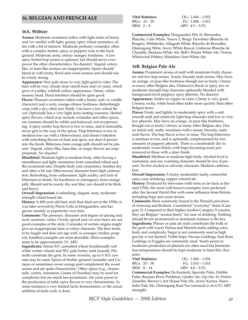# **16. BELGIAN AND FRENCH ALE**

#### **16A. Witbier**

**Aroma:** Moderate sweetness (often with light notes of honey and/or vanilla) with light, grainy, spicy wheat aromatics, often with a bit of tartness. Moderate perfumy coriander, often with a complex herbal, spicy, or peppery note in the background. Moderate zesty, citrusy orangey fruitiness. A low spicy-herbal hop aroma is optional, but should never overpower the other characteristics. No diacetyl. Vegetal, celerylike, or ham-like aromas are inappropriate. Spices should blend in with fruity, floral and sweet aromas and should not be overly strong.

**Appearance:** Very pale straw to very light gold in color. The beer will be very cloudy from starch haze and/or yeast, which gives it a milky, whitish-yellow appearance. Dense, white, moussy head. Head retention should be quite good. **Flavor:** Pleasant sweetness (often with a honey and/or vanilla character) and a zesty, orange-citrusy fruitiness. Refreshingly crisp with a dry, often tart, finish. Can have a low wheat fla-

vor. Optionally has a very light lactic-tasting sourness. Herbalspicy flavors, which may include coriander and other spices, are common should be subtle and balanced, not overpowering. A spicy-earthy hop flavor is low to none, and if noticeable, never gets in the way of the spices. Hop bitterness is low to medium-low (as with a Hefeweizen), and doesn't interfere with refreshing flavors of fruit and spice, nor does it persist into the finish. Bitterness from orange pith should not be present. Vegetal, celery-like, ham-like, or soapy flavors are inappropriate. No diacetyl.

**Mouthfeel:** Medium-light to medium body, often having a smoothness and light creaminess from unmalted wheat and the occasional oats. Despite body and creaminess, finishes dry and often a bit tart. Effervescent character from high carbonation. Refreshing, from carbonation, light acidity, and lack of bitterness in finish. No harshness or astringency from orange pith. Should not be overly dry and thin, nor should it be thick and heavy.

**Overall Impression:** A refreshing, elegant, tasty, moderatestrength wheat-based ale.

**History:** A 400-year-old beer style that died out in the 1950s; it was later revived by Pierre Celis at Hoegaarden, and has grown steadily in popularity over time.

**Comments:** The presence, character and degree of spicing and lactic sourness varies. Overly spiced and/or sour beers are not good examples of the style. Coriander of certain origins might give an inappropriate ham or celery character. The beer tends to be fragile and does not age well, so younger, fresher, properly handled examples are most desirable. Most examples seem to be approximately 5% ABV.

**Ingredients:** About 50% unmalted wheat (traditionally soft white winter wheat) and 50% pale barley malt (usually Pils malt) constitute the grist. In some versions, up to 5-10% raw oats may be used. Spices of freshly-ground coriander and Curaçao or sometimes sweet orange peel complement the sweet aroma and are quite characteristic. Other spices (e.g., chamomile, cumin, cinnamon, Grains of Paradise) may be used for complexity but are much less prominent. Ale yeast prone to the production of mild, spicy flavors is very characteristic. In some instances a very limited lactic fermentation, or the actual addition of lactic acid, is done.

**Vital Statistics:** OG: 1.044 – 1.052 IBUs: 10 – 20 FG: 1.008 – 1.012 SRM:  $2-4$  ABV:  $4.5-5.5%$ 

**Commercial Examples:** Hoegaarden Wit, St. Bernardus Blanche, Celis White, Vuuve 5, Brugs Tarwebier (Blanche de Bruges), Wittekerke, Allagash White, Blanche de Bruxelles, Ommegang Witte, Avery White Rascal, Unibroue Blanche de Chambly, Sterkens White Ale, Bell's Winter White Ale, Victory Whirlwind Witbier, Hitachino Nest White Ale

### **16B. Belgian Pale Ale**

**Aroma:** Prominent aroma of malt with moderate fruity character and low hop aroma. Toasty, biscuity malt aroma. May have an orange- or pear-like fruitiness though not as fruity/citrusy as many other Belgian ales. Distinctive floral or spicy, low to moderate strength hop character optionally blended with background level peppery, spicy phenols. No diacetyl. **Appearance:** Amber to copper in color. Clarity is very good. Creamy, rocky, white head often fades more quickly than other Belgian beers.

**Flavor:** Fruity and lightly to moderately spicy with a soft, smooth malt and relatively light hop character and low to very low phenols. May have an orange- or pear-like fruitiness, though not as fruity/citrusy as many other Belgian ales. Has an initial soft, malty sweetness with a toasty, biscuity, nutty malt flavor. The hop flavor is low to none. The hop bitterness is medium to low, and is optionally complemented by low amounts of peppery phenols. There is a moderately dry to moderately sweet finish, with hops becoming more pronounced in those with a drier finish.

**Mouthfeel:** Medium to medium-light body. Alcohol level is restrained, and any warming character should be low if present. No hot alcohol or solventy character. Medium carbonation.

**Overall Impression:** A fruity, moderately malty, somewhat spicy, easy-drinking, copper-colored ale.

**History:** Produced by breweries with roots as far back as the mid-1700s, the most well-known examples were perfected after the Second World War with some influence from Britain, including hops and yeast strains.

**Comments:** Most commonly found in the Flemish provinces of Antwerp and Brabant. Considered "everyday" beers (Category I). Compared to their higher alcohol Category S cousins, they are Belgian "session beers" for ease of drinking. Nothing should be too pronounced or dominant; balance is the key. **Ingredients:** Pilsner or pale ale malt contributes the bulk of the grist with (cara) Vienna and Munich malts adding color, body and complexity. Sugar is not commonly used as high gravity is not desired. Noble hops, Styrian Goldings, East Kent Goldings or Fuggles are commonly used. Yeasts prone to moderate production of phenols are often used but fermentation temperatures should be kept moderate to limit this character.

| Vital Statistics: | $OG: 1.048 - 1.054$                                   |
|-------------------|-------------------------------------------------------|
| IBUs: 20 – 30     | $FG: 1.010 - 1.014$                                   |
| SRM: 8–14         | ABV: $4.8 - 5.5\%$                                    |
|                   | <b>Commercial Examples:</b> De Koninck, Speciale Palm |

ı**, D**obble Palm, Russian River Perdition, Ginder Ale, Op-Ale, St. Pieters Zinnebir, Brewer's Art House Pale Ale, Avery Karma, Eisenbahn Pale Ale, Ommegang Rare Vos (unusual in its 6.5% ABV strength)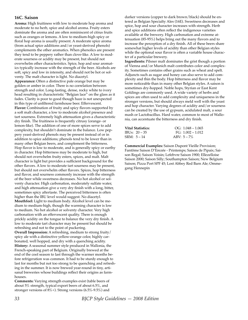### **16C. Saison**

**Aroma:** High fruitiness with low to moderate hop aroma and moderate to no herb, spice and alcohol aroma. Fruity esters dominate the aroma and are often reminiscent of citrus fruits such as oranges or lemons. A low to medium-high spicy or floral hop aroma is usually present. A moderate spice aroma (from actual spice additions and/or yeast-derived phenols) complements the other aromatics. When phenolics are present they tend to be peppery rather than clove-like. A low to moderate sourness or acidity may be present, but should not overwhelm other characteristics. Spice, hop and sour aromatics typically increase with the strength of the beer. Alcohols are soft, spicy and low in intensity, and should not be hot or solventy. The malt character is light. No diacetyl.

**Appearance:** Often a distinctive pale orange but may be golden or amber in color. There is no correlation between strength and color. Long-lasting, dense, rocky white to ivory head resulting in characteristic "Belgian lace" on the glass as it fades. Clarity is poor to good though haze is not unexpected in this type of unfiltered farmhouse beer. Effervescent. **Flavor:** Combination of fruity and spicy flavors supported by a soft malt character, a low to moderate alcohol presence and tart sourness. Extremely high attenuation gives a characteristic dry finish. The fruitiness is frequently citrusy (orange- or lemon-like). The addition of one of more spices serve to add complexity, but shouldn't dominate in the balance. Low peppery yeast-derived phenols may be present instead of or in addition to spice additions; phenols tend to be lower than in many other Belgian beers, and complement the bitterness. Hop flavor is low to moderate, and is generally spicy or earthy in character. Hop bitterness may be moderate to high, but should not overwhelm fruity esters, spices, and malt. Malt character is light but provides a sufficient background for the other flavors. A low to moderate tart sourness may be present, but should not overwhelm other flavors. Spices, hop bitterness and flavor, and sourness commonly increase with the strength of the beer while sweetness decreases. No hot alcohol or solventy character. High carbonation, moderately sulfate water, and high attenuation give a very dry finish with a long, bitter, sometimes spicy aftertaste. The perceived bitterness is often higher than the IBU level would suggest. No diacetyl. **Mouthfeel:** Light to medium body. Alcohol level can be medium to medium-high, though the warming character is low to medium. No hot alcohol or solventy character. Very high carbonation with an effervescent quality. There is enough prickly acidity on the tongue to balance the very dry finish. A low to moderate tart character may be present but should be refreshing and not to the point of puckering. **Overall Impression:** A refreshing, medium to strong fruity/ spicy ale with a distinctive yellow-orange color, highly carbonated, well hopped, and dry with a quenching acidity. **History:** A seasonal summer style produced in Wallonia, the French-speaking part of Belgium. Originally brewed at the end of the cool season to last through the warmer months before refrigeration was common. It had to be sturdy enough to last for months but not too strong to be quenching and refreshing in the summer. It is now brewed year-round in tiny, artisanal breweries whose buildings reflect their origins as farm-

houses. **Comments:** Varying strength examples exist (table beers of about 5% strength, typical export beers of about 6.5%, and stronger versions of  $8\%$ +). Strong versions (6.5%-9.5%) and darker versions (copper to dark brown/black) should be entered as Belgian Specialty Ales (16E). Sweetness decreases and spice, hop and sour character increases with strength. Herb and spice additions often reflect the indigenous varieties available at the brewery. High carbonation and extreme attenuation (85-95%) helps bring out the many flavors and to increase the perception of a dry finish. All of these beers share somewhat higher levels of acidity than other Belgian styles while the optional sour flavor is often a variable house character of a particular brewery.

**Ingredients:** Pilsner malt dominates the grist though a portion of Vienna and/or Munich malt contributes color and complexity. Sometimes contains other grains such as wheat and spelt. Adjuncts such as sugar and honey can also serve to add complexity and thin the body. Hop bitterness and flavor may be more noticeable than in many other Belgian styles. A saison is sometimes dry-hopped. Noble hops, Styrian or East Kent Goldings are commonly used. A wide variety of herbs and spices are often used to add complexity and uniqueness in the stronger versions, but should always meld well with the yeast and hop character. Varying degrees of acidity and/or sourness can be created by the use of gypsum, acidulated malt, a sour mash or Lactobacillus. Hard water, common to most of Wallonia, can accentuate the bitterness and dry finish.

| Vital Statistics: | $OG: 1.048 - 1.065$ |
|-------------------|---------------------|
| IBUs: 20 – 35     | $FG: 1.002 - 1.012$ |
| SRM: 5-14         | $ABV: 5-7\%$        |

**Commercial Examples:** Saison Dupont Vieille Provision; Fantôme Saison D'Erezée - Printemps; Saison de Pipaix; Saison Regal; Saison Voisin; Lefebvre Saison 1900; Ellezelloise Saison 2000; Saison Silly; Southampton Saison; New Belgium Saison; Pizza Port SPF 45; Lost Abbey Red Barn Ale; Ommegang Hennepin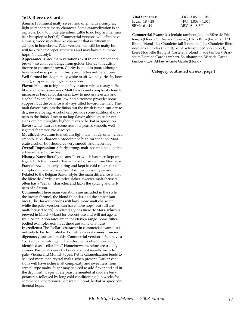### **16D. Bière de Garde**

**Aroma:** Prominent malty sweetness, often with a complex, light to moderate toasty character. Some caramelization is acceptable. Low to moderate esters. Little to no hop aroma (may be a bit spicy or herbal). Commercial versions will often have a musty, woodsy, cellar-like character that is difficult to achieve in homebrew. Paler versions will still be malty but will lack richer, deeper aromatics and may have a bit more hops. No diacetyl.

**Appearance:** Three main variations exist (blond, amber and brown), so color can range from golden blonde to reddishbronze to chestnut brown. Clarity is good to poor, although haze is not unexpected in this type of often unfiltered beer. Well-formed head, generally white to off-white (varies by beer color), supported by high carbonation.

**Flavor:** Medium to high malt flavor often with a toasty, toffeelike or caramel sweetness. Malt flavors and complexity tend to increase as beer color darkens. Low to moderate esters and alcohol flavors. Medium-low hop bitterness provides some support, but the balance is always tilted toward the malt. The malt flavor lasts into the finish but the finish is medium-dry to dry, never cloying. Alcohol can provide some additional dryness in the finish. Low to no hop flavor, although paler versions can have slightly higher levels of herbal or spicy hop flavor (which can also come from the yeast). Smooth, welllagered character. No diacetyl.

**Mouthfeel:** Medium to medium-light (lean) body, often with a smooth, silky character. Moderate to high carbonation. Moderate alcohol, but should be very smooth and never hot. **Overall Impression:** A fairly strong, malt-accentuated, lagered artisanal farmhouse beer.

**History:** Name literally means "beer which has been kept or lagered." A traditional artisanal farmhouse ale from Northern France brewed in early spring and kept in cold cellars for consumption in warmer weather. It is now brewed year-round. Related to the Belgian Saison style, the main difference is that the Bière de Garde is rounder, richer, sweeter, malt-focused, often has a "cellar" character, and lacks the spicing and tartness of a Saison.

**Comments:** Three main variations are included in the style: the brown (brune), the blond (blonde), and the amber (ambrée). The darker versions will have more malt character, while the paler versions can have more hops (but still are malt-focused beers). A related style is Bière de Mars, which is brewed in March (Mars) for present use and will not age as well. Attenuation rates are in the 80-85% range. Some fullerbodied examples exist, but these are somewhat rare. **Ingredients:** The "cellar" character in commercial examples is unlikely to be duplicated in homebrews as it comes from indigenous yeasts and molds. Commercial versions often have a "corked", dry, astringent character that is often incorrectly identified as "cellar-like." Homebrews therefore are usually cleaner. Base malts vary by beer color, but usually include pale, Vienna and Munich types. Kettle caramelization tends to be used more than crystal malts, when present. Darker versions will have richer malt complexity and sweetness from crystal-type malts. Sugar may be used to add flavor and aid in the dry finish. Lager or ale yeast fermented at cool ale temperatures, followed by long cold conditioning (4-6 weeks for commercial operations). Soft water. Floral, herbal or spicy continental hops.

SRM:  $6 - 19$  ABV:  $6 - 8.5\%$ 

**Vital Statistics:**  $OG: 1.060 - 1.080$ IBUs: 18 – 28 FG: 1.008 – 1.016

**Commercial Examples:** Jenlain (amber), Jenlain Bière de Printemps (blond), St. Amand (brown), Ch'Ti Brun (brown), Ch'Ti Blond (blond), La Choulette (all 3 versions), La Choulette Bière des Sans Culottes (blond), Saint Sylvestre 3 Monts (blond), Biere Nouvelle (brown), Castelain (blond), Jade (amber), Brasseurs Bière de Garde (amber), Southampton Bière de Garde (amber), Lost Abbey Avante Garde (blond)

#### **[Category continued on next page.]**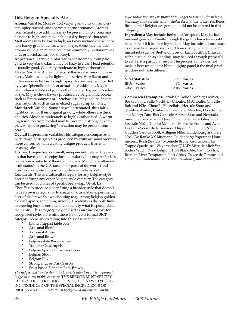# **16E. Belgian Specialty Ale**

**Aroma:** Variable. Most exhibit varying amounts of fruity esters, spicy phenols and/or yeast-borne aromatics. Aromas from actual spice additions may be present. Hop aroma may be none to high, and may include a dry-hopped character. Malt aroma may be low to high, and may include character of non-barley grains such as wheat or rye. Some may include aromas of Belgian microbiota, most commonly Brettanomyces and/or Lactobacillus. No diacetyl.

**Appearance:** Variable. Color varies considerably from pale gold to very dark. Clarity may be hazy to clear. Head retention is usually good. Generally moderate to high carbonation. **Flavor:** Variable. A great variety of flavors are found in these beers. Maltiness may be light to quite rich. Hop flavor and bitterness may be low to high. Spicy flavors may be imparted by yeast (phenolics) and/or actual spice additions. May include characteristics of grains other than barley, such as wheat or rye. May include flavors produced by Belgian microbiota such as Brettanomyces or Lactobacillus. May include flavors from adjuncts such as caramelized sugar syrup or honey. **Mouthfeel:** Variable. Some are well-attenuated, thus fairly light-bodied for their original gravity, while others are thick and rich. Most are moderately to highly carbonated. A warming sensation from alcohol may be present in stronger examples. A "mouth puckering" sensation may be present from acidity.

**Overall Impression:** Variable. This category encompasses a wide range of Belgian ales produced by truly artisanal brewers more concerned with creating unique products than in increasing sales.

**History:** Unique beers of small, independent Belgian breweries that have come to enjoy local popularity but may be far less well-known outside of their own regions. Many have attained "cult status" in the U.S. (and other parts of the world) and now owe a significant portion of their sales to export. **Comments:** This is a catch-all category for any Belgian-style beer not fitting any other Belgian style category. The category can be used for clones of specific beers (e.g., Orval, La Chouffe); to produce a beer fitting a broader style that doesn't have its own category; or to create an artisanal or experimental beer of the brewer's own choosing (e.g., strong Belgian golden ale with spices, something unique). Creativity is the only limit in brewing but the entrants must identify what is special about their entry. This category may be used as an "incubator" for recognized styles for which there is not yet a formal BJCP category. Some styles falling into this classification include:

- Blond Trappist table beer
- Artisanal Blond
- Artisanal Amber
- Artisanal Brown
- Belgian-style Barleywines
- Trappist Quadrupels
- Belgian Spiced Christmas Beers
- Belgian Stout
- Belgian IPA
- Strong and/or Dark Saison
- Fruit-based Flanders Red/Brown

*The judges must understand the brewer's intent in order to properly judge an entry in this category.* THE BREWER MUST SPECIFY EITHER THE BEER BEING CLONED, THE NEW STYLE BE-ING PRODUCED OR THE SPECIAL INGREDIENTS OR PROCESSES USED*. Additional background information on the* 

*style and/or beer may be provided to judges to assist in the judging, including style parameters or detailed descriptions of the beer.* Beers fitting other Belgian categories should not be entered in this category.

**Ingredients:** May include herbs and/or spices. May include unusual grains and malts, though the grain character should be apparent if it is a key ingredient. May include adjuncts such as caramelized sugar syrup and honey. May include Belgian microbiota such as Brettanomyces or Lactobacillus. Unusual techniques, such as blending, may be used through primarily to arrive at a particular result. The process alone does not make a beer unique to a blind judging panel if the final product does not taste different.

| Vital Statistics: | OG: varies  |
|-------------------|-------------|
| IBUs: varies      | FG: varies  |
| SRM: varies       | ABV: varies |

**Commercial Examples:** Orval; De Dolle's Arabier, Oerbier, Boskeun and Stille Nacht; La Chouffe, McChouffe, Chouffe Bok and N'ice Chouffe; Ellezelloise Hercule Stout and Quintine Amber; Unibroue Ephemere, Maudite, Don de Dieu, etc.; Minty; Zatte Bie; Caracole Amber, Saxo and Nostradamus; Silenrieu Sara and Joseph; Fantôme Black Ghost and Speciale Noël; Dupont Moinette, Moinette Brune, and Avec Les Bons Voeux de la Brasserie Dupont; St. Fullien Noël; Gouden Carolus Noël; Affligem Nöel; Guldenburg and Pere Noël; De Ranke XX Bitter and Guldenberg; Poperings Hommelbier; Bush (Scaldis); Moinette Brune; Grottenbier; La Trappe Quadrupel; Weyerbacher QUAD; Bière de Miel; Verboden Vrucht; New Belgium 1554 Black Ale; Cantillon Iris; Russian River Temptation; Lost Abbey Cuvee de Tomme and Devotion, Lindemans Kriek and Framboise, and many more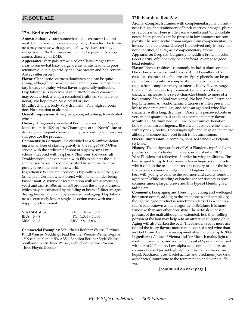# **17A. Berliner Weisse**

**Aroma:** A sharply sour, somewhat acidic character is dominant. Can have up to a moderately fruity character. The fruitiness may increase with age and a flowery character may develop. A mild *Brettanomyces* aroma may be present. No hop aroma, diacetyl, or DMS.

**Appearance:** Very pale straw in color. Clarity ranges from clear to somewhat hazy. Large, dense, white head with poor retention due to high acidity and low protein and hop content. Always effervescent.

**Flavor:** Clean lactic sourness dominates and can be quite strong, although not so acidic as a lambic. Some complementary bready or grainy wheat flavor is generally noticeable. Hop bitterness is very low. A mild *Brettanomyces* character may be detected, as may a restrained fruitiness (both are optional). No hop flavor. No diacetyl or DMS.

**Mouthfeel:** Light body. Very dry finish. Very high carbonation. No sensation of alcohol.

**Overall Impression:** A very pale, sour, refreshing, low-alcohol wheat ale.

**History:** A regional specialty of Berlin; referred to by Napoleon's troops in 1809 as "the Champagne of the North" due to its lively and elegant character. Only two traditional breweries still produce the product.

**Comments:** In Germany, it is classified as a *Schankbier* denoting a small beer of starting gravity in the range 7-8°P. Often served with the addition of a shot of sugar syrups ('mit schuss') flavored with raspberry ('himbeer') or woodruff ('waldmeister') or even mixed with Pils to counter the substantial sourness. Has been described by some as the most purely refreshing beer in the world.

**Ingredients:** Wheat malt content is typically 50% of the grist (as with all German wheat beers) with the remainder being Pilsner malt. A symbiotic fermentation with top-fermenting yeast and *Lactobacillus delbruckii* provides the sharp sourness, which may be enhanced by blending of beers of different ages during fermentation and by extended cool aging. Hop bitterness is extremely low. A single decoction mash with mash hopping is traditional.

| Vital Statistics: | $OG: 1.028 - 1.032$ |
|-------------------|---------------------|
| IBUs: 3 – 8       | $FG: 1.003 - 1.006$ |
| SRM: 2–3          | ABV: $2.8 - 3.8\%$  |

**Commercial Examples:** Schultheiss Berliner Weisse, Berliner Kindl Weisse, Nodding Head Berliner Weisse, Weihenstephan 1809 (unusual in its 5% ABV), Bahnhof Berliner Style Weisse, Southampton Berliner Weisse, Bethlehem Berliner Weisse, Three Floyds Deesko

# **17B. Flanders Red Ale**

**Aroma:** Complex fruitiness with complementary malt. Fruitiness is high, and reminiscent of black cherries, oranges, plums or red currants. There is often some vanilla and/or chocolate notes. Spicy phenols can be present in low amounts for complexity. The sour, acidic aroma ranges from complementary to intense. No hop aroma. Diacetyl is perceived only in very minor quantities, if at all, as a complementary aroma.

**Appearance:** Deep red, burgundy to reddish-brown in color. Good clarity. White to very pale tan head. Average to good head retention.

**Flavor:** Intense fruitiness commonly includes plum, orange, black cherry or red currant flavors. A mild vanilla and/or chocolate character is often present. Spicy phenols can be present in low amounts for complexity. Sour, acidic character ranges from complementary to intense. Malty flavors range from complementary to prominent. Generally as the sour character increases, the sweet character blends to more of a background flavor (and vice versa). No hop flavor. Restrained hop bitterness. An acidic, tannic bitterness is often present in low to moderate amounts, and adds an aged red wine-like character with a long, dry finish. Diacetyl is perceived only in very minor quantities, if at all, as a complementary flavor. **Mouthfeel:** Medium bodied. Low to medium carbonation. Low to medium astringency, like a well-aged red wine, often with a prickly acidity. Deceivingly light and crisp on the palate although a somewhat sweet finish is not uncommon. **Overall Impression:** A complex, sour, red wine-like Belgianstyle ale.

**History:** The indigenous beer of West Flanders, typified by the products of the Rodenbach brewery, established in 1820 in West Flanders but reflective of earlier brewing traditions. The beer is aged for up to two years, often in huge oaken barrels which contain the resident bacteria necessary to sour the beer. It was once common in Belgium and England to blend old beer with young to balance the sourness and acidity found in aged beer. While blending of batches for consistency is now common among larger breweries, this type of blending is a fading art.

**Comments:** Long aging and blending of young and well-aged beer often occurs, adding to the smoothness and complexity, though the aged product is sometimes released as a connoisseur's beer. Known as the Burgundy of Belgium, it is more wine-like than any other beer style. The reddish color is a product of the malt although an extended, less-than-rolling portion of the boil may help add an attractive Burgundy hue. Aging will also darken the beer. The Flanders red is more acetic and the fruity flavors more reminiscent of a red wine than an Oud Bruin. Can have an apparent attenuation of up to 98%. **Ingredients:** A base of Vienna and/or Munich malts, light to medium cara-malts, and a small amount of Special B are used with up to 20% maize. Low alpha acid continental hops are commonly used (avoid high alpha or distinctive American hops). Saccharomyces, Lactobacillus and Brettanomyces (and acetobacter) contribute to the fermentation and eventual flavor.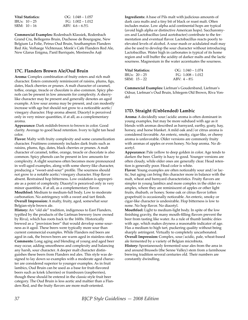SRM:  $10-16$  ABV:  $4.6-6.5\%$ 

**Vital Statistics:** OG: 1.048 – 1.057 IBUs: 10 – 25 FG: 1.002 – 1.012

**Commercial Examples:** Rodenbach Klassiek, Rodenbach Grand Cru, Bellegems Bruin, Duchesse de Bourgogne, New Belgium La Folie, Petrus Oud Bruin, Southampton Flanders Red Ale, Verhaege Vichtenaar, Monk's Cafe Flanders Red Ale, New Glarus Enigma, Panil Barriquée, Mestreechs Aajt

# **17C. Flanders Brown Ale/Oud Bruin**

**Aroma:** Complex combination of fruity esters and rich malt character. Esters commonly reminiscent of raisins, plums, figs, dates, black cherries or prunes. A malt character of caramel, toffee, orange, treacle or chocolate is also common. Spicy phenols can be present in low amounts for complexity. A sherrylike character may be present and generally denotes an aged example. A low sour aroma may be present, and can modestly increase with age but should not grow to a noticeable acetic/ vinegary character. Hop aroma absent. Diacetyl is perceived only in very minor quantities, if at all, as a complementary aroma.

**Appearance:** Dark reddish-brown to brown in color. Good clarity. Average to good head retention. Ivory to light tan head color.

**Flavor:** Malty with fruity complexity and some caramelization character. Fruitiness commonly includes dark fruits such as raisins, plums, figs, dates, black cherries or prunes. A malt character of caramel, toffee, orange, treacle or chocolate is also common. Spicy phenols can be present in low amounts for complexity. A slight sourness often becomes more pronounced in well-aged examples, along with some sherry-like character, producing a "sweet-and-sour" profile. The sourness should not grow to a notable acetic/vinegary character. Hop flavor absent. Restrained hop bitterness. Low oxidation is appropriate as a point of complexity. Diacetyl is perceived only in very minor quantities, if at all, as a complementary flavor. **Mouthfeel:** Medium to medium-full body. Low to moderate carbonation. No astringency with a sweet and tart finish. **Overall Impression:** A malty, fruity, aged, somewhat sour Belgian-style brown ale.

**History:** An "old ale" tradition, indigenous to East Flanders, typified by the products of the Liefman brewery (now owned by Riva), which has roots back to the 1600s. Historically brewed as a "provision beer" that would develop some sourness as it aged. These beers were typically more sour than current commercial examples. While Flanders red beers are aged in oak, the brown beers are warm aged in stainless steel. **Comments:** Long aging and blending of young and aged beer may occur, adding smoothness and complexity and balancing any harsh, sour character. A deeper malt character distinguishes these beers from Flanders red ales. This style was designed to lay down so examples with a moderate aged character are considered superior to younger examples. As in fruit lambics, Oud Bruin can be used as a base for fruit-flavored beers such as kriek (cherries) or frambozen (raspberries), though these should be entered in the classic-style fruit beer category. The Oud Bruin is less acetic and maltier than a Flanders Red, and the fruity flavors are more malt-oriented.

**Ingredients:** A base of Pils malt with judicious amounts of dark cara malts and a tiny bit of black or roast malt. Often includes maize. Low alpha acid continental hops are typical (avoid high alpha or distinctive American hops). Saccharomyces and Lactobacillus (and acetobacter) contribute to the fermentation and eventual flavor. Lactobacillus reacts poorly to elevated levels of alcohol. A sour mash or acidulated malt may also be used to develop the sour character without introducing Lactobacillus. Water high in carbonates is typical of its home region and will buffer the acidity of darker malts and the lactic sourness. Magnesium in the water accentuates the sourness.

| Vital Statistics: | $OG: 1.040 - 1.074$ |
|-------------------|---------------------|
| IBUs: 20 – 25     | $FG: 1.008 - 1.012$ |
| SRM: 15 – 22      | $ABV: 4-8\%$        |

**Commercial Examples:** Liefman's Goudenband, Liefman's Odnar, Liefman's Oud Bruin, Ichtegem Old Brown, Riva Vondel

# **17D. Straight (Unblended) Lambic**

**Aroma:** A decidedly sour/acidic aroma is often dominant in young examples, but may be more subdued with age as it blends with aromas described as barnyard, earthy, goaty, hay, horsey, and horse blanket. A mild oak and/or citrus aroma is considered favorable. An enteric, smoky, cigar-like, or cheesy aroma is unfavorable. Older versions are commonly fruity with aromas of apples or even honey. No hop aroma. No diacetyl.

**Appearance:** Pale yellow to deep golden in color. Age tends to darken the beer. Clarity is hazy to good. Younger versions are often cloudy, while older ones are generally clear. Head retention is generally poor. Head color is white.

**Flavor:** Young examples are often noticeably sour and/or lactic, but aging can bring this character more in balance with the malt, wheat and barnyard characteristics. Fruity flavors are simpler in young lambics and more complex in the older examples, where they are reminiscent of apples or other light fruits, rhubarb, or honey. Some oak or citrus flavor (often grapefruit) is occasionally noticeable. An enteric, smoky or cigar-like character is undesirable. Hop bitterness is low to none. No hop flavor. No diacetyl.

**Mouthfeel:** Light to medium-light body. In spite of the low finishing gravity, the many mouth-filling flavors prevent the beer from tasting like water. As a rule of thumb lambic dries with age, which makes dryness a reasonable indicator of age. Has a medium to high tart, puckering quality without being sharply astringent. Virtually to completely uncarbonated. **Overall Impression:** Complex, sour/acidic, pale, wheat-based ale fermented by a variety of Belgian microbiota. **History:** Spontaneously fermented sour ales from the area in and around Brussels (the Senne Valley) stem from a farmhouse brewing tradition several centuries old. Their numbers are constantly dwindling.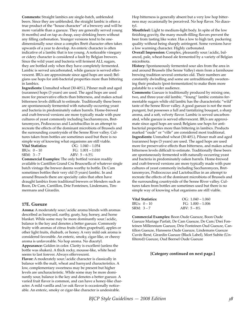**Comments:** Straight lambics are single-batch, unblended beers. Since they are unblended, the straight lambic is often a true product of the "house character" of a brewery and will be more variable than a gueuze. They are generally served young (6 months) and on tap as cheap, easy-drinking beers without any filling carbonation. Younger versions tend to be onedimensionally sour since a complex Brett character often takes upwards of a year to develop. An enteric character is often indicative of a lambic that is too young. A noticeable vinegary or cidery character is considered a fault by Belgian brewers. Since the wild yeast and bacteria will ferment ALL sugars, they are bottled only when they have completely fermented. Lambic is served uncarbonated, while gueuze is served effervescent. IBUs are approximate since aged hops are used; Belgians use hops for anti-bacterial properties more than bittering in lambics.

**Ingredients:** Unmalted wheat (30-40%), Pilsner malt and aged (surannes) hops (3 years) are used. The aged hops are used more for preservative effects than bitterness, and makes actual bitterness levels difficult to estimate. Traditionally these beers are spontaneously fermented with naturally-occurring yeast and bacteria in predominately oaken barrels. Home-brewed and craft-brewed versions are more typically made with pure cultures of yeast commonly including Saccharomyces, Brettanomyces, Pediococcus and Lactobacillus in an attempt to recreate the effects of the dominant microbiota of Brussels and the surrounding countryside of the Senne River valley. Cultures taken from bottles are sometimes used but there is no simple way of knowing what organisms are still viable.

| <b>Vital Statistics:</b> | $OG: 1.040 - 1.054$ |
|--------------------------|---------------------|
| IBUs: $0-10$             | $FG: 1.001 - 1.010$ |
| SRM: 3-7                 | ABV: $5-6.5\%$      |

**Commercial Examples:** The only bottled version readily available is Cantillon Grand Cru Bruocsella of whatever single batch vintage the brewer deems worthy to bottle. De Cam sometimes bottles their very old (5 years) lambic. In and around Brussels there are specialty cafes that often have draught lambics from traditional brewers or blenders such as Boon, De Cam, Cantillon, Drie Fonteinen, Lindemans, Timmermans and Girardin.

### **17E. Gueuze**

**Aroma:** A moderately sour/acidic aroma blends with aromas described as barnyard, earthy, goaty, hay, horsey, and horse blanket. While some may be more dominantly sour/acidic, balance is the key and denotes a better gueuze. Commonly fruity with aromas of citrus fruits (often grapefruit), apples or other light fruits, rhubarb, or honey. A very mild oak aroma is considered favorable. An enteric, smoky, cigar-like, or cheesy aroma is unfavorable. No hop aroma. No diacetyl. **Appearance:** Golden in color. Clarity is excellent (unless the bottle was shaken). A thick rocky, mousse-like, white head seems to last forever. Always effervescent.

**Flavor:** A moderately sour/acidic character is classically in balance with the malt, wheat and barnyard characteristics. A low, complementary sweetness may be present but higher levels are uncharacteristic. While some may be more dominantly sour, balance is the key and denotes a better gueuze. A varied fruit flavor is common, and can have a honey-like character. A mild vanilla and/or oak flavor is occasionally noticeable. An enteric, smoky or cigar-like character is undesirable.

Hop bitterness is generally absent but a very low hop bitterness may occasionally be perceived. No hop flavor. No diacetyl.

**Mouthfeel:** Light to medium-light body. In spite of the low finishing gravity, the many mouth-filling flavors prevent the beer from tasting like water. Has a low to high tart, puckering quality without being sharply astringent. Some versions have a low warming character. Highly carbonated.

**Overall Impression:** Complex, pleasantly sour/acidic, balanced, pale, wheat-based ale fermented by a variety of Belgian microbiota.

**History:** Spontaneously fermented sour ales from the area in and around Brussels (the Senne Valley) stem from a farmhouse brewing tradition several centuries old. Their numbers are constantly dwindling and some are untraditionally sweetening their products (post-fermentation) to make them more palatable to a wider audience.

**Comments:** Gueuze is traditionally produced by mixing one, two, and three-year old lambic. "Young" lambic contains fermentable sugars while old lambic has the characteristic "wild" taste of the Senne River valley. A good gueuze is not the most pungent, but possesses a full and tantalizing bouquet, a sharp aroma, and a soft, velvety flavor. Lambic is served uncarbonated, while gueuze is served effervescent. IBUs are approximate since aged hops are used; Belgians use hops for antibacterial properties more than bittering in lambics. Products marked "oude" or "ville" are considered most traditional. **Ingredients:** Unmalted wheat (30-40%), Pilsner malt and aged (surannes) hops (3 years) are used. The aged hops are used more for preservative effects than bitterness, and makes actual bitterness levels difficult to estimate. Traditionally these beers are spontaneously fermented with naturally-occurring yeast and bacteria in predominately oaken barrels. Home-brewed and craft-brewed versions are more typically made with pure cultures of yeast commonly including Saccharomyces, Brettanomyces, Pediococcus and Lactobacillus in an attempt to recreate the effects of the dominant microbiota of Brussels and the surrounding countryside of the Senne River valley. Cultures taken from bottles are sometimes used but there is no simple way of knowing what organisms are still viable.

| <b>Vital Statistics:</b> | $OG: 1.040 - 1.060$ |
|--------------------------|---------------------|
| IBUs: $0-10$             | $FG: 1.000 - 1.006$ |
| $SRM: 3-7$               | $ABV: 5-8\%$        |

**Commercial Examples:** Boon Oude Gueuze, Boon Oude Gueuze Mariage Parfait, De Cam Gueuze, De Cam/Drei Fonteinen Millennium Gueuze, Drie Fonteinen Oud Gueuze, Cantillon Gueuze, Hanssens Oude Gueuze, Lindemans Gueuze Cuvée René, Girardin Gueuze (Black Label), Mort Subite (Unfiltered) Gueuze, Oud Beersel Oude Gueuze

#### **[Category continued on next page.]**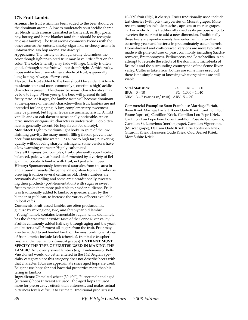# **17F. Fruit Lambic**

**Aroma:** The fruit which has been added to the beer should be the dominant aroma. A low to moderately sour/acidic character blends with aromas described as barnyard, earthy, goaty, hay, horsey, and horse blanket (and thus should be recognizable as a lambic). The fruit aroma commonly blends with the other aromas. An enteric, smoky, cigar-like, or cheesy aroma is unfavorable. No hop aroma. No diacetyl.

**Appearance:** The variety of fruit generally determines the color though lighter-colored fruit may have little effect on the color. The color intensity may fade with age. Clarity is often good, although some fruit will not drop bright. A thick rocky, mousse-like head, sometimes a shade of fruit, is generally long-lasting. Always effervescent.

**Flavor:** The fruit added to the beer should be evident. A low to moderate sour and more commonly (sometimes high) acidic character is present. The classic barnyard characteristics may be low to high. When young, the beer will present its full fruity taste. As it ages, the lambic taste will become dominant at the expense of the fruit character—thus fruit lambics are not intended for long aging. A low, complementary sweetness may be present, but higher levels are uncharacteristic. A mild vanilla and/or oak flavor is occasionally noticeable. An enteric, smoky or cigar-like character is undesirable. Hop bitterness is generally absent. No hop flavor. No diacetyl. **Mouthfeel:** Light to medium-light body. In spite of the low finishing gravity, the many mouth-filling flavors prevent the beer from tasting like water. Has a low to high tart, puckering quality without being sharply astringent. Some versions have a low warming character. Highly carbonated.

**Overall Impression:** Complex, fruity, pleasantly sour/acidic, balanced, pale, wheat-based ale fermented by a variety of Belgian microbiota. A lambic with fruit, not just a fruit beer. **History:** Spontaneously fermented sour ales from the area in and around Brussels (the Senne Valley) stem from a farmhouse brewing tradition several centuries old. Their numbers are constantly dwindling and some are untraditionally sweetening their products (post-fermentation) with sugar or sweet fruit to make them more palatable to a wider audience. Fruit was traditionally added to lambic or gueuze, either by the blender or publican, to increase the variety of beers available in local cafes.

**Comments:** Fruit-based lambics are often produced like gueuze by mixing one, two, and three-year old lambic. "Young" lambic contains fermentable sugars while old lambic has the characteristic "wild" taste of the Senne River valley. Fruit is commonly added halfway through aging and the yeast and bacteria will ferment all sugars from the fruit. Fruit may also be added to unblended lambic. The most traditional styles of fruit lambics include kriek (cherries), framboise (raspberries) and druivenlambik (muscat grapes). **ENTRANT MUST SPECIFY THE TYPE OF FRUIT(S) USED IN MAKING THE LAMBIC.** Any overly sweet lambics (e.g., Lindemans or Belle Vue clones) would do better entered in the 16E Belgian Specialty category since this category does not describe beers with that character. IBUs are approximate since aged hops are used; Belgians use hops for anti-bacterial properties more than bittering in lambics.

**Ingredients:** Unmalted wheat (30-40%), Pilsner malt and aged (surannes) hops (3 years) are used. The aged hops are used more for preservative effects than bitterness, and makes actual bitterness levels difficult to estimate. Traditional products use

10-30% fruit (25%, if cherry). Fruits traditionally used include tart cherries (with pits), raspberries or Muscat grapes. More recent examples include peaches, apricots or merlot grapes. Tart or acidic fruit is traditionally used as its purpose is not to sweeten the beer but to add a new dimension. Traditionally these beers are spontaneously fermented with naturallyoccurring yeast and bacteria in predominately oaken barrels. Home-brewed and craft-brewed versions are more typically made with pure cultures of yeast commonly including Saccharomyces, Brettanomyces, Pediococcus and Lactobacillus in an attempt to recreate the effects of the dominant microbiota of Brussels and the surrounding countryside of the Senne River valley. Cultures taken from bottles are sometimes used but there is no simple way of knowing what organisms are still viable.

| Vital Statistics:                         | $OG: 1.040 - 1.060$ |
|-------------------------------------------|---------------------|
| IBUs: 0 – 10                              | $FG: 1.000 - 1.010$ |
| SRM: $3-7$ (varies w/ fruit) ABV: $5-7\%$ |                     |

**Commercial Examples:** Boon Framboise Marriage Parfait, Boon Kriek Mariage Parfait, Boon Oude Kriek, Cantillon Fou' Foune (apricot), Cantillon Kriek, Cantillon Lou Pepe Kriek, Cantillon Lou Pepe Framboise, Cantillon Rose de Gambrinus, Cantillon St. Lamvinus (merlot grape), Cantillon Vigneronne (Muscat grape), De Cam Oude Kriek, Drie Fonteinen Kriek, Girardin Kriek, Hanssens Oude Kriek, Oud Beersel Kriek, Mort Subite Kriek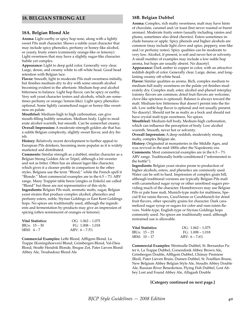# **18. BELGIAN STRONG ALE**

### **18A. Belgian Blond Ale**

**Aroma:** Light earthy or spicy hop nose, along with a lightly sweet Pils malt character. Shows a subtle yeast character that may include spicy phenolics, perfumy or honey-like alcohol, or yeasty, fruity esters (commonly orange-like or lemony). Light sweetness that may have a slightly sugar-like character. Subtle yet complex.

**Appearance:** Light to deep gold color. Generally very clear. Large, dense, and creamy white to off-white head. Good head retention with Belgian lace.

**Flavor:** Smooth, light to moderate Pils malt sweetness initially, but finishes medium-dry to dry with some smooth alcohol becoming evident in the aftertaste. Medium hop and alcohol bitterness to balance. Light hop flavor, can be spicy or earthy. Very soft yeast character (esters and alcohols, which are sometimes perfumy or orange/lemon-like). Light spicy phenolics optional. Some lightly caramelized sugar or honey-like sweetness on palate.

**Mouthfeel:** Medium-high to high carbonation, can give mouth-filling bubbly sensation. Medium body. Light to moderate alcohol warmth, but smooth. Can be somewhat creamy. **Overall Impression:** A moderate-strength golden ale that has a subtle Belgian complexity, slightly sweet flavor, and dry finish.

**History:** Relatively recent development to further appeal to European Pils drinkers, becoming more popular as it is widely marketed and distributed.

**Comments:** Similar strength as a dubbel, similar character as a Belgian Strong Golden Ale or Tripel, although a bit sweeter and not as bitter. Often has an almost lager-like character, which gives it a cleaner profile in comparison to the other styles. Belgians use the term "Blond," while the French spell it "Blonde." Most commercial examples are in the  $6.5 - 7\%$  ABV range. Many Trappist table beers (singles or Enkels) are called "Blond" but these are not representative of this style. **Ingredients:** Belgian Pils malt, aromatic malts, sugar, Belgian yeast strains that produce complex alcohol, phenolics and perfumy esters, noble, Styrian Goldings or East Kent Goldings hops. No spices are traditionally used, although the ingredients and fermentation by-products may give an impression of spicing (often reminiscent of oranges or lemons).

| <b>Vital Statistics:</b> | $OG: 1.062 - 1.075$ |
|--------------------------|---------------------|
| $IBUs: 15-30$            | $FG: 1.008 - 1.018$ |
| SRM: 4-7                 | ABV: $6 - 7.5\%$    |

**Commercial Examples:** Leffe Blond, Affligem Blond, La Trappe (Koningshoeven) Blond, Grimbergen Blond, Val-Dieu Blond, Straffe Hendrik Blonde, Brugse Zot, Pater Lieven Blond Abbey Ale, Troubadour Blond Ale

### **18B. Belgian Dubbel**

**Aroma:** Complex, rich malty sweetness; malt may have hints of chocolate, caramel and/or toast (but never roasted or burnt aromas). Moderate fruity esters (usually including raisins and plums, sometimes also dried cherries). Esters sometimes include banana or apple. Spicy phenols and higher alcohols are common (may include light clove and spice, peppery, rose-like and/or perfumy notes). Spicy qualities can be moderate to very low. Alcohol, if present, is soft and never hot or solventy. A small number of examples may include a low noble hop aroma, but hops are usually absent. No diacetyl.

**Appearance:** Dark amber to copper in color, with an attractive reddish depth of color. Generally clear. Large, dense, and longlasting creamy off-white head.

**Flavor:** Similar qualities as aroma. Rich, complex medium to medium-full malty sweetness on the palate yet finishes moderately dry. Complex malt, ester, alcohol and phenol interplay (raisiny flavors are common; dried fruit flavors are welcome; clove-like spiciness is optional). Balance is always toward the malt. Medium-low bitterness that doesn't persist into the finish. Low noble hop flavor is optional and not usually present. No diacetyl. Should not be as malty as a bock and should not have crystal malt-type sweetness. No spices.

**Mouthfeel:** Medium-full body. Medium-high carbonation, which can influence the perception of body. Low alcohol warmth. Smooth, never hot or solventy.

**Overall Impression:** A deep reddish, moderately strong, malty, complex Belgian ale.

**History:** Originated at monasteries in the Middle Ages, and was revived in the mid-1800s after the Napoleonic era. **Comments:** Most commercial examples are in the 6.5 – 7% ABV range. Traditionally bottle-conditioned ("refermented in the bottle").

**Ingredients:** Belgian yeast strains prone to production of higher alcohols, esters, and phenolics are commonly used. Water can be soft to hard. Impression of complex grain bill, although traditional versions are typically Belgian Pils malt with caramelized sugar syrup or other unrefined sugars providing much of the character. Homebrewers may use Belgian Pils or pale base malt, Munich-type malts for maltiness, Special B for raisin flavors, CaraVienne or CaraMunich for dried fruit flavors, other specialty grains for character. Dark caramelized sugar syrup or sugars for color and rum-raisin flavors. Noble-type, English-type or Styrian Goldings hops commonly used. No spices are traditionally used, although restrained use is allowable.

| Vital Statistics: | $OG: 1.062 - 1.075$ |
|-------------------|---------------------|
| IBUs: 15 – 25     | $FG: 1.008 - 1.018$ |
| SRM: 10 – 17      | ABV: $6 - 7.6\%$    |

**Commercial Examples:** Westmalle Dubbel, St. Bernardus Pater 6, La Trappe Dubbel, Corsendonk Abbey Brown Ale, Grimbergen Double, Affligem Dubbel, Chimay Premiere (Red), Pater Lieven Bruin, Duinen Dubbel, St. Feuillien Brune, New Belgium Abbey Belgian Style Ale, Stoudts Abbey Double Ale, Russian River Benediction, Flying Fish Dubbel, Lost Abbey Lost and Found Abbey Ale, Allagash Double

#### **[Category continued on next page.]**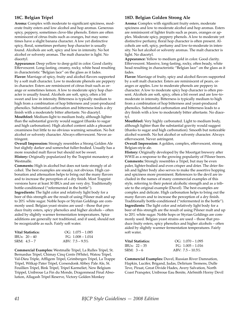# **18C. Belgian Tripel**

**Aroma:** Complex with moderate to significant spiciness, moderate fruity esters and low alcohol and hop aromas. Generous spicy, peppery, sometimes clove-like phenols. Esters are often reminiscent of citrus fruits such as oranges, but may sometimes have a slight banana character. A low yet distinctive spicy, floral, sometimes perfumy hop character is usually found. Alcohols are soft, spicy and low in intensity. No hot alcohol or solventy aromas. The malt character is light. No diacetyl.

**Appearance:** Deep yellow to deep gold in color. Good clarity. Effervescent. Long-lasting, creamy, rocky, white head resulting in characteristic "Belgian lace" on the glass as it fades. **Flavor:** Marriage of spicy, fruity and alcohol flavors supported by a soft malt character. Low to moderate phenols are peppery in character. Esters are reminiscent of citrus fruit such as orange or sometimes lemon. A low to moderate spicy hop character is usually found. Alcohols are soft, spicy, often a bit sweet and low in intensity. Bitterness is typically medium to high from a combination of hop bitterness and yeast-produced phenolics. Substantial carbonation and bitterness lends a dry finish with a moderately bitter aftertaste. No diacetyl. **Mouthfeel:** Medium-light to medium body, although lighter than the substantial gravity would suggest (thanks to sugar and high carbonation). High alcohol content adds a pleasant creaminess but little to no obvious warming sensation. No hot alcohol or solventy character. Always effervescent. Never astringent.

**Overall Impression:** Strongly resembles a Strong Golden Ale but slightly darker and somewhat fuller-bodied. Usually has a more rounded malt flavor but should not be sweet.

**History:** Originally popularized by the Trappist monastery at Westmalle.

**Comments:** High in alcohol but does not taste strongly of alcohol. The best examples are sneaky, not obvious. High carbonation and attenuation helps to bring out the many flavors and to increase the perception of a dry finish. Most Trappist versions have at least 30 IBUs and are very dry. Traditionally bottle-conditioned ("refermented in the bottle").

**Ingredients:** The light color and relatively light body for a beer of this strength are the result of using Pilsner malt and up to 20% white sugar. Noble hops or Styrian Goldings are commonly used. Belgian yeast strains are used – those that produce fruity esters, spicy phenolics and higher alcohols – often aided by slightly warmer fermentation temperatures. Spice additions are generally not traditional, and if used, should not be recognizable as such. Fairly soft water.

| <b>Vital Statistics:</b> | $OG: 1.075 - 1.085$ |
|--------------------------|---------------------|
| $IBUs: 20-40$            | $FG: 1.008 - 1.014$ |
| $SRM: 4.5 - 7$           | ABV: $7.5 - 9.5\%$  |

**Commercial Examples:** Westmalle Tripel, La Rulles Tripel, St. Bernardus Tripel, Chimay Cinq Cents (White), Watou Tripel, Val-Dieu Triple, Affligem Tripel, Grimbergen Tripel, La Trappe Tripel, Witkap Pater Tripel, Corsendonk Abbey Pale Ale, St. Feuillien Tripel, Bink Tripel, Tripel Karmeliet, New Belgium Trippel, Unibroue La Fin du Monde, Dragonmead Final Absolution, Allagash Tripel Reserve, Victory Golden Monkey

### **18D. Belgian Golden Strong Ale**

**Aroma:** Complex with significant fruity esters, moderate spiciness and low to moderate alcohol and hop aromas. Esters are reminiscent of lighter fruits such as pears, oranges or apples. Moderate spicy, peppery phenols. A low to moderate yet distinctive perfumy, floral hop character is often present. Alcohols are soft, spicy, perfumy and low-to-moderate in intensity. No hot alcohol or solventy aromas. The malt character is light. No diacetyl.

**Appearance:** Yellow to medium gold in color. Good clarity. Effervescent. Massive, long-lasting, rocky, often beady, white head resulting in characteristic "Belgian lace" on the glass as it fades.

**Flavor:** Marriage of fruity, spicy and alcohol flavors supported by a soft malt character. Esters are reminiscent of pears, oranges or apples. Low to moderate phenols are peppery in character. A low to moderate spicy hop character is often present. Alcohols are soft, spicy, often a bit sweet and are low-tomoderate in intensity. Bitterness is typically medium to high from a combination of hop bitterness and yeast-produced phenolics. Substantial carbonation and bitterness leads to a dry finish with a low to moderately bitter aftertaste. No diacetyl.

**Mouthfeel:** Very highly carbonated. Light to medium body, although lighter than the substantial gravity would suggest (thanks to sugar and high carbonation). Smooth but noticeable alcohol warmth. No hot alcohol or solventy character. Always effervescent. Never astringent.

**Overall Impression:** A golden, complex, effervescent, strong Belgian-style ale.

**History:** Originally developed by the Moortgat brewery after WWII as a response to the growing popularity of Pilsner beers. **Comments:** Strongly resembles a Tripel, but may be even paler, lighter-bodied and even crisper and drier. The drier finish and lighter body also serves to make the assertive hopping and spiciness more prominent. References to the devil are included in the names of many commercial examples of this style, referring to their potent alcoholic strength and as a tribute to the original example (Duvel). The best examples are complex and delicate. High carbonation helps to bring out the many flavors and to increase the perception of a dry finish. Traditionally bottle-conditioned ("refermented in the bottle"). **Ingredients:** The light color and relatively light body for a beer of this strength are the result of using Pilsner malt and up to 20% white sugar. Noble hops or Styrian Goldings are commonly used. Belgian yeast strains are used – those that produce fruity esters, spicy phenolics and higher alcohols – often aided by slightly warmer fermentation temperatures. Fairly soft water.

| Vital Statistics: | $OG: 1.070 - 1.095$ |
|-------------------|---------------------|
| IBUs: 22 – 35     | FG: 1.005 - 1.016   |
| SRM: 3–6          | $ABV: 7.5 - 10.5\%$ |

**Commercial Examples:** Duvel, Russian River Damnation, Hapkin, Lucifer, Brigand, Judas, Delirium Tremens, Dulle Teve, Piraat, Great Divide Hades, Avery Salvation, North Coast Pranqster, Unibroue Eau Benite, AleSmith Horny Devil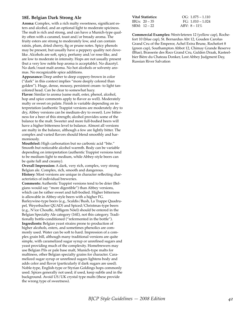# **18E. Belgian Dark Strong Ale**

**Aroma:** Complex, with a rich malty sweetness, significant esters and alcohol, and an optional light to moderate spiciness. The malt is rich and strong, and can have a Munich-type quality often with a caramel, toast and/or bready aroma. The fruity esters are strong to moderately low, and can contain raisin, plum, dried cherry, fig or prune notes. Spicy phenols may be present, but usually have a peppery quality not clovelike. Alcohols are soft, spicy, perfumy and/or rose-like, and are low to moderate in intensity. Hops are not usually present (but a very low noble hop aroma is acceptable). No diacetyl. No dark/roast malt aroma. No hot alcohols or solventy aromas. No recognizable spice additions.

**Appearance:** Deep amber to deep coppery-brown in color ("dark" in this context implies "more deeply colored than golden"). Huge, dense, moussy, persistent cream- to light tancolored head. Can be clear to somewhat hazy.

**Flavor:** Similar to aroma (same malt, ester, phenol, alcohol, hop and spice comments apply to flavor as well). Moderately malty or sweet on palate. Finish is variable depending on interpretation (authentic Trappist versions are moderately dry to dry, Abbey versions can be medium-dry to sweet). Low bitterness for a beer of this strength; alcohol provides some of the balance to the malt. Sweeter and more full-bodied beers will have a higher bitterness level to balance. Almost all versions are malty in the balance, although a few are lightly bitter. The complex and varied flavors should blend smoothly and harmoniously.

**Mouthfeel:** High carbonation but no carbonic acid "bite." Smooth but noticeable alcohol warmth. Body can be variable depending on interpretation (authentic Trappist versions tend to be medium-light to medium, while Abbey-style beers can be quite full and creamy).

**Overall Impression:** A dark, very rich, complex, very strong Belgian ale. Complex, rich, smooth and dangerous. **History:** Most versions are unique in character reflecting characteristics of individual breweries.

**Comments:** Authentic Trappist versions tend to be drier (Belgians would say "more digestible") than Abbey versions, which can be rather sweet and full-bodied. Higher bitterness is allowable in Abbey-style beers with a higher FG. Barleywine-type beers (e.g., Scaldis/Bush, La Trappe Quadrupel, Weyerbacher QUAD) and Spiced/Christmas-type beers (e.g., N'ice Chouffe, Affligem Nöel) should be entered in the Belgian Specialty Ale category (16E), not this category. Traditionally bottle-conditioned ("refermented in the bottle"). **Ingredients:** Belgian yeast strains prone to production of higher alcohols, esters, and sometimes phenolics are commonly used. Water can be soft to hard. Impression of a complex grain bill, although many traditional versions are quite simple, with caramelized sugar syrup or unrefined sugars and yeast providing much of the complexity. Homebrewers may use Belgian Pils or pale base malt, Munich-type malts for maltiness, other Belgian specialty grains for character. Caramelized sugar syrup or unrefined sugars lightens body and adds color and flavor (particularly if dark sugars are used). Noble-type, English-type or Styrian Goldings hops commonly used. Spices generally not used; if used, keep subtle and in the background. Avoid US/UK crystal type malts (these provide the wrong type of sweetness).

| <b>Vital Statistics:</b> | $OG: 1.075 - 1.110$ |
|--------------------------|---------------------|
| IBUs: $20 - 35$          | $FG: 1.010 - 1.024$ |
| $SRM: 12-22$             | ABV: $8-11\%$       |

**Commercial Examples:** Westvleteren 12 (yellow cap), Rochefort 10 (blue cap), St. Bernardus Abt 12, Gouden Carolus Grand Cru of the Emperor, Achel Extra Brune, Rochefort 8 (green cap), Southampton Abbot 12, Chimay Grande Reserve (Blue), Brasserie des Rocs Grand Cru, Gulden Draak, Kasteelbier Bière du Chateau Donker, Lost Abbey Judgment Day, Russian River Salvation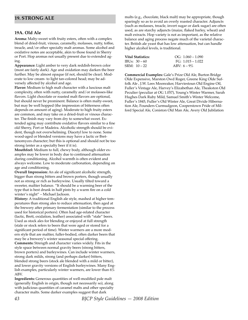# **19A. Old Ale**

**Aroma:** Malty-sweet with fruity esters, often with a complex blend of dried-fruit, vinous, caramelly, molasses, nutty, toffee, treacle, and/or other specialty malt aromas. Some alcohol and oxidative notes are acceptable, akin to those found in Sherry or Port. Hop aromas not usually present due to extended aging.

**Appearance:** Light amber to very dark reddish-brown color (most are fairly dark). Age and oxidation may darken the beer further. May be almost opaque (if not, should be clear). Moderate to low cream- to light tan-colored head; may be adversely affected by alcohol and age.

**Flavor:** Medium to high malt character with a luscious malt complexity, often with nutty, caramelly and/or molasses-like flavors. Light chocolate or roasted malt flavors are optional, but should never be prominent. Balance is often malty-sweet, but may be well hopped (the impression of bitterness often depends on amount of aging). Moderate to high fruity esters are common, and may take on a dried-fruit or vinous character. The finish may vary from dry to somewhat sweet. Extended aging may contribute oxidative flavors similar to a fine old Sherry, Port or Madeira. Alcoholic strength should be evident, though not overwhelming. Diacetyl low to none. Some wood-aged or blended versions may have a lactic or Brettanomyces character; but this is optional and should not be too strong (enter as a specialty beer if it is).

**Mouthfeel:** Medium to full, chewy body, although older examples may be lower in body due to continued attenuation during conditioning. Alcohol warmth is often evident and always welcome. Low to moderate carbonation, depending on age and conditioning.

**Overall Impression:** An ale of significant alcoholic strength, bigger than strong bitters and brown porters, though usually not as strong or rich as barleywine. Usually tilted toward a sweeter, maltier balance. "It should be a warming beer of the type that is best drunk in half pints by a warm fire on a cold winter's night" – Michael Jackson.

**History:** A traditional English ale style, mashed at higher temperatures than strong ales to reduce attenuation, then aged at the brewery after primary fermentation (similar to the process used for historical porters). Often had age-related character (lactic, Brett, oxidation, leather) associated with "stale" beers. Used as stock ales for blending or enjoyed at full strength (stale or stock refers to beers that were aged or stored for a significant period of time). Winter warmers are a more modern style that are maltier, fuller-bodied, often darker beers that may be a brewery's winter seasonal special offering. **Comments:** Strength and character varies widely. Fits in the style space between normal gravity beers (strong bitters, brown porters) and barleywines. Can include winter warmers, strong dark milds, strong (and perhaps darker) bitters, blended strong beers (stock ale blended with a mild or bitter), and lower gravity versions of English barleywines. Many English examples, particularly winter warmers, are lower than 6% ABV.

**Ingredients:** Generous quantities of well-modified pale malt (generally English in origin, though not necessarily so), along with judicious quantities of caramel malts and other specialty character malts. Some darker examples suggest that dark

malts (e.g., chocolate, black malt) may be appropriate, though sparingly so as to avoid an overly roasted character. Adjuncts (such as molasses, treacle, invert sugar or dark sugar) are often used, as are starchy adjuncts (maize, flaked barley, wheat) and malt extracts. Hop variety is not as important, as the relative balance and aging process negate much of the varietal character. British ale yeast that has low attenuation, but can handle higher alcohol levels, is traditional.

| Vital Statistics: | $OG: 1.060 - 1.090$ |
|-------------------|---------------------|
| IBUs: 30 – 60     | $FG: 1.015 - 1.022$ |
| SRM: 10 – 22      | ABV: $6-9\%$        |

**Commercial Examples:** Gale's Prize Old Ale, Burton Bridge Olde Expensive, Marston Owd Roger, Greene King Olde Suffolk Ale , J.W. Lees Moonraker, Harviestoun Old Engine Oil, Fuller's Vintage Ale, Harvey's Elizabethan Ale, Theakston Old Peculier (peculiar at OG 1.057), Young's Winter Warmer, Sarah Hughes Dark Ruby Mild, Samuel Smith's Winter Welcome, Fuller's 1845, Fuller's Old Winter Ale, Great Divide Hibernation Ale, Founders Curmudgeon, Cooperstown Pride of Milford Special Ale, Coniston Old Man Ale, Avery Old Jubilation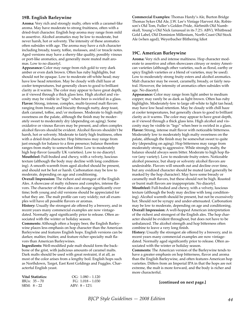### **19B. English Barleywine**

**Aroma:** Very rich and strongly malty, often with a caramel-like aroma. May have moderate to strong fruitiness, often with a dried-fruit character. English hop aroma may range from mild to assertive. Alcohol aromatics may be low to moderate, but never harsh, hot or solventy. The intensity of these aromatics often subsides with age. The aroma may have a rich character including bready, toasty, toffee, molasses, and/or treacle notes. Aged versions may have a sherry-like quality, possibly vinous or port-like aromatics, and generally more muted malt aromas. Low to no diacetyl.

**Appearance:** Color may range from rich gold to very dark amber or even dark brown. Often has ruby highlights, but should not be opaque. Low to moderate off-white head; may have low head retention. May be cloudy with chill haze at cooler temperatures, but generally clears to good to brilliant clarity as it warms. The color may appear to have great depth, as if viewed through a thick glass lens. High alcohol and viscosity may be visible in "legs" when beer is swirled in a glass. **Flavor:** Strong, intense, complex, multi-layered malt flavors ranging from bready and biscuity through nutty, deep toast, dark caramel, toffee, and/or molasses. Moderate to high malty sweetness on the palate, although the finish may be moderately sweet to moderately dry (depending on aging). Some oxidative or vinous flavors may be present, and often complex alcohol flavors should be evident. Alcohol flavors shouldn't be harsh, hot or solventy. Moderate to fairly high fruitiness, often with a dried-fruit character. Hop bitterness may range from just enough for balance to a firm presence; balance therefore ranges from malty to somewhat bitter. Low to moderately high hop flavor (usually UK varieties). Low to no diacetyl. **Mouthfeel:** Full-bodied and chewy, with a velvety, luscious texture (although the body may decline with long conditioning). A smooth warmth from aged alcohol should be present, and should not be hot or harsh. Carbonation may be low to moderate, depending on age and conditioning.

**Overall Impression:** The richest and strongest of the English Ales. A showcase of malty richness and complex, intense flavors. The character of these ales can change significantly over time; both young and old versions should be appreciated for what they are. The malt profile can vary widely; not all examples will have all possible flavors or aromas.

**History:** Usually the strongest ale offered by a brewery, and in recent years many commercial examples are now vintagedated. Normally aged significantly prior to release. Often associated with the winter or holiday season.

**Comments:** Although often a hoppy beer, the English Barleywine places less emphasis on hop character than the American Barleywine and features English hops. English versions can be darker, maltier, fruitier, and feature richer specialty malt flavors than American Barleywines.

**Ingredients:** Well-modified pale malt should form the backbone of the grist, with judicious amounts of caramel malts. Dark malts should be used with great restraint, if at all, as most of the color arises from a lengthy boil. English hops such as Northdown, Target, East Kent Goldings and Fuggles. Characterful English yeast.

| Vital Statistics: | $OG: 1.080 - 1.120$ |
|-------------------|---------------------|
| IBUs: 35 – 70     | $FG: 1.018 - 1.030$ |
| SRM: 8–22         | $ABV: 8-12%$        |

**Commercial Examples:** Thomas Hardy's Ale, Burton Bridge Thomas Sykes Old Ale, J.W. Lee's Vintage Harvest Ale, Robinson's Old Tom, Fuller's Golden Pride, AleSmith Old Numbskull, Young's Old Nick (unusual in its 7.2% ABV), Whitbread Gold Label, Old Dominion Millenium, North Coast Old Stock Ale (when aged), Weyerbacher Blithering Idiot

### **19C. American Barleywine**

**Aroma:** Very rich and intense maltiness. Hop character moderate to assertive and often showcases citrusy or resiny American varieties (although other varieties, such as floral, earthy or spicy English varieties or a blend of varieties, may be used). Low to moderately strong fruity esters and alcohol aromatics. Malt character may be sweet, caramelly, bready, or fairly neutral. However, the intensity of aromatics often subsides with age. No diacetyl.

**Appearance:** Color may range from light amber to medium copper; may rarely be as dark as light brown. Often has ruby highlights. Moderately-low to large off-white to light tan head; may have low head retention. May be cloudy with chill haze at cooler temperatures, but generally clears to good to brilliant clarity as it warms. The color may appear to have great depth, as if viewed through a thick glass lens. High alcohol and viscosity may be visible in "legs" when beer is swirled in a glass. **Flavor:** Strong, intense malt flavor with noticeable bitterness. Moderately low to moderately high malty sweetness on the palate, although the finish may be somewhat sweet to quite dry (depending on aging). Hop bitterness may range from moderately strong to aggressive. While strongly malty, the balance should always seem bitter. Moderate to high hop flavor (any variety). Low to moderate fruity esters. Noticeable alcohol presence, but sharp or solventy alcohol flavors are undesirable. Flavors will smooth out and decline over time, but any oxidized character should be muted (and generally be masked by the hop character). May have some bready or caramelly malt flavors, but these should not be high. Roasted or burnt malt flavors are inappropriate. No diacetyl. **Mouthfeel:** Full-bodied and chewy, with a velvety, luscious texture (although the body may decline with long conditioning). Alcohol warmth should be present, but not be excessively hot. Should not be syrupy and under-attenuated. Carbonation may be low to moderate, depending on age and conditioning. **Overall Impression:** A well-hopped American interpretation of the richest and strongest of the English ales. The hop character should be evident throughout, but does not have to be unbalanced. The alcohol strength and hop bitterness often combine to leave a very long finish.

**History:** Usually the strongest ale offered by a brewery, and in recent years many commercial examples are now vintagedated. Normally aged significantly prior to release. Often associated with the winter or holiday season.

**Comments:** The American version of the Barleywine tends to have a greater emphasis on hop bitterness, flavor and aroma than the English Barleywine, and often features American hop varieties. Differs from an Imperial IPA in that the hops are not extreme, the malt is more forward, and the body is richer and more characterful.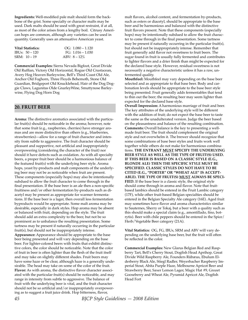**Ingredients:** Well-modified pale malt should form the backbone of the grist. Some specialty or character malts may be used. Dark malts should be used with great restraint, if at all, as most of the color arises from a lengthy boil. Citrusy American hops are common, although any varieties can be used in quantity. Generally uses an attenuative American yeast.

| <b>Vital Statistics:</b> | $OG: 1.080 - 1.120$ |
|--------------------------|---------------------|
| $IBUs: 50-120$           | $FG: 1.016 - 1.030$ |
| $SRM: 10-19$             | $ABV: 8-12\%$       |

**Commercial Examples:** Sierra Nevada Bigfoot, Great Divide Old Ruffian, Victory Old Horizontal, Rogue Old Crustacean, Avery Hog Heaven Barleywine, Bell's Third Coast Old Ale, Anchor Old Foghorn, Three Floyds Behemoth, Stone Old Guardian, Bridgeport Old Knucklehead, Hair of the Dog Doggie Claws, Lagunitas Olde GnarleyWine, Smuttynose Barleywine, Flying Dog Horn Dog

# **20. FRUIT BEER**

**Aroma:** The distinctive aromatics associated with the particular fruit(s) should be noticeable in the aroma; however, note that some fruit (e.g., raspberries, cherries) have stronger aromas and are more distinctive than others (e.g., blueberries, strawberries)—allow for a range of fruit character and intensity from subtle to aggressive. The fruit character should be pleasant and supportive, not artificial and inappropriately overpowering (considering the character of the fruit) nor should it have defects such as oxidation. As with all specialty beers, a proper fruit beer should be a harmonious balance of the featured fruit(s) with the underlying beer style. Aroma hops, yeast by-products and malt components of the underlying beer may not be as noticeable when fruit are present. These components (especially hops) may also be intentionally subdued to allow the fruit character to come through in the final presentation. If the base beer is an ale then a non-specific fruitiness and/or other fermentation by-products such as diacetyl may be present as appropriate for warmer fermentations. If the base beer is a lager, then overall less fermentation byproducts would be appropriate. Some malt aroma may be desirable, especially in dark styles. Hop aroma may be absent or balanced with fruit, depending on the style. The fruit should add an extra complexity to the beer, but not be so prominent as to unbalance the resulting presentation. Some tartness may be present if naturally occurring in the particular fruit(s), but should not be inappropriately intense. **Appearance:** Appearance should be appropriate to the base beer being presented and will vary depending on the base beer. For lighter-colored beers with fruits that exhibit distinctive colors, the color should be noticeable. Note that the color of fruit in beer is often lighter than the flesh of the fruit itself and may take on slightly different shades. Fruit beers may have some haze or be clear, although haze is a generally undesirable. The head may take on some of the color of the fruit. Flavor: As with aroma, the distinctive flavor character associated with the particular fruit(s) should be noticeable, and may range in intensity from subtle to aggressive. The balance of fruit with the underlying beer is vital, and the fruit character should not be so artificial and/or inappropriately overpowering as to suggest a fruit juice drink. Hop bitterness, flavor,

malt flavors, alcohol content, and fermentation by-products, such as esters or diacetyl, should be appropriate to the base beer and be harmonious and balanced with the distinctive fruit flavors present. Note that these components (especially hops) may be intentionally subdued to allow the fruit character to come through in the final presentation. Some tartness may be present if naturally occurring in the particular fruit(s), but should not be inappropriately intense. Remember that fruit generally add flavor not sweetness to fruit beers. The sugar found in fruit is usually fully fermented and contributes to lighter flavors and a drier finish than might be expected for the declared base style. However, residual sweetness is not necessarily a negative characteristic unless it has a raw, unfermented quality.

**Mouthfeel:** Mouthfeel may vary depending on the base beer selected and as appropriate to that base beer. Body and carbonation levels should be appropriate to the base beer style being presented. Fruit generally adds fermentables that tend to thin out the beer; the resulting beer may seem lighter than expected for the declared base style.

**Overall Impression:** A harmonious marriage of fruit and beer. The key attributes of the underlying style will be different with the addition of fruit; do not expect the base beer to taste the same as the unadulterated version. Judge the beer based on the pleasantness and balance of the resulting combination. **Comments:** Overall balance is the key to presenting a wellmade fruit beer. The fruit should complement the original style and not overwhelm it. The brewer should recognize that some combinations of base beer styles and fruits work well together while others do not make for harmonious combinations. **THE ENTRANT MUST SPECIFY THE UNDERLYING BEER STYLE AS WELL AS THE TYPE OF FRUIT(S) USED. IF THIS BEER IS BASED ON A CLASSIC STYLE (E.G., BLONDE ALE) THEN THE SPECIFIC STYLE MUST BE SPECIFIED. CLASSIC STYLES DO NOT HAVE TO BE CITED (E.G., "PORTER" OR "WHEAT ALE" IS ACCEPT-ABLE). THE TYPE OF FRUIT(S) MUST ALWAYS BE SPECI-FIED.** If the base beer is a classic style, the original style should come through in aroma and flavor. Note that fruitbased lambics should be entered in the Fruit Lambic category (17F), while other fruit-based Belgian specialties should be entered in the Belgian Specialty Ale category (16E). Aged fruit may sometimes have flavor and aroma characteristics similar to Sauternes, Sherry or Tokaj, but a beer with a quality such as this should make a special claim (e.g., amontillado, fino, botrytis). Beer with chile peppers should be entered in the Spice/ Herb/Vegetable Beer category (21A).

**Vital Statistics:** OG, FG, IBUs, SRM and ABV will vary depending on the underlying base beer, but the fruit will often be reflected in the color.

**Commercial Examples:** New Glarus Belgian Red and Raspberry Tart, Bell's Cherry Stout, Dogfish Head Aprihop, Great Divide Wild Raspberry Ale, Founders Rübæus, Ebulum Elderberry Black Ale, Stiegl Radler, Weyerbacher Raspberry Imperial Stout, Abita Purple Haze, Melbourne Apricot Beer and Strawberry Beer, Saxer Lemon Lager, Magic Hat #9, Grozet Gooseberry and Wheat Ale, Pyramid Apricot Ale, Dogfish Head Fort

*45 BJCP Style Guidelines — 2008 Edition*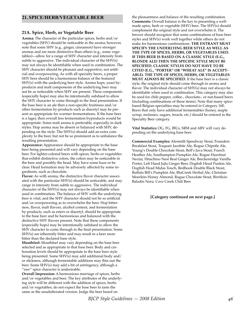# **21A. Spice, Herb, or Vegetable Beer**

**Aroma:** The character of the particular spices, herbs and/or vegetables (SHV) should be noticeable in the aroma; however, note that some SHV (e.g., ginger, cinnamon) have stronger aromas and are more distinctive than others (e.g., some vegetables)—allow for a range of SHV character and intensity from subtle to aggressive. The individual character of the SHV(s) may not always be identifiable when used in combination. The SHV character should be pleasant and supportive, not artificial and overpowering. As with all specialty beers, a proper SHV beer should be a harmonious balance of the featured SHV(s) with the underlying beer style. Aroma hops, yeast byproducts and malt components of the underlying beer may not be as noticeable when SHV are present. These components (especially hops) may also be intentionally subdued to allow the SHV character to come through in the final presentation. If the base beer is an ale then a non-specific fruitiness and/or other fermentation by-products such as diacetyl may be present as appropriate for warmer fermentations. If the base beer is a lager, then overall less fermentation byproducts would be appropriate. Some malt aroma is preferable, especially in dark styles. Hop aroma may be absent or balanced with SHV, depending on the style. The SHV(s) should add an extra complexity to the beer, but not be so prominent as to unbalance the resulting presentation.

**Appearance:** Appearance should be appropriate to the base beer being presented and will vary depending on the base beer. For lighter-colored beers with spices, herbs or vegetables that exhibit distinctive colors, the colors may be noticeable in the beer and possibly the head. May have some haze or be clear. Head formation may be adversely affected by some ingredients, such as chocolate.

**Flavor:** As with aroma, the distinctive flavor character associated with the particular SHV(s) should be noticeable, and may range in intensity from subtle to aggressive. The individual character of the SHV(s) may not always be identifiable when used in combination. The balance of SHV with the underlying beer is vital, and the SHV character should not be so artificial and/or overpowering as to overwhelm the beer. Hop bitterness, flavor, malt flavors, alcohol content, and fermentation by-products, such as esters or diacetyl, should be appropriate to the base beer and be harmonious and balanced with the distinctive SHV flavors present. Note that these components (especially hops) may be intentionally subdued to allow the SHV character to come through in the final presentation. Some SHV(s) are inherently bitter and may result in a beer more bitter than the declared base style.

**Mouthfeel:** Mouthfeel may vary depending on the base beer selected and as appropriate to that base beer. Body and carbonation levels should be appropriate to the base beer style being presented. Some SHV(s) may add additional body and/ or slickness, although fermentable additions may thin out the beer. Some SHV(s) may add a bit of astringency, although a "raw" spice character is undesirable.

**Overall Impression:** A harmonious marriage of spices, herbs and/or vegetables and beer. The key attributes of the underlying style will be different with the addition of spices, herbs and/or vegetables; do not expect the base beer to taste the same as the unadulterated version. Judge the beer based on

the pleasantness and balance of the resulting combination. **Comments:** Overall balance is the key to presenting a wellmade spice, herb or vegetable (SHV) beer. The SHV(s) should complement the original style and not overwhelm it. The brewer should recognize that some combinations of base beer styles and SHV(s) work well together while others do not make for harmonious combinations. **THE ENTRANT MUST SPECIFY THE UNDERLYING BEER STYLE AS WELL AS THE TYPE OF SPICES, HERBS, OR VEGETABLES USED. IF THIS BEER IS BASED ON A CLASSIC STYLE (E.G., BLONDE ALE) THEN THE SPECIFIC STYLE MUST BE SPECIFIED. CLASSIC STYLES DO NOT HAVE TO BE CITED (E.G., "PORTER" OR "WHEAT ALE" IS ACCEPT-ABLE). THE TYPE OF SPICES, HERBS, OR VEGETABLES MUST ALWAYS BE SPECIFIED.** If the base beer is a classic style, the original style should come through in aroma and flavor. The individual character of SHV(s) may not always be identifiable when used in combination. This category may also be used for chile pepper, coffee-, chocolate-, or nut-based beers (including combinations of these items). Note that many spicebased Belgian specialties may be entered in Category 16E. Beers that only have additional fermentables (honey, maple syrup, molasses, sugars, treacle, etc.) should be entered in the Specialty Beer category.

**Vital Statistics:** OG, FG, IBUs, SRM and ABV will vary depending on the underlying base beer.

**Commercial Examples:** Alesmith Speedway Stout, Founders Breakfast Stout, Traquair Jacobite Ale, Rogue Chipotle Ale, Young's Double Chocolate Stout, Bell's Java Stout, Fraoch Heather Ale, Southampton Pumpkin Ale, Rogue Hazelnut Nectar, Hitachino Nest Real Ginger Ale, Breckenridge Vanilla Porter, Left Hand JuJu Ginger Beer, Dogfish Head Punkin Ale, Dogfish Head Midas Touch, Redhook Double Black Stout, Buffalo Bill's Pumpkin Ale, BluCreek Herbal Ale, Christian Moerlein Honey Almond, Rogue Chocolate Stout, Birrificio Baladin Nora, Cave Creek Chili Beer

#### **[Category continued on next page.]**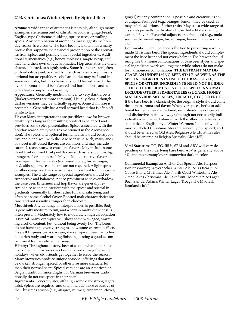# **21B. Christmas/Winter Specialty Spiced Beer**

**Aroma:** A wide range of aromatics is possible, although many examples are reminiscent of Christmas cookies, gingerbread, English-type Christmas pudding, spruce trees, or mulling spices. Any combination of aromatics that suggests the holiday season is welcome. The base beer style often has a malty profile that supports the balanced presentation of the aromatics from spices and possibly other special ingredients. Additional fermentables (e.g., honey, molasses, maple syrup, etc.) may lend their own unique aromatics. Hop aromatics are often absent, subdued, or slightly spicy. Some fruit character (often of dried citrus peel, or dried fruit such as raisins or plums) is optional but acceptable. Alcohol aromatics may be found in some examples, but this character should be restrained. The overall aroma should be balanced and harmonious, and is often fairly complex and inviting.

**Appearance:** Generally medium amber to very dark brown (darker versions are more common). Usually clear, although darker versions may be virtually opaque. Some chill haze is acceptable. Generally has a well-formed head that is often offwhite to tan.

**Flavor:** Many interpretations are possible; allow for brewer creativity as long as the resulting product is balanced and provides some spice presentation. Spices associated with the holiday season are typical (as mentioned in the Aroma section). The spices and optional fermentables should be supportive and blend well with the base beer style. Rich, malty and/ or sweet malt-based flavors are common, and may include caramel, toast, nutty, or chocolate flavors. May include some dried fruit or dried fruit peel flavors such as raisin, plum, fig, orange peel or lemon peel. May include distinctive flavors from specific fermentables (molasses, honey, brown sugar, etc.), although these elements are not required. A light spruce or other evergreen tree character is optional but found in some examples. The wide range of special ingredients should be supportive and balanced, not so prominent as to overshadow the base beer. Bitterness and hop flavor are generally restrained so as to not interfere with the spices and special ingredients. Generally finishes rather full and satisfying, and often has some alcohol flavor. Roasted malt characteristics are rare, and not usually stronger than chocolate.

**Mouthfeel:** A wide range of interpretations is possible. Body is generally medium to full, and a certain malty chewiness is often present. Moderately low to moderately high carbonation is typical. Many examples will show some well-aged, warming alcohol content, but without being overly hot. The beers do not have to be overly strong to show some warming effects. **Overall Impression:** A stronger, darker, spiced beer that often has a rich body and warming finish suggesting a good accompaniment for the cold winter season.

**History:** Throughout history, beer of a somewhat higher alcohol content and richness has been enjoyed during the winter holidays, when old friends get together to enjoy the season. Many breweries produce unique seasonal offerings that may be darker, stronger, spiced, or otherwise more characterful than their normal beers. Spiced versions are an American or Belgian tradition, since English or German breweries traditionally do not use spices in their beer.

**Ingredients:** Generally ales, although some dark strong lagers exist. Spices are required, and often include those evocative of the Christmas season (e.g., allspice, nutmeg, cinnamon, cloves, ginger) but any combination is possible and creativity is encouraged. Fruit peel (e.g., oranges, lemon) may be used, as may subtle additions of other fruits. May use a wide range of crystal-type malts, particularly those that add dark fruit or caramel flavors. Flavorful adjuncts are often used (e.g., molasses, treacle, invert sugar, brown sugar, honey, maple syrup, etc.).

**Comments:** Overall balance is the key to presenting a wellmade Christmas beer. The special ingredients should complement the base beer and not overwhelm it. The brewer should recognize that some combinations of base beer styles and special ingredients work well together while others do not make for harmonious combinations. **THE ENTRANT MAY DE-CLARE AN UNDERLYING BEER STYLE AS WELL AS THE SPECIAL INGREDIENTS USED. THE BASE STYLE, SPICES OR OTHER INGREDIENTS NEED NOT BE IDEN-TIFIED. THE BEER MUST INCLUDE SPICES AND MAY INCLUDE OTHER FERMENTABLES (SUGARS, HONEY, MAPLE SYRUP, MOLASSES, TREACLE, ETC.) OR FRUIT.**  If the base beer is a classic style, the original style should come through in aroma and flavor. Whenever spices, herbs or additional fermentables are declared, each should be noticeable and distinctive in its own way (although not necessarily individually identifiable; balanced with the other ingredients is still critical). English-style Winter Warmers (some of which may be labeled Christmas Ales) are generally not spiced, and should be entered as Old Ales. Belgian-style Christmas ales should be entered as Belgian Specialty Ales (16E).

**Vital Statistics:** OG, FG, IBUs, SRM and ABV will vary depending on the underlying base beer. ABV is generally above 6%, and most examples are somewhat dark in color.

**Commercial Examples:** Anchor Our Special Ale, Harpoon Winter Warmer, Weyerbacher Winter Ale, Nils Oscar Julöl, Goose Island Christmas Ale, North Coast Wintertime Ale, Great Lakes Christmas Ale, Lakefront Holiday Spice Lager Beer, Samuel Adams Winter Lager, Troegs The Mad Elf, Jamtlands Julöl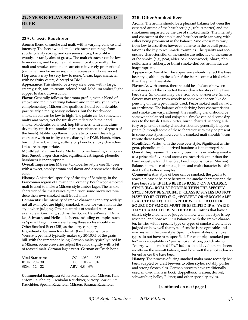# **22. SMOKE-FLAVORED AND WOOD-AGED BEER**

#### **22A. Classic Rauchbier**

**Aroma:** Blend of smoke and malt, with a varying balance and intensity. The beechwood smoke character can range from subtle to fairly strong, and can seem smoky, bacon-like, woody, or rarely almost greasy. The malt character can be low to moderate, and be somewhat sweet, toasty, or malty. The malt and smoke components are often inversely proportional (i.e., when smoke increases, malt decreases, and vice versa). Hop aroma may be very low to none. Clean, lager character with no fruity esters, diacetyl or DMS.

**Appearance:** This should be a very clear beer, with a large, creamy, rich, tan- to cream-colored head. Medium amber/light copper to dark brown color.

**Flavor:** Generally follows the aroma profile, with a blend of smoke and malt in varying balance and intensity, yet always complementary. Märzen-like qualities should be noticeable, particularly a malty, toasty richness, but the beechwood smoke flavor can be low to high. The palate can be somewhat malty and sweet, yet the finish can reflect both malt and smoke. Moderate, balanced, hop bitterness, with a mediumdry to dry finish (the smoke character enhances the dryness of the finish). Noble hop flavor moderate to none. Clean lager character with no fruity esters, diacetyl or DMS. Harsh, bitter, burnt, charred, rubbery, sulfury or phenolic smoky characteristics are inappropriate.

**Mouthfeel:** Medium body. Medium to medium-high carbonation. Smooth lager character. Significant astringent, phenolic harshness is inappropriate.

**Overall Impression:** Märzen/Oktoberfest-style (see 3B) beer with a sweet, smoky aroma and flavor and a somewhat darker color.

**History:** A historical specialty of the city of Bamberg, in the Franconian region of Bavaria in Germany. Beechwood-smoked malt is used to make a Märzen-style amber lager. The smoke character of the malt varies by maltster; some breweries produce their own smoked malt (rauchmalz).

**Comments:** The intensity of smoke character can vary widely; not all examples are highly smoked. Allow for variation in the style when judging. Other examples of smoked beers are available in Germany, such as the Bocks, Hefe-Weizen, Dunkel, Schwarz, and Helles-like beers, including examples such as Spezial Lager. Brewers entering these styles should use Other Smoked Beer (22B) as the entry category.

**Ingredients:** German Rauchmalz (beechwood-smoked Vienna-type malt) typically makes up 20-100% of the grain bill, with the remainder being German malts typically used in a Märzen. Some breweries adjust the color slightly with a bit of roasted malt. German lager yeast. German or Czech hops.

| Vital Statistics: | $OG: 1.050 - 1.057$ |
|-------------------|---------------------|
| IBUs: 20 – 30     | $FG: 1.012 - 1.016$ |
| SRM: 12 – 22      | ABV: $4.8-6\%$      |

**Commercial Examples:** Schlenkerla Rauchbier Märzen, Kaiserdom Rauchbier, Eisenbahn Rauchbier, Victory Scarlet Fire Rauchbier, Spezial Rauchbier Märzen, Saranac Rauchbier

#### **22B. Other Smoked Beer**

**Aroma:** The aroma should be a pleasant balance between the expected aroma of the base beer (e.g., robust porter) and the smokiness imparted by the use of smoked malts. The intensity and character of the smoke and base beer style can vary, with either being prominent in the balance. Smokiness may vary from low to assertive; however, balance in the overall presentation is the key to well-made examples. The quality and secondary characteristics of the smoke are reflective of the source of the smoke (e.g., peat, alder, oak, beechwood). Sharp, phenolic, harsh, rubbery, or burnt smoke-derived aromatics are inappropriate.

**Appearance:** Variable. The appearance should reflect the base beer style, although the color of the beer is often a bit darker than the plain base style.

**Flavor:** As with aroma, there should be a balance between smokiness and the expected flavor characteristics of the base beer style. Smokiness may vary from low to assertive. Smoky flavors may range from woody to somewhat bacon-like depending on the type of malts used. Peat-smoked malt can add an earthiness. The balance of underlying beer characteristics and smoke can vary, although the resulting blend should be somewhat balanced and enjoyable. Smoke can add some dryness to the finish. Harsh, bitter, burnt, charred, rubbery, sulfury or phenolic smoky characteristics are generally inappropriate (although some of these characteristics may be present in some base styles; however, the smoked malt shouldn't contribute these flavors).

**Mouthfeel:** Varies with the base beer style. Significant astringent, phenolic smoke-derived harshness is inappropriate. **Overall Impression:** This is any beer that is exhibiting smoke as a principle flavor and aroma characteristic other than the Bamberg-style Rauchbier (i.e., beechwood-smoked Märzen). Balance in the use of smoke, hops and malt character is exhibited by the better examples.

**Comments:** Any style of beer can be smoked; the goal is to reach a pleasant balance between the smoke character and the base beer style. **IF THIS BEER IS BASED ON A CLASSIC STYLE (E.G., ROBUST PORTER) THEN THE SPECIFIC STYLE MUST BE SPECIFIED. CLASSIC STYLES DO NOT HAVE TO BE CITED (E.G., "PORTER" OR "BROWN ALE" IS ACCEPTABLE). THE TYPE OF WOOD OR OTHER SOURCE OF SMOKE MUST BE SPECIFIED IF A "VARIE-TAL" CHARACTER IS NOTICEABLE.** Entries that have a classic style cited will be judged on how well that style is represented, and how well it is balanced with the smoke character. Entries with a specific type or types of smoke cited will be judged on how well that type of smoke is recognizable and marries with the base style. Specific classic styles or smoke types do not have to be specified. For example, "smoked porter" is as acceptable as "peat-smoked strong Scotch ale" or "cherry-wood smoked IPA." Judges should evaluate the beers mostly on the overall balance, and how well the smoke character enhances the base beer.

**History:** The process of using smoked malts more recently has been adapted by craft brewers to other styles, notably porter and strong Scotch ales. German brewers have traditionally used smoked malts in bock, doppelbock, weizen, dunkel, schwarzbier, helles, Pilsner, and other specialty styles.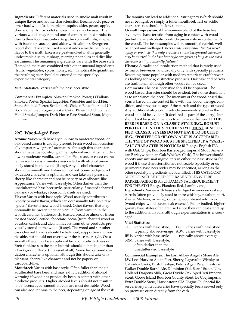**Ingredients:** Different materials used to smoke malt result in unique flavor and aroma characteristics. Beechwood-, peat- or other hardwood (oak, maple, mesquite, alder, pecan, apple, cherry, other fruitwoods) smoked malts may be used. The various woods may remind one of certain smoked products due to their food association (e.g., hickory with ribs, maple with bacon or sausage, and alder with salmon). Evergreen wood should never be used since it adds a medicinal, piney flavor to the malt. Excessive peat-smoked malt is generally undesirable due to its sharp, piercing phenolics and dirt-like earthiness. The remaining ingredients vary with the base style. If smoked malts are combined with other unusual ingredients (fruits, vegetables, spices, honey, etc.) in noticeable quantities, the resulting beer should be entered in the specialty/ experimental category.

**Vital Statistics:** Varies with the base beer style.

**Commercial Examples:** Alaskan Smoked Porter, O'Fallons Smoked Porter, Spezial Lagerbier, Weissbier and Bockbier, Stone Smoked Porter, Schlenkerla Weizen Rauchbier and Ur-Bock Rauchbier, Rogue Smoke, Oskar Blues Old Chub, Left Hand Smoke Jumper, Dark Horse Fore Smoked Stout, Magic Hat Jinx

# **22C. Wood-Aged Beer**

**Aroma:** Varies with base style. A low to moderate wood- or oak-based aroma is usually present. Fresh wood can occasionally impart raw "green" aromatics, although this character should never be too strong. Other optional aromatics include a low to moderate vanilla, caramel, toffee, toast, or cocoa character, as well as any aromatics associated with alcohol previously stored in the wood (if any). Any alcohol character should be smooth and balanced, not hot. Some background oxidation character is optional, and can take on a pleasant, sherry-like character and not be papery or cardboard-like. **Appearance:** Varies with base style. Often darker than the unadulterated base beer style, particularly if toasted/charred oak and/or whiskey/bourbon barrels are used. **Flavor:** Varies with base style. Wood usually contributes a woody or oaky flavor, which can occasionally take on a raw "green" flavor if new wood is used. Other flavors that may optionally be present include vanilla (from vanillin in the wood); caramel, butterscotch, toasted bread or almonds (from toasted wood); coffee, chocolate, cocoa (from charred wood or bourbon casks); and alcohol flavors from other products previously stored in the wood (if any). The wood and/or other cask-derived flavors should be balanced, supportive and noticeable, but should not overpower the base beer style. Occasionally there may be an optional lactic or acetic tartness or Brett funkiness in the beer, but this should not be higher than a background flavor (if present at all). Some background oxidation character is optional, although this should take on a pleasant, sherry-like character and not be papery or cardboard-like.

**Mouthfeel:** Varies with base style. Often fuller than the unadulterated base beer, and may exhibit additional alcohol warming if wood has previously been in contact with other alcoholic products. Higher alcohol levels should not result in "hot" beers; aged, smooth flavors are most desirable. Wood can also add tannins to the beer, depending on age of the cask. The tannins can lead to additional astringency (which should never be high), or simply a fuller mouthfeel. Tart or acidic characteristics should be low to none.

**Overall Impression:** A harmonious blend of the base beer style with characteristics from aging in contact with wood (including any alcoholic products previously in contact with the wood). The best examples will be smooth, flavorful, wellbalanced and well-aged. *Beers made using either limited wood aging or products that only provide a subtle background character may be entered in the base beer style categories as long as the wood character isn't prominently featured.* 

**History:** A traditional production method that is rarely used by major breweries, and usually only with specialty products. Becoming more popular with modern American craft breweries looking for new, distinctive products. Oak cask and barrels are traditional, although other woods can be used.

**Comments:** The base beer style should be apparent. The wood-based character should be evident, but not so dominant as to unbalance the beer. The intensity of the wood-based flavors is based on the contact time with the wood; the age, condition, and previous usage of the barrel; and the type of wood. Any additional alcoholic products previously stored in the wood should be evident (if declared as part of the entry), but should not be so dominant as to unbalance the beer. **IF THIS BEER IS BASED ON A CLASSIC STYLE (E.G., ROBUST PORTER) THEN THE SPECIFIC STYLE MUST BE SPECI-FIED. CLASSIC STYLES DO NOT HAVE TO BE CITED (E.G., "PORTER" OR "BROWN ALE" IS ACCEPTABLE). THE TYPE OF WOOD MUST BE SPECIFIED IF A "VARIE-TAL" CHARACTER IS NOTICEABLE.** (e.g., English IPA with Oak Chips, Bourbon Barrel-aged Imperial Stout, American Barleywine in an Oak Whiskey Cask). The brewer should specify any unusual ingredients in either the base style or the wood if those characteristics are noticeable. Specialty or experimental base beer styles may be specified, as long as the other specialty ingredients are identified. THIS CATEGORY SHOULD NOT BE USED FOR BASE STYLES WHERE BARREL-AGING IS A FUNDAMENTAL REQUIREMENT FOR THE STYLE (e.g., Flanders Red, Lambic, etc.). **Ingredients:** Varies with base style. Aged in wooden casks or barrels (often previously used to store whiskey, bourbon, port, sherry, Madeira, or wine), or using wood-based additives (wood chips, wood staves, oak essence). Fuller-bodied, highergravity base styles often are used since they can best stand up to the additional flavors, although experimentation is encouraged.

#### **Vital Statistics:**

OG: varies with base style, FG: varies with base style IBUs: varies with base style typically above-average SRM: varies with base style, often darker than the unadulterated base style

typically above-average ABV: varies with base style

**Commercial Examples:** The Lost Abbey Angel's Share Ale, J.W. Lees Harvest Ale in Port, Sherry, Lagavulin Whisky or Calvados Casks, Bush Prestige, Petrus Aged Pale, Firestone Walker Double Barrel Ale, Dominion Oak Barrel Stout, New Holland Dragons Milk, Great Divide Oak Aged Yeti Imperial Stout, Goose Island Bourbon County Stout, Le Coq Imperial Extra Double Stout, Harviestoun Old Engine Oil Special Reserve, many microbreweries have specialty beers served only on premises often directly from the cask.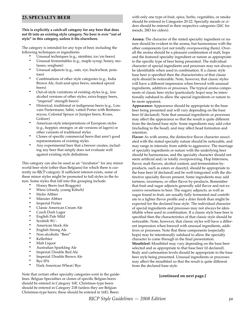# **23. SPECIALTY BEER**

#### **This is explicitly a catch-all category for any beer that does not fit into an existing style category. No beer is ever "out of style" in this category, unless it fits elsewhere.**

The category is intended for any type of beer, including the following techniques or ingredients:

- Unusual techniques (e.g., steinbier, ice/eis beers)
- Unusual fermentables (e.g., maple syrup, honey, molasses, sorghum)
- Unusual adjuncts (e.g., oats, rye, buckwheat, potatoes)
- Combinations of other style categories (e.g., India Brown Ale, fruit-and-spice beers, smoked spiced beers)
- Out-of-style variations of existing styles (e.g., low alcohol versions of other styles, extra-hoppy beers, "imperial" strength beers)
- Historical, traditional or indigenous beers (e.g., Louvain Peetermann, Sahti, vatted Porter with Brettanomyces, Colonial Spruce or Juniper beers, Kvass, Grätzer)
- American-style interpretations of European styles (e.g., hoppier, stronger, or ale versions of lagers) or other variants of traditional styles
- Clones of specific commercial beers that aren't good representations of existing styles
- Any experimental beer that a brewer creates, including any beer that simply does not evaluate well against existing style definitions

This category can also be used as an "incubator" for any minor world beer style (other than Belgians) for which there is currently no BJCP category. If sufficient interest exists, some of these minor styles might be promoted to full styles in the future. Some styles that fall into this grouping include:

- Honey Beers (not Braggots)
- Wiess (cloudy, young Kölsch)
- Sticke Altbier
- Münster Altbier
- **Imperial Porter**
- Classic American Cream Ale
- Czech Dark Lager
- English Pale Mild
- Scottish 90/-
- American Stock Ale
- English Strong Ale
- Non-alcoholic "Beer"
- Kellerbier
- Malt Liquor
- Australian Sparkling Ale
- Imperial/Double Red Ale
- Imperial/Double Brown Ale
- Rye IPA
- Dark American Wheat/Rye

Note that certain other specialty categories exist in the guidelines. Belgian Specialties or clones of specific Belgian beers should be entered in Category 16E. Christmas-type beers should be entered in Category 21B (unless they are Belgian Christmas-type beers; these should be entered in 16E). Beers

with only one type of fruit, spice, herbs, vegetables, or smoke should be entered in Categories 20-22. Specialty meads or ciders should be entered in their respective categories (26C for meads, 28D for ciders).

**Aroma:** The character of the stated specialty ingredient or nature should be evident in the aroma, but harmonious with the other components (yet not totally overpowering them). Overall the aroma should be a pleasant combination of malt, hops and the featured specialty ingredient or nature as appropriate to the specific type of beer being presented. The individual character of special ingredients and processes may not always be identifiable when used in combination. If a classic style base beer is specified then the characteristics of that classic style should be noticeable. Note, however, that classic styles will have a different impression when brewed with unusual ingredients, additives or processes. The typical aroma components of classic beer styles (particularly hops) may be intentionally subdued to allow the special ingredients or nature to be more apparent.

**Appearance:** Appearance should be appropriate to the base beer being presented and will vary depending on the base beer (if declared). Note that unusual ingredients or processes may affect the appearance so that the result is quite different from the declared base style. Some ingredients may add color (including to the head), and may affect head formation and retention.

**Flavor:** As with aroma, the distinctive flavor character associated with the stated specialty nature should be noticeable, and may range in intensity from subtle to aggressive. The marriage of specialty ingredients or nature with the underlying beer should be harmonious, and the specialty character should not seem artificial and/or totally overpowering. Hop bitterness, flavor, malt flavors, alcohol content, and fermentation byproducts, such as esters or diacetyl, should be appropriate to the base beer (if declared) and be well-integrated with the distinctive specialty flavors present. Some ingredients may add tartness, sweetness, or other flavor by-products. Remember that fruit and sugar adjuncts generally add flavor and not excessive sweetness to beer. The sugary adjuncts, as well as sugar found in fruit, are usually fully fermented and contribute to a lighter flavor profile and a drier finish than might be expected for the declared base style. The individual character of special ingredients and processes may not always be identifiable when used in combination. If a classic style base beer is specified then the characteristics of that classic style should be noticeable. Note, however, that classic styles will have a different impression when brewed with unusual ingredients, additives or processes. Note that these components (especially hops) may be intentionally subdued to allow the specialty character to come through in the final presentation. **Mouthfeel:** Mouthfeel may vary depending on the base beer selected and as appropriate to that base beer (if declared). Body and carbonation levels should be appropriate to the base beer style being presented. Unusual ingredients or processes may affect the mouthfeel so that the result is quite different from the declared base style.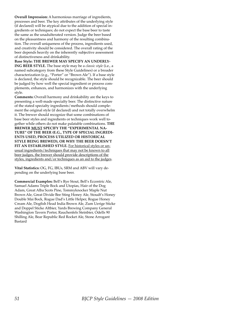**Overall Impression:** A harmonious marriage of ingredients, processes and beer. The key attributes of the underlying style (if declared) will be atypical due to the addition of special ingredients or techniques; do not expect the base beer to taste the same as the unadulterated version. Judge the beer based on the pleasantness and harmony of the resulting combination. The overall uniqueness of the process, ingredients used, and creativity should be considered. The overall rating of the beer depends heavily on the inherently subjective assessment of distinctiveness and drinkability.

**Base Style: THE BREWER MAY SPECIFY AN UNDERLY-ING BEER STYLE.** The base style may be a *classic style* (i.e., a named subcategory from these Style Guidelines) or a broader characterization (e.g., "Porter" or "Brown Ale"). If a base style is declared, the style should be recognizable. The beer should be judged by how well the special ingredient or process complements, enhances, and harmonizes with the underlying style.

**Comments:** Overall harmony and drinkability are the keys to presenting a well-made specialty beer. The distinctive nature of the stated specialty ingredients/methods should complement the original style (if declared) and not totally overwhelm it. The brewer should recognize that some combinations of base beer styles and ingredients or techniques work well together while others do not make palatable combinations. **THE BREWER MUST SPECIFY THE "EXPERIMENTAL NA-TURE" OF THE BEER (E.G., TYPE OF SPECIAL INGREDI-ENTS USED, PROCESS UTILIZED OR HISTORICAL STYLE BEING BREWED), OR WHY THE BEER DOESN'T**  FIT AN ESTABLISHED STYLE. For historical styles or unusual ingredients/techniques that may not be known to all beer judges, the brewer should provide descriptions of the styles, ingredients and/or techniques as an aid to the judges.

**Vital Statistics:** OG, FG, IBUs, SRM and ABV will vary depending on the underlying base beer.

**Commercial Examples:** Bell's Rye Stout, Bell's Eccentric Ale, Samuel Adams Triple Bock and Utopias, Hair of the Dog Adam, Great Alba Scots Pine, Tommyknocker Maple Nut Brown Ale, Great Divide Bee Sting Honey Ale, Stoudt's Honey Double Mai Bock, Rogue Dad's Little Helper, Rogue Honey Cream Ale, Dogfish Head India Brown Ale, Zum Uerige Sticke and Doppel Sticke Altbier, Yards Brewing Company General Washington Tavern Porter, Rauchenfels Steinbier, Odells 90 Shilling Ale, Bear Republic Red Rocket Ale, Stone Arrogant Bastard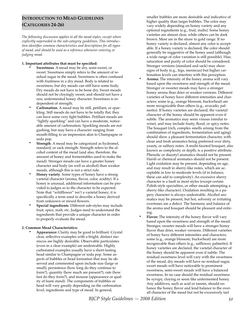# **INTRODUCTION TO MEAD GUIDELINES (CATEGORIES 24-26)**

*The following discussion applies to all the mead styles, except where explicitly superseded in the sub-category guidelines. This introduction identifies common characteristics and descriptions for all types of mead, and should be used as a reference whenever entering or judging mead.*

#### **1. Important attributes that must be specified:**

- **Sweetness**. A mead may be dry, semi-sweet, or sweet. Sweetness simply refers to the amount of residual sugar in the mead. Sweetness is often confused with fruitiness in a dry mead. Body is related to sweetness, but dry meads can still have some body. Dry meads do not have to be bone dry. Sweet meads should not be cloyingly sweet, and should not have a raw, unfermented honey character. Sweetness is independent of strength.
- **Carbonation**. A mead may be still, petillant, or sparkling. Still meads do not have to be totally flat; they can have some very light bubbles. Petillant meads are "lightly sparkling" and can have a moderate, noticeable amount of carbonation. Sparkling meads are not gushing, but may have a character ranging from mouth-filling to an impression akin to Champagne or soda pop.
- **Strength**. A mead may be categorized as hydromel, standard, or sack strength. Strength refers to the alcohol content of the mead (and also, therefore, the amount of honey and fermentables used to make the mead). Stronger meads can have a greater honey character and body (as well as alcohol) than weaker meads, although this is not a strict rule.
- **Honey variety**. Some types of honey have a strong varietal character (aroma, flavor, color, acidity). If a honey is unusual, additional information can be provided to judges as to the character to be expected. Note that "wildflower" isn't a varietal honey; it is specifically a term used to describe a honey derived from unknown or mixed flowers.
- **Special ingredients**. Different sub-styles may include fruit, spice, malt, etc. Judges need to understand the ingredients that provide a unique character in order to properly evaluate the mead.

#### **2. Common Mead Characteristics:**

• **Appearance:** Clarity may be good to brilliant. Crystal clear, reflective examples with a bright, distinct meniscus are highly desirable. Observable particulates (even in a clear example) are undesirable. Highly carbonated examples usually have a short-lasting head similar to Champagne or soda pop. Some aspects of bubbles or head formation that may be observed and commented upon include size (large or small), persistence (how long do they continue to form?), quantity (how much are present?), rate (how fast do they form?), and mousse (appearance or quality of foam stand). The components of bubbles or head will vary greatly depending on the carbonation level, ingredients and type of mead. In general,

smaller bubbles are more desirable and indicative of higher quality than larger bubbles. The color may vary widely depending on honey variety and any optional ingredients (e.g., fruit, malts). Some honey varieties are almost clear, while others can be dark brown. Most are in the straw to gold range. If no honey variety is declared, almost any color is acceptable. If a honey variety is declared, the color should generally be suggestive of the honey used (although a wide range of color variation is still possible). Hue, saturation and purity of color should be considered. Stronger versions (standard and sack) may show signs of body (e.g., legs, meniscus) but higher carbonation levels can interfere with this perception.

- **Aroma:** The intensity of the honey aroma will vary based upon the sweetness and strength of the mead. Stronger or sweeter meads may have a stronger honey aroma than drier or weaker versions. Different varieties of honey have different intensities and characters; some (e.g., orange blossom, buckwheat) are more recognizable than others (e.g., avocado, palmetto). If honey varieties are declared, the varietal character of the honey should be apparent even if subtle. The aromatics may seem vinous (similar to wine), and may include fruity, floral, or spicy notes. The bouquet (rich, complex smells arising from the combination of ingredients, fermentation and aging) should show a pleasant fermentation character, with clean and fresh aromatics being preferred over dirty, yeasty, or sulfury notes. A multi-faceted bouquet, also known as complexity or depth, is a positive attribute. Phenolic or diacetyl aromatics should not be present. Harsh or chemical aromatics should not be present. Light oxidation may be present, depending on age, and may result in sherry-like notes, which are acceptable in low to moderate levels (if in balance, these can add to complexity). An excessive sherry character is a fault in most styles (except certain Polish-style specialties, or other meads attempting a sherry-like character). Oxidation resulting in a papery character is always undesirable. Alcohol aromatics may be present, but hot, solventy or irritating overtones are a defect. The harmony and balance of the aroma and bouquet should be pleasant and enticing.
- **Flavor:** The intensity of the honey flavor will vary based upon the sweetness and strength of the mead. Stronger, sweeter meads will have a stronger honey flavor than drier, weaker versions. Different varieties of honey have different intensities and characters; some (e.g., orange blossom, buckwheat) are more recognizable than others (e.g., safflower, palmetto). If honey varieties are declared, the varietal character of the honey should be apparent even if subtle. The residual sweetness level will vary with the sweetness of the mead; dry meads will have no residual sugar, sweet meads will have noticeable to prominent sweetness, semi-sweet meads will have a balanced sweetness. In no case should the residual sweetness be syrupy, cloying or seem like unfermented honey. Any additives, such as acid or tannin, should enhance the honey flavor and lend balance to the overall character of the mead but not be excessively tart

*BJCP Style Guidelines — 2008 Edition 52*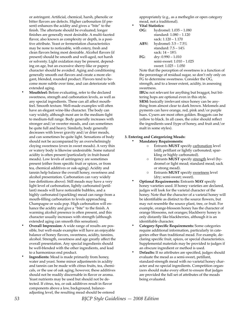or astringent. Artificial, chemical, harsh, phenolic or bitter flavors are defects. Higher carbonation (if present) enhances the acidity and gives a "bite" to the finish. The aftertaste should be evaluated; longer finishes are generally most desirable. A multi-faceted flavor, also known as complexity or depth, is a positive attribute. Yeast or fermentation characteristics may be none to noticeable, with estery, fresh and clean flavors being most desirable. Alcohol flavors (if present) should be smooth and well-aged, not harsh or solventy. Light oxidation may be present, depending on age, but an excessive sherry-like or papery character should be avoided. Aging and conditioning generally smooth out flavors and create a more elegant, blended, rounded product. Flavors tend to become more subtle over time, and can deteriorate with extended aging.

- **Mouthfeel:** Before evaluating, refer to the declared sweetness, strength and carbonation levels, as well as any special ingredients. These can all affect mouthfeel. Smooth texture. Well-made examples will often have an elegant wine-like character. The body can vary widely, although most are in the medium-light to medium-full range. Body generally increases with stronger and/or sweeter meads, and can sometimes be quite full and heavy. Similarly, body generally decreases with lower gravity and/or drier meads, and can sometimes be quite light. Sensations of body should not be accompanied by an overwhelmingly cloying sweetness (even in sweet meads). A very thin or watery body is likewise undesirable. Some natural acidity is often present (particularly in fruit-based meads). Low levels of astringency are sometimes present (either from specific fruit or spices, or from tea, chemical additives or oak-aging). Acidity and tannin help balance the overall honey, sweetness and alcohol presentation. Carbonation can vary widely (see definitions above). Still meads may have a very light level of carbonation, lightly carbonated (petillant) meads will have noticeable bubbles, and a highly carbonated (sparkling) mead can range from a mouth-filling carbonation to levels approaching Champagne or soda pop. High carbonation will enhance the acidity and give a "bite" to the finish. A warming alcohol presence is often present, and this character usually increases with strength (although extended aging can smooth this sensation).
- **Overall Impression:** A wide range of results are possible, but well-made examples will have an enjoyable balance of honey flavors, sweetness, acidity, tannins, alcohol. Strength, sweetness and age greatly affect the overall presentation. Any special ingredients should be well-blended with the other ingredients, and lead to a harmonious end product.
- **Ingredients:** Mead is made primarily from honey, water and yeast. Some minor adjustments in acidity and tannin can be made with citrus fruits, tea, chemicals, or the use of oak aging; however, these additives should not be readily discernable in flavor or aroma. Yeast nutrients may be used but should not be detected. If citrus, tea, or oak additives result in flavor components above a low, background, balanceadjusting level, the resulting mead should be entered

appropriately (e.g., as a metheglin or open category mead, not a traditional).

#### • **Vital Statistics:**

- **OG:** hydromel: 1.035 1.080 standard: 1.080 – 1.120 sack: 1.120 – 1.170
- **ABV:** hydromel: 3.5 7.5% standard: 7.5 – 14% sack: 14 – 18%
- **FG:** dry: 0.990 1.010 semi-sweet: 1.010 – 1.025 sweet: 1.025 – 1.050

Note that the perception of sweetness is a function of the percentage of residual sugar, so don't rely only on FG to determine sweetness. Consider the OG, strength, and to a lesser extent, acidity, in assessing sweetness.

**IBUs:** not relevant for anything but braggot, but bittering hops are optional even in this style. **SRM:** basically irrelevant since honey can be anything from almost clear to dark brown. Melomels and pyments can have orange, red, pink and/or purple hues. Cysers are most often golden. Braggots can be yellow to black. In all cases, the color should reflect the ingredients used (type of honey, and fruit and/or malt in some styles).

#### **3. Entering and Categorizing Meads:**

• **Mandatory Requirements:** 

- o Entrants **MUST** specify carbonation level (still; petillant or lightly carbonated; sparkling or highly carbonated).
- o Entrants **MUST** specify strength level (hydromel or light mead; standard mead; sack or strong mead).
- o Entrants **MUST** specify sweetness level (dry; semi-sweet; sweet).
- **Optional Requirements:** Entrants **MAY** specify honey varieties used. If honey varieties are declared, judges will look for the varietal character of the honey. Note that the character of a varietal honey will be identifiable as distinct to the source flowers, but may not resemble the source plant, tree, or fruit. For example, orange-blossom honey has the character of orange blossoms, not oranges; blackberry honey is only distantly like blackberries, although it is an identifiable character.
- **Category-Specific Requirements:** Some categories require additional information, particularly in categories other than traditional mead. For example, declaring specific fruit, spices, or special characteristics. Supplemental materials may be provided to judges if an obscure ingredient or method is used.
- **Defaults:** If no attributes are specified, judges should evaluate the mead as a semi-sweet, petillant, standard-strength mead with no varietal honey character and no special ingredients. Competition organizers should make every effort to ensure that judges are provided the full set of attributes of the meads being evaluated.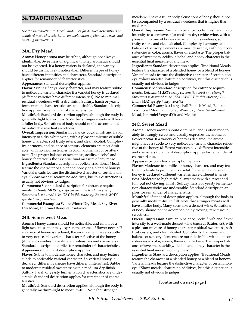# **24. TRADITIONAL MEAD**

*See the Introduction to Mead Guidelines for detailed descriptions of standard mead characteristics, an explanation of standard terms, and entering instructions.*

### **24A. Dry Mead**

**Aroma:** Honey aroma may be subtle, although not always identifiable. Sweetness or significant honey aromatics should not be expected. If a honey variety is declared, the variety should be distinctive (if noticeable). Different types of honey have different intensities and characters. Standard description applies for remainder of characteristics.

**Appearance:** Standard description applies.

**Flavor:** Subtle (if any) honey character, and may feature subtle to noticeable varietal character if a varietal honey is declared (different varieties have different intensities). No to minimal residual sweetness with a dry finish. Sulfury, harsh or yeasty fermentation characteristics are undesirable. Standard description applies for remainder of characteristics.

**Mouthfeel:** Standard description applies, although the body is generally light to medium. Note that stronger meads will have a fuller body. Sensations of body should not be accompanied by noticeable residual sweetness.

**Overall Impression:** Similar in balance, body, finish and flavor intensity to a dry white wine, with a pleasant mixture of subtle honey character, soft fruity esters, and clean alcohol. Complexity, harmony, and balance of sensory elements are most desirable, with no inconsistencies in color, aroma, flavor or aftertaste. The proper balance of sweetness, acidity, alcohol and honey character is the essential final measure of any mead. **Ingredients:** Standard description applies. Traditional Meads feature the character of a blended honey or a blend of honeys. Varietal meads feature the distinctive character of certain honeys. "Show meads" feature no additives, but this distinction is usually not obvious to judges.

**Comments:** See standard description for entrance requirements. *Entrants MUST specify carbonation level and strength. Sweetness is assumed to be DRY in this category. Entrants MAY specify honey varieties.*

**Commercial Examples:** White Winter Dry Mead, Sky River Dry Mead, Intermiel Bouquet Printanier

#### **24B. Semi-sweet Mead**

**Aroma:** Honey aroma should be noticeable, and can have a light sweetness that may express the aroma of flower nectar. If a variety of honey is declared, the aroma might have a subtle to very noticeable varietal character reflective of the honey (different varieties have different intensities and characters). Standard description applies for remainder of characteristics. **Appearance**: Standard description applies.

**Flavor:** Subtle to moderate honey character, and may feature subtle to noticeable varietal character if a varietal honey is declared (different varieties have different intensities). Subtle to moderate residual sweetness with a medium-dry finish. Sulfury, harsh or yeasty fermentation characteristics are undesirable. Standard description applies for remainder of characteristics.

**Mouthfeel:** Standard description applies, although the body is generally medium-light to medium-full. Note that stronger

meads will have a fuller body. Sensations of body should not be accompanied by a residual sweetness that is higher than moderate.

**Overall Impression:** Similar in balance, body, finish and flavor intensity to a semisweet (or medium-dry) white wine, with a pleasant mixture of honey character, light sweetness, soft fruity esters, and clean alcohol. Complexity, harmony, and balance of sensory elements are most desirable, with no inconsistencies in color, aroma, flavor or aftertaste. The proper balance of sweetness, acidity, alcohol and honey character is the essential final measure of any mead.

**Ingredients:** Standard description applies. Traditional Meads feature the character of a blended honey or a blend of honeys. Varietal meads feature the distinctive character of certain honeys. "Show meads" feature no additives, but this distinction is usually not obvious to judges.

**Comments**: See standard description for entrance requirements. *Entrants MUST specify carbonation level and strength. Sweetness is assumed to be SEMI-SWEET in this category. Entrants MAY specify honey varieties.*

**Commercial Examples:** Lurgashall English Mead, Redstone Traditional Mountain Honey Wine, Sky River Semi-Sweet Mead, Intermiel Verge d'Or and Mélilot

#### **24C. Sweet Mead**

**Aroma:** Honey aroma should dominate, and is often moderately to strongly sweet and usually expresses the aroma of flower nectar. If a variety of honey is declared, the aroma might have a subtle to very noticeable varietal character reflective of the honey (different varieties have different intensities and characters). Standard description applies for remainder of characteristics.

**Appearance:** Standard description applies.

**Flavor:** Moderate to significant honey character, and may feature moderate to prominent varietal character if a varietal honey is declared (different varieties have different intensities). Moderate to high residual sweetness with a sweet and full (but not cloying) finish. Sulfury, harsh or yeasty fermentation characteristics are undesirable. Standard description applies for remainder of characteristics.

**Mouthfeel:** Standard description applies, although the body is generally medium-full to full. Note that stronger meads will have a fuller body. Many seem like a dessert wine. Sensations of body should not be accompanied by cloying, raw residual sweetness.

**Overall Impression:** Similar in balance, body, finish and flavor intensity to a well-made dessert wine (such as Sauternes), with a pleasant mixture of honey character, residual sweetness, soft fruity esters, and clean alcohol. Complexity, harmony, and balance of sensory elements are most desirable, with no inconsistencies in color, aroma, flavor or aftertaste. The proper balance of sweetness, acidity, alcohol and honey character is the essential final measure of any mead.

**Ingredients:** Standard description applies. Traditional Meads feature the character of a blended honey or a blend of honeys. Varietal meads feature the distinctive character of certain honeys. "Show meads" feature no additives, but this distinction is usually not obvious to judges.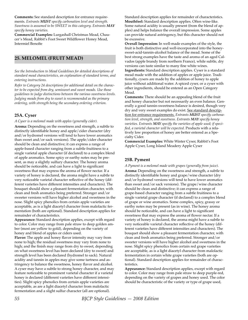**Comments:** See standard description for entrance requirements. *Entrants MUST specify carbonation level and strength. Sweetness is assumed to be SWEET in this category. Entrants MAY specify honey varieties.*

**Commercial Examples:** Lurgashall Christmas Mead, Chaucer's Mead, Rabbit's Foot Sweet Wildflower Honey Mead, Intermiel Benoîte

# **25. MELOMEL (FRUIT MEAD)**

*See the Introduction to Mead Guidelines for detailed descriptions of standard mead characteristics, an explanation of standard terms, and entering instructions.*

*Refer to Category 24 descriptions for additional detail on the character to be expected from dry, semisweet and sweet meads. Use those guidelines to judge distinctions between the various sweetness levels. Judging meads from dry to sweet is recommended as the primary ordering, with strength being the secondary ordering criterion.*

# **25A. Cyser**

#### *A Cyser is a melomel made with apples (generally cider).*

**Aroma:** Depending on the sweetness and strength, a subtle to distinctly identifiable honey and apple/cider character (dry and/or hydromel versions will tend to have lower aromatics than sweet and/or sack versions). The apple/cider character should be clean and distinctive; it can express a range of apple-based character ranging from a subtle fruitiness to a single varietal apple character (if declared) to a complex blend of apple aromatics. Some spicy or earthy notes may be present, as may a slightly sulfury character. The honey aroma should be noticeable, and can have a light to significant sweetness that may express the aroma of flower nectar. If a variety of honey is declared, the aroma might have a subtle to very noticeable varietal character reflective of the honey (different varieties have different intensities and characters). The bouquet should show a pleasant fermentation character, with clean and fresh aromatics being preferred. Stronger and/or sweeter versions will have higher alcohol and sweetness in the nose. Slight spicy phenolics from certain apple varieties are acceptable, as is a light diacetyl character from malolactic fermentation (both are optional). Standard description applies for remainder of characteristics.

**Appearance:** Standard description applies, except with regard to color. Color may range from pale straw to deep golden amber (most are yellow to gold), depending on the variety of honey and blend of apples or ciders used.

**Flavor:** The apple and honey flavor intensity may vary from none to high; the residual sweetness may vary from none to high; and the finish may range from dry to sweet, depending on what sweetness level has been declared (dry to sweet) and strength level has been declared (hydromel to sack). Natural acidity and tannin in apples may give some tartness and astringency to balance the sweetness, honey flavor and alcohol. A cyser may have a subtle to strong honey character, and may feature noticeable to prominent varietal character if a varietal honey is declared (different varieties have different intensities). Slight spicy phenolics from certain apple varieties are acceptable, as are a light diacetyl character from malolactic fermentation and a slight sulfur character (all are optional).

Standard description applies for remainder of characteristics. **Mouthfeel:** Standard description applies. Often wine-like. Some natural acidity is usually present (from the blend of apples) and helps balance the overall impression. Some apples can provide natural astringency, but this character should not be excessive.

**Overall Impression:** In well-made examples of the style, the fruit is both distinctive and well-incorporated into the honeysweet-acid-tannin-alcohol balance of the mead. Some of the best strong examples have the taste and aroma of an aged Calvados (apple brandy from northern France), while subtle, dry versions can taste similar to many fine white wines. **Ingredients:** Standard description applies. Cyser is a standard mead made with the addition of apples or apple juice. Traditionally, cysers are made by the addition of honey to apple juice without additional water. A spiced cyser, or a cyser with other ingredients, should be entered as an Open Category Mead.

**Comments:** There should be an appealing blend of the fruit and honey character but not necessarily an even balance. Generally a good tannin-sweetness balance is desired, though very dry and very sweet examples do exist. See standard description for entrance requirements. *Entrants MUST specify carbonation level, strength, and sweetness. Entrants MAY specify honey varieties. Entrants MAY specify the varieties of apple used; if specified, a varietal character will be expected.* Products with a relatively low proportion of honey are better entered as a Specialty Cider.

**Commercial Examples:** White Winter Cyser, Rabbit's Foot Apple Cyser, Long Island Meadery Apple Cyser

### **25B. Pyment**

*A Pyment is a melomel made with grapes (generally from juice).* **Aroma:** Depending on the sweetness and strength, a subtle to distinctly identifiable honey and grape/wine character (dry and/or hydromel versions will tend to have lower aromatics than sweet and/or sack versions). The grape/wine character should be clean and distinctive; it can express a range of grape-based character ranging from a subtle fruitiness to a single varietal grape character (if declared) to a complex blend of grape or wine aromatics. Some complex, spicy, grassy or earthy notes may be present (as in wine). The honey aroma should be noticeable, and can have a light to significant sweetness that may express the aroma of flower nectar. If a variety of honey is declared, the aroma might have a subtle to very noticeable varietal character reflective of the honey (different varieties have different intensities and characters). The bouquet should show a pleasant fermentation character, with clean and fresh aromatics being preferred. Stronger and/or sweeter versions will have higher alcohol and sweetness in the nose. Slight spicy phenolics from certain red grape varieties are acceptable, as is a light diacetyl character from malolactic fermentation in certain white grape varieties (both are optional). Standard description applies for remainder of characteristics.

**Appearance:** Standard description applies, except with regard to color. Color may range from pale straw to deep purple-red, depending on the variety of grapes and honey used. The color should be characteristic of the variety or type of grape used,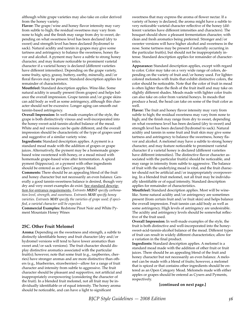although white grape varieties may also take on color derived from the honey variety.

**Flavor:** The grape/wine and honey flavor intensity may vary from subtle to high; the residual sweetness may vary from none to high; and the finish may range from dry to sweet, depending on what sweetness level has been declared (dry to sweet) and strength level has been declared (hydromel to sack). Natural acidity and tannin in grapes may give some tartness and astringency to balance the sweetness, honey flavor and alcohol. A pyment may have a subtle to strong honey character, and may feature noticeable to prominent varietal character if a varietal honey is declared (different varieties have different intensities). Depending on the grape variety, some fruity, spicy, grassy, buttery, earthy, minerally, and/or floral flavors may be present. Standard description applies for remainder of characteristics.

**Mouthfeel:** Standard description applies. Wine-like. Some natural acidity is usually present (from grapes) and helps balance the overall impression. Grape tannin and/or grape skins can add body as well as some astringency, although this character should not be excessive. Longer aging can smooth out tannin-based astringency.

**Overall Impression:** In well-made examples of the style, the grape is both distinctively vinous and well-incorporated into the honey-sweet-acid-tannin-alcohol balance of the mead. White and red versions can be quite different, and the overall impression should be characteristic of the type of grapes used and suggestive of a similar variety wine.

**Ingredients:** Standard description applies. A pyment is a standard mead made with the addition of grapes or grape juices. Alternatively, the pyment may be a homemade grapebased wine sweetened with honey, or a mead mixed with homemade grape-based wine after fermentation. A spiced pyment (hippocras), or a pyment with other ingredients should be entered as an Open Category Mead.

**Comments:** There should be an appealing blend of the fruit and honey character but not necessarily an even balance. Generally a good tannin-sweetness balance is desired, though very dry and very sweet examples do exist. See standard description for entrance requirements. *Entrants MUST specify carbonation level, strength, and sweetness. Entrants MAY specify honey varieties. Entrants MAY specify the varieties of grape used; if specified, a varietal character will be expected.* 

**Commercial Examples:** Redstone Pinot Noir and White Pyment Mountain Honey Wines

# **25C. Other Fruit Melomel**

**Aroma:** Depending on the sweetness and strength, a subtle to distinctly identifiable honey and fruit character (dry and/or hydromel versions will tend to have lower aromatics than sweet and/or sack versions). The fruit character should display distinctive aromatics associated with the particular fruit(s); however, note that some fruit (e.g., raspberries, cherries) have stronger aromas and are more distinctive than others (e.g., blueberries, strawberries)—allow for a range of fruit character and intensity from subtle to aggressive. The fruit character should be pleasant and supportive, not artificial and inappropriately overpowering (considering the character of the fruit). In a blended fruit melomel, not all fruit may be individually identifiable or of equal intensity. The honey aroma should be noticeable, and can have a light to significant

sweetness that may express the aroma of flower nectar. If a variety of honey is declared, the aroma might have a subtle to very noticeable varietal character reflective of the honey (different varieties have different intensities and characters). The bouquet should show a pleasant fermentation character, with clean and fresh aromatics being preferred. Stronger and/or sweeter versions will have higher alcohol and sweetness in the nose. Some tartness may be present if naturally occurring in the particular fruit(s), but should not be inappropriately intense. Standard description applies for remainder of characteristics.

**Appearance:** Standard description applies, except with regard to color. Color may take on a very wide range of colors, depending on the variety of fruit and/or honey used. For lightercolored melomels with fruits that exhibit distinctive colors, the color should be noticeable. Note that the color of fruit in mead is often lighter than the flesh of the fruit itself and may take on slightly different shades. Meads made with lighter color fruits can also take on color from varietal honeys. In meads that produce a head, the head can take on some of the fruit color as well.

**Flavor:** The fruit and honey flavor intensity may vary from subtle to high; the residual sweetness may vary from none to high; and the finish may range from dry to sweet, depending on what sweetness level has been declared (dry to sweet) and strength level has been declared (hydromel to sack). Natural acidity and tannin in some fruit and fruit skin may give some tartness and astringency to balance the sweetness, honey flavor and alcohol. A melomel may have a subtle to strong honey character, and may feature noticeable to prominent varietal character if a varietal honey is declared (different varieties have different intensities). The distinctive flavor character associated with the particular fruit(s) should be noticeable, and may range in intensity from subtle to aggressive. The balance of fruit with the underlying mead is vital, and the fruit character should not be artificial and/or inappropriately overpowering. In a blended fruit melomel, not all fruit may be individually identifiable or of equal intensity. Standard description applies for remainder of characteristics.

**Mouthfeel:** Standard description applies. Most will be winelike. Some natural acidity and/or astringency are sometimes present (from certain fruit and/or fruit skin) and helps balance the overall impression. Fruit tannin can add body as well as some astringency. High levels of astringency are undesirable. The acidity and astringency levels should be somewhat reflective of the fruit used.

**Overall Impression:** In well-made examples of the style, the fruit is both distinctive and well-incorporated into the honeysweet-acid-tannin-alcohol balance of the mead. Different types of fruit can result in widely different characteristics; allow for a variation in the final product.

**Ingredients:** Standard description applies. A melomel is a standard mead made with the addition of other fruit or fruit juices. There should be an appealing blend of the fruit and honey character but not necessarily an even balance. A melomel can be made with a blend of fruits; however, a melomel that is spiced or that contains other ingredients should be entered as an Open Category Mead. Melomels made with either apples or grapes should be entered as Cysers and Pyments, respectively.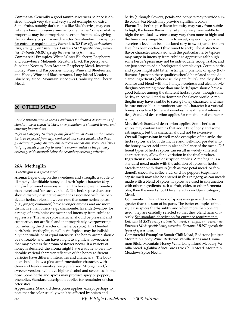**Comments:** Generally a good tannin-sweetness balance is desired, though very dry and very sweet examples do exist. Some fruits, notably darker ones like Blackberries, may contribute a tannin presence similar to a red wine. Some oxidative properties may be appropriate in certain fruit meads, giving them a sherry or port wine character. See standard description for entrance requirements. *Entrants MUST specify carbonation level, strength, and sweetness. Entrants MAY specify honey varieties. Entrants MUST specify the varieties of fruit used.* **Commercial Examples:** White Winter Blueberry, Raspberry and Strawberry Melomels, Redstone Black Raspberry and Sunshine Nectars, Bees Brothers Raspberry Mead, Intermiel Honey Wine and Raspberries, Honey Wine and Blueberries, and Honey Wine and Blackcurrants, Long Island Meadery Blueberry Mead, Mountain Meadows Cranberry and Cherry Meads

### **26. OTHER MEAD**

*See the Introduction to Mead Guidelines for detailed descriptions of standard mead characteristics, an explanation of standard terms, and entering instructions.*

*Refer to Category 24 descriptions for additional detail on the character to be expected from dry, semisweet and sweet meads. Use those guidelines to judge distinctions between the various sweetness levels. Judging meads from dry to sweet is recommended as the primary ordering, with strength being the secondary ordering criterion.*

### **26A. Metheglin**

#### *A Metheglin is a spiced mead.*

**Aroma:** Depending on the sweetness and strength, a subtle to distinctly identifiable honey and herb/spice character (dry and/or hydromel versions will tend to have lower aromatics than sweet and/or sack versions). The herb/spice character should display distinctive aromatics associated with the particular herbs/spices; however, note that some herbs/spices (e.g., ginger, cinnamon) have stronger aromas and are more distinctive than others (e.g., chamomile, lavender)—allow for a range of herb/spice character and intensity from subtle to aggressive. The herb/spice character should be pleasant and supportive, not artificial and inappropriately overpowering (considering the character of the herb/spice). In a blended herb/spice metheglin, not all herbs/spices may be individually identifiable or of equal intensity. The honey aroma should be noticeable, and can have a light to significant sweetness that may express the aroma of flower nectar. If a variety of honey is declared, the aroma might have a subtle to very noticeable varietal character reflective of the honey (different varieties have different intensities and characters). The bouquet should show a pleasant fermentation character, with clean and fresh aromatics being preferred. Stronger and/or sweeter versions will have higher alcohol and sweetness in the nose. Some herbs and spices may produce spicy or peppery phenolics. Standard description applies for remainder of characteristics.

**Appearance:** Standard description applies, except perhaps to note that the color usually won't be affected by spices and

herbs (although flowers, petals and peppers may provide subtle colors; tea blends may provide significant colors). **Flavor:** The herb/spice flavor intensity may vary from subtle to high; the honey flavor intensity may vary from subtle to high; the residual sweetness may vary from none to high; and the finish may range from dry to sweet, depending on what sweetness level has been declared (dry to sweet) and strength level has been declared (hydromel to sack). The distinctive flavor character associated with the particular herbs/spices may range in intensity from subtle to aggressive (although some herbs/spices may not be individually recognizable, and can just serve to add a background complexity). Certain herbs and spices might add bitter, astringent, phenolic or spicy (hot) flavors; if present, these qualities should be related to the declared ingredients (otherwise, they are faults), and they should balance and blend with the honey, sweetness and alcohol. Metheglins containing more than one herb/spice should have a good balance among the different herbs/spices, though some herbs/spices will tend to dominate the flavor profile. A metheglin may have a subtle to strong honey character, and may feature noticeable to prominent varietal character if a varietal honey is declared (different varieties have different intensities). Standard description applies for remainder of characteristics.

**Mouthfeel:** Standard description applies. Some herbs or spices may contain tannins that add a bit of body and some astringency, but this character should not be excessive. **Overall Impression:** In well-made examples of the style, the herbs/spices are both distinctive and well-incorporated into the honey-sweet-acid-tannin-alcohol balance of the mead. Different types of herbs/spices can result in widely different characteristics; allow for a variation in the final product. **Ingredients:** Standard description applies. A metheglin is a standard mead made with the addition of spices or herbs. Meads made with flowers (such as rose petal mead, or rhodomel), chocolate, coffee, nuts or chile peppers (capsimel/ capsicumel) may also be entered in this category, as can meads made with a blend of spices. If spices are used in conjunction with other ingredients such as fruit, cider, or other fermentables, then the mead should be entered as an Open Category Mead.

**Comments:** Often, a blend of spices may give a character greater than the sum of its parts. The better examples of this style use spices/herbs subtly and when more than one are used, they are carefully selected so that they blend harmoniously. See standard description for entrance requirements. *Entrants MUST specify carbonation level, strength, and sweetness. Entrants MAY specify honey varieties. Entrants MUST specify the types of spices used.*

**Commercial Examples:** Bonair Chili Mead, Redstone Juniper Mountain Honey Wine, Redstone Vanilla Beans and Cinnamon Sticks Mountain Honey Wine, Long Island Meadery Vanilla Mead, iQhilika Africa Birds Eye Chilli Mead, Mountain Meadows Spice Nectar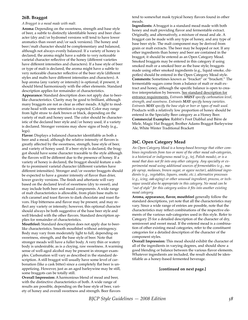#### **26B. Braggot**

*A Braggot is a mead made with malt.*

**Aroma:** Depending on the sweetness, strength and base style of beer, a subtle to distinctly identifiable honey and beer character (dry and/or hydromel versions will tend to have lower aromatics than sweet and/or sack versions). The honey and beer/malt character should be complementary and balanced, although not always evenly balanced. If a variety of honey is declared, the aroma might have a subtle to very noticeable varietal character reflective of the honey (different varieties have different intensities and characters). If a base style of beer or type of malt is declared, the aroma might have a subtle to very noticeable character reflective of the beer style (different styles and malts have different intensities and characters). A hop aroma (any variety or intensity) is optional; if present, it should blend harmoniously with the other elements. Standard description applies for remainder of characteristics.

**Appearance:** Standard description does not apply due to beerlike characteristics. Clarity may be good to brilliant, although many braggots are not as clear as other meads. A light to moderate head with some retention is expected. Color may range from light straw to dark brown or black, depending on the variety of malt and honey used. The color should be characteristic of the declared beer style and/or honey used, if a variety is declared. Stronger versions may show signs of body (e.g., legs).

**Flavor:** Displays a balanced character identifiable as both a beer and a mead, although the relative intensity of flavors is greatly affected by the sweetness, strength, base style of beer, and variety of honey used. If a beer style is declared, the braggot should have some character traceable to the style although the flavors will be different due to the presence of honey. If a variety of honey is declared, the braggot should feature a subtle to prominent varietal character (different varieties have different intensities). Stronger and/or sweeter braggots should be expected to have a greater intensity of flavor than drier, lower gravity versions. The finish and aftertaste will vary based on the declared level of sweetness (dry to sweet), and may include both beer and mead components. A wide range of malt characteristics is allowable, from plain base malts to rich caramel and toast flavors to dark chocolate and roast flavors. Hop bitterness and flavor may be present, and may reflect any variety or intensity; however, this optional character should always be both suggestive of the base beer style and well blended with the other flavors. Standard description applies for remainder of characteristics.

**Mouthfeel:** Standard description does not apply due to beerlike characteristics. Smooth mouthfeel without astringency. Body may vary from moderately light to full, depending on sweetness, strength, and the base style of beer. Note that stronger meads will have a fuller body. A very thin or watery body is undesirable, as is a cloying, raw sweetness. A warming sense of well-aged alcohol may be present in stronger examples. Carbonation will vary as described in the standard description. A still braggot will usually have some level of carbonation (like a cask bitter) since a completely flat beer is unappetizing. However, just as an aged barleywine may be still, some braggots can be totally still.

**Overall Impression:** A harmonious blend of mead and beer, with the distinctive characteristics of both. A wide range of results are possible, depending on the base style of beer, variety of honey and overall sweetness and strength. Beer flavors tend to somewhat mask typical honey flavors found in other meads.

**Ingredients:** A braggot is a standard mead made with both honey and malt providing flavor and fermentable extract. Originally, and alternatively, a mixture of mead and ale. A braggot can be made with any type of honey, and any type of base beer style. The malt component may be derived from grain or malt extracts. The beer may be hopped or not. If any other ingredients than honey and beer are contained in the braggot, it should be entered as an Open Category Mead. Smoked braggots may be entered in this category if using smoked malt or a smoked beer as the base style; braggots made using other smoked ingredients (e.g., liquid smoke, chipotles) should be entered in the Open Category Mead style. **Comments:** Sometimes known as "bracket" or "brackett." The fermentable sugars come from a balance of malt or malt extract and honey, although the specific balance is open to creative interpretation by brewers. See standard description for entrance requirements. *Entrants MUST specify carbonation level, strength, and sweetness. Entrants MAY specify honey varieties. Entrants MAY specify the base style or beer or types of malt used.*  Products with a relatively low proportion of honey should be entered in the Specialty Beer category as a Honey Beer. **Commercial Examples:** Rabbit's Foot Diabhal and Bière de Miele, Magic Hat Braggot, Brother Adams Braggot Barleywine Ale, White Winter Traditional Brackett

# **26C. Open Category Mead**

*An Open Category Mead is a honey-based beverage that either combines ingredients from two or more of the other mead sub-categories, is a historical or indigenous mead (e.g., tej, Polish meads), or is a mead that does not fit into any other category. Any specialty or experimental mead using additional sources of fermentables (e.g., maple syrup, molasses, brown sugar, or agave nectar), additional ingredients (e.g., vegetables, liquors, smoke, etc.), alternative processes (e.g., icing, oak-aging) or other unusual ingredient, process, or technique would also be appropriate in this category. No mead can be "out of style" for this category unless it fits into another existing mead category.*

**Aroma, appearance, flavor, mouthfeel** generally follow the standard descriptions, yet note that all the characteristics may vary. Since a wide range of entries are possible, note that the characteristics may reflect combinations of the respective elements of the various sub-categories used in this style. Refer to Category 25 for a detailed description of the character of dry, semisweet and sweet mead. If the entered mead is a combination of other existing mead categories, refer to the constituent categories for a detailed description of the character of the component styles.

**Overall Impression:** This mead should exhibit the character of all of the ingredients in varying degrees, and should show a good blending or balance between the various flavor elements. Whatever ingredients are included, the result should be identifiable as a honey-based fermented beverage.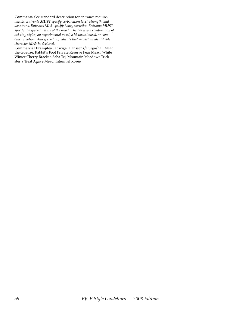**Comments:** See standard description for entrance requirements. *Entrants MUST specify carbonation level, strength, and sweetness. Entrants MAY specify honey varieties. Entrants MUST specify the special nature of the mead, whether it is a combination of existing styles, an experimental mead, a historical mead, or some other creation. Any special ingredients that impart an identifiable character MAY be declared.* 

**Commercial Examples:** Jadwiga, Hanssens/Lurgashall Mead the Gueuze, Rabbit's Foot Private Reserve Pear Mead, White Winter Cherry Bracket, Saba Tej, Mountain Meadows Trickster's Treat Agave Mead, Intermiel Rosée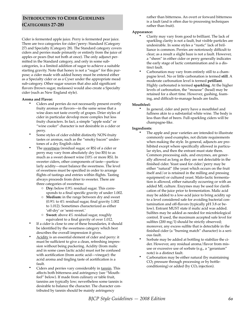# **INTRODUCTION TO CIDER GUIDELINES (CATEGORIES 27-28)**

Cider is fermented apple juice. Perry is fermented pear juice. There are two categories for cider/perry: Standard (Category 27) and Specialty (Category 28). The Standard category covers ciders and perries made primarily or entirely from the juice of apples or pears (but not both at once). The only adjunct permitted in the Standard category, and only in some subcategories, is a limited addition of sugar to achieve a suitable starting gravity. Note that honey is not a "sugar" for this purpose; a cider made with added honey must be entered either as a Specialty cider or as a Cyser under the appropriate mead sub-category. Other sugar sources that also add significant flavors (brown sugar, molasses) would also create a Specialty cider (such as New England style).

#### **Aroma and Flavor:**

- Ciders and perries do not necessarily present overtly fruity aromas or flavors—in the same sense that a wine does not taste overtly of grapes. Drier styles of cider in particular develop more complex but less fruity characters. In fact, a simple "apple soda" or "wine cooler" character is not desirable in a cider or perry.
- Some styles of cider exhibit distinctly NON-fruity tastes or aromas, such as the "smoky bacon" undertones of a dry English cider.
- The sweetness (residual sugar, or RS) of a cider or perry may vary from absolutely dry (no RS) to as much as a sweet dessert wine (10% or more RS). In sweeter ciders, other components of taste—particularly acidity—must balance the sweetness. The level of sweetness must be specified in order to arrange flights of tastings and entries within flights. Tasting always proceeds from drier to sweeter. There are three categories of sweetness:
	- o **Dry:** below 0.9% residual sugar. This corresponds to a final specific gravity of under 1.002.
	- o **Medium:** in the range between dry and sweet (0.9% to 4% residual sugar, final gravity 1.002 to 1.012). Sometimes characterized as either 'off-dry' or 'semi-sweet.'
	- o **Sweet:** above 4% residual sugar, roughly equivalent to a final gravity of over 1.012.
- If a cider is close to one of these boundaries, it should be identified by the sweetness category which best describes the overall impression it gives.
- Acidity is an essential element of cider and perry: it must be sufficient to give a clean, refreshing impression without being puckering. Acidity (from malic and in some cases lactic acids) must not be confused with acetification (from acetic acid—vinegar): the acrid aroma and tingling taste of acetification is a fault.
- Ciders and perries vary considerably in tannin. This affects both bitterness and astringency (see "Mouthfeel" below). If made from culinary or table fruit, tannins are typically low; nevertheless some tannin is desirable to balance the character. The character contributed by tannin should be mainly astringency

rather than bitterness. An overt or forward bitterness is a fault (and is often due to processing techniques rather than fruit).

#### **Appearance:**

- Clarity may vary from good to brilliant. The lack of sparkling clarity is not a fault, but visible particles are undesirable. In some styles a "rustic" lack of brilliance is common. Perries are notoriously difficult to clear; as a result a slight haze is not a fault. However, a "sheen" in either cider or perry generally indicates the early stage of lactic contamination and is a distinct fault.
- Carbonation may vary from entirely still to a champagne level. No or little carbonation is termed **still**. A moderate carbonation level is termed **petillant**. Highly carbonated is termed **sparkling**. At the higher levels of carbonation, the "mousse" (head) may be retained for a short time. However, gushing, foaming, and difficult-to-manage heads are faults.

#### **Mouthfeel:**

In general, cider and perry have a mouthfeel and fullness akin to a substantial white wine. The body is less than that of beers. Full-sparkling ciders will be champagne-like.

#### **Ingredients**:

- The apple and pear varieties are intended to illustrate commonly used examples, not dictate requirements when making the style. In general, adjuncts are prohibited except where specifically allowed in particular styles, and then the entrant must state them. Common processing aids, and enzymes, are generally allowed as long as they are not detectable in the finished cider. Yeast used for cider/perry may be either "natural" (the yeast which occurs on the fruit itself and/or is retained in the milling and pressing equipment) or cultured yeast. Malo-lactic fermentation is allowed, either naturally occurring or with an added ML culture. Enzymes may be used for clarification of the juice prior to fermentation. Malic acid may be added to a low-acid juice to bring acidity up to a level considered safe for avoiding bacterial contamination and off-flavors (typically pH 3.8 or below). Entrant MUST state if malic acid was added. Sulfites may be added as needed for microbiological control. If used, the maximum accepted safe level for sulfites (200 mg/l) should be strictly observed; moreover, any excess sulfite that is detectable in the finished cider (a "burning match" character) is a serious fault.
- Sorbate may be added at bottling to stabilize the cider. However, any residual aroma/flavor from misuse or excessive use of sorbate (e.g., a "geranium" note) is a distinct fault.
- Carbonation may be either natural (by maintaining CO2 pressure through processing or by bottleconditioning) or added (by  $CO<sub>2</sub>$  injection).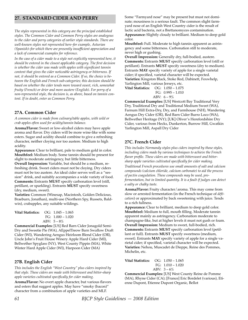# **27. STANDARD CIDER AND PERRY**

*The styles represented in this category are the principal established styles. The Common Cider and Common Perry styles are analogous to the cider and perry categories of earlier style standards. There are well-known styles not represented here–for example, Asturian (Spanish)–for which there are presently insufficient appreciation and a lack of commercial examples for reference.* 

In the case of a cider made to a style not explicitly represented here, it *should be entered in the closest applicable category. The first decision is whether the cider was made with apples with significant tannin content that gives the cider noticeable astringency or bitterness. If not, it should be entered as a Common Cider. If so, the choice is between the English and French sub-categories; this decision should be based on whether the cider tends more toward sweet, rich, somewhat fruity (French) or drier and more austere (English). For perry of a non-represented style, the decision is, as above, based on tannin content. If in doubt, enter as Common Perry.* 

# **27A. Common Cider**

*A common cider is made from culinary/table apples, with wild or crab apples often used for acidity/tannin balance.* 

**Aroma/Flavor:** Sweet or low-alcohol ciders may have apple aroma and flavor. Dry ciders will be more wine-like with some esters. Sugar and acidity should combine to give a refreshing character, neither cloying nor too austere. Medium to high acidity.

**Appearance:** Clear to brilliant, pale to medium gold in color. **Mouthfeel:** Medium body. Some tannin should be present for slight to moderate astringency, but little bitterness.

**Overall Impression:** Variable, but should be a medium, refreshing drink. Sweet ciders must not be cloying. Dry ciders must not be too austere. An ideal cider serves well as a "session" drink, and suitably accompanies a wide variety of food. **Comments:** Entrants **MUST** specify carbonation level (still, petillant, or sparkling). Entrants **MUST** specify sweetness (dry, medium, sweet).

**Varieties:** Common (Winesap, Macintosh, Golden Delicious, Braeburn, Jonathan), multi-use (Northern Spy, Russets, Baldwin), crabapples, any suitable wildings.

| Vital Statistics: $\qquad\qquad$ OG: $1.045-1.065$ |                     |
|----------------------------------------------------|---------------------|
|                                                    | $FG: 1.000 - 1.020$ |
|                                                    | $ABV: 5-8\%$        |

**Commercial Examples:** [US] Red Barn Cider Jonagold Semi-Dry and Sweetie Pie (WA), AEppelTreow Barn Swallow Draft Cider (WI), Wandering Aengus Heirloom Blend Cider (OR), Uncle John's Fruit House Winery Apple Hard Cider (MI), Bellwether Spyglass (NY), West County Pippin (MA), White Winter Hard Apple Cider (WI), Harpoon Cider (MA)

# **27B. English Cider**

*This includes the English "West Country" plus ciders inspired by that style. These ciders are made with bittersweet and bitter-sharp apple varieties cultivated specifically for cider making.* 

**Aroma/Flavor:** No overt apple character, but various flavors and esters that suggest apples. May have "smoky (bacon)" character from a combination of apple varieties and MLF.

Some "Farmyard nose" may be present but must not dominate; mousiness is a serious fault. The common slight farmyard nose of an English West Country cider is the result of lactic acid bacteria, not a Brettanomyces contamination. **Appearance:** Slightly cloudy to brilliant. Medium to deep gold color.

**Mouthfeel:** Full. Moderate to high tannin apparent as astringency and some bitterness. Carbonation still to moderate, never high or gushing.

**Overall Impression:** Generally dry, full-bodied, austere. **Comments:** Entrants **MUST** specify carbonation level (still or petillant). Entrants **MUST** specify sweetness (dry to medium). Entrants **MAY** specify variety of apple for a single varietal cider; if specified, varietal character will be expected. **Varieties:** Kingston Black, Stoke Red, Dabinett, Foxwhelp, Yarlington Mill, various Jerseys, etc.

| Vital Statistics:     OG:  1.050 – 1.075 |                     |
|------------------------------------------|---------------------|
|                                          | $FG: 0.995 - 1.010$ |
|                                          | $ABV: 6-9\%$        |

**Commercial Examples:** [US] Westcott Bay Traditional Very Dry, Traditional Dry and Traditional Medium Sweet (WA), Farnum Hill Extra-Dry, Dry, and Farmhouse (NH), Wandering Aengus Dry Cider (OR), Red Barn Cider Burro Loco (WA), Bellwether Heritage (NY); [UK] Oliver's Herefordshire Dry Cider, various from Hecks, Dunkerton, Burrow Hill, Gwatkin Yarlington Mill, Aspall Dry Cider

# **27C. French Cider**

*This includes Normandy styles plus ciders inspired by those styles, including ciders made by various techniques to achieve the French flavor profile. These ciders are made with bittersweet and bittersharp apple varieties cultivated specifically for cider making. Traditional French procedures use small amounts of salt and calcium compounds (calcium chloride, calcium carbonate) to aid the process of pectin coagulation. These compounds may be used, prefermentation, but in limited quantity. It is a fault if judges can detect a salty or chalky taste.* 

**Aroma/Flavor:** Fruity character/aroma. This may come from slow or arrested fermentation (in the French technique of *défécation*) or approximated by back sweetening with juice. Tends to a rich fullness.

**Appearance:** Clear to brilliant, medium to deep gold color. **Mouthfeel:** Medium to full, mouth filling. Moderate tannin apparent mainly as astringency. Carbonation moderate to champagne-like, but at higher levels it must not gush or foam. **Overall Impression:** Medium to sweet, full-bodied, rich. **Comments:** Entrants **MUST** specify carbonation level (petillant or full). Entrants **MUST** specify sweetness (medium, sweet). Entrants **MAY** specify variety of apple for a single varietal cider; if specified, varietal character will be expected. **Varieties:** Nehou, Muscadet de Dieppe, Reine des Pommes, Michelin, etc.

|  | Vital Statistics:     OG:  1.050 – 1.065                              |
|--|-----------------------------------------------------------------------|
|  | $FG: 1.010 - 1.020$                                                   |
|  | $ABV: 3-6%$                                                           |
|  | $\sim$ $\sim$ $\sim$ $\sim$ $\sim$ $\sim$<br>$\overline{\phantom{0}}$ |

**Commercial Examples:** [US] West County Reine de Pomme (MA), Rhyne Cider (CA); [France] Eric Bordelet (various), Etienne Dupont, Etienne Dupont Organic, Bellot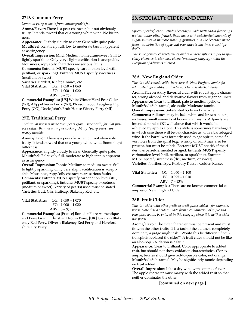# **27D. Common Perry**

*Common perry is made from culinary/table fruit.* 

**Aroma/Flavor:** There is a pear character, but not obviously fruity. It tends toward that of a young white wine. No bitterness.

**Appearance:** Slightly cloudy to clear. Generally quite pale. **Mouthfeel:** Relatively full, low to moderate tannin apparent as astringency.

**Overall Impression:** Mild. Medium to medium-sweet. Still to lightly sparkling. Only very slight acetification is acceptable. Mousiness, ropy/oily characters are serious faults.

**Comments:** Entrants **MUST** specify carbonation level (still, petillant, or sparkling). Entrants **MUST** specify sweetness (medium or sweet).

**Varieties:** Bartlett, Kiefer, Comice, etc.

**Vital Statistics:** OG: 1.050 – 1.060 FG: 1.000 – 1.020  ABV: 5 – 7%

**Commercial Examples:** [US] White Winter Hard Pear Cider (WI), AEppelTreow Perry (WI), Blossomwood Laughing Pig Perry (CO), Uncle John's Fruit House Winery Perry (MI)

# **27E. Traditional Perry**

*Traditional perry is made from pears grown specifically for that purpose rather than for eating or cooking. Many "perry pears" are nearly inedible.*

**Aroma/Flavor:** There is a pear character, but not obviously fruity. It tends toward that of a young white wine. Some slight bitterness.

**Appearance:** Slightly cloudy to clear. Generally quite pale. **Mouthfeel:** Relatively full, moderate to high tannin apparent as astringency.

**Overall Impression:** Tannic. Medium to medium-sweet. Still to lightly sparkling. Only very slight acetification is acceptable. Mousiness, ropy/oily characters are serious faults. **Comments:** Entrants **MUST** specify carbonation level (still, petillant, or sparkling). Entrants **MUST** specify sweetness (medium or sweet). Variety of pear(s) used must be stated. **Varieties:** Butt, Gin, Huffcap, Blakeney Red, etc.

**Vital Statistics:** OG: 1.050 – 1.070 FG: 1.000 – 1.020  ABV: 5 – 9%

**Commercial Examples:** [France] Bordelet Poire Authentique and Poire Granit, Christian Drouin Poire, [UK] Gwatkin Blakeney Red Perry, Oliver's Blakeney Red Perry and Herefordshire Dry Perry

# **28. SPECIALTY CIDER AND PERRY**

*Specialty cider/perry includes beverages made with added flavorings (spices and/or other fruits), those made with substantial amounts of sugar-sources to increase starting gravities, and the beverage made from a combination of apple and pear juice (sometimes called "pider").* 

*The same general characteristics and fault descriptions apply to specialty ciders as to standard ciders (preceding category), with the exception of adjuncts allowed.* 

# **28A. New England Cider**

*This is a cider made with characteristic New England apples for relatively high acidity, with adjuncts to raise alcohol levels.* 

**Aroma/Flavor:** A dry flavorful cider with robust apple character, strong alcohol, and derivative flavors from sugar adjuncts. **Appearance:** Clear to brilliant, pale to medium yellow. **Mouthfeel:** Substantial, alcoholic. Moderate tannin. **Overall impression:** Substantial body and character . **Comments:** Adjuncts may include white and brown sugars, molasses, small amounts of honey, and raisins. Adjuncts are intended to raise OG well above that which would be achieved by apples alone. This style is sometimes barrel-aged, in which case there will be oak character as with a barrel-aged wine. If the barrel was formerly used to age spirits, some flavor notes from the spirit (e.g., whisky or rum) may also be present, but must be subtle. Entrants **MUST** specify if the cider was barrel-fermented or aged. Entrants **MUST** specify carbonation level (still, petillant, or sparkling). Entrants **MUST** specify sweetness (dry, medium, or sweet). **Varieties:** Northern Spy, Roxbury Russet, Golden Russet

**Vital Statistics:** OG: 1.060 – 1.100 FG: 0.995 – 1.010  ABV: 7 – 13%

**Commercial Examples:** There are no known commercial examples of New England Cider.

### **28B. Fruit Cider**

*This is a cider with other fruits or fruit-juices added - for example, berry. Note that a "cider" made from a combination of apple and pear juice would be entered in this category since it is neither cider nor perry.* 

**Aroma/Flavor:** The cider character must be present and must fit with the other fruits. It is a fault if the adjuncts completely dominate; a judge might ask, "Would this be different if neutral spirits replaced the cider?" A fruit cider should not be like an alco-pop. Oxidation is a fault.

**Appearance:** Clear to brilliant. Color appropriate to added fruit, but should not show oxidation characteristics. (For example, berries should give red-to-purple color, not orange.) **Mouthfeel:** Substantial. May be significantly tannic depending on fruit added.

**Overall Impression:** Like a dry wine with complex flavors. The apple character must marry with the added fruit so that neither dominates the other.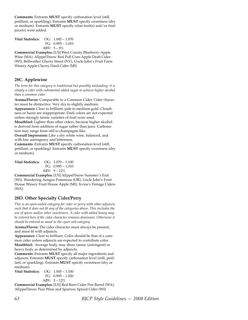**Comments:** Entrants **MUST** specify carbonation level (still, petillant, or sparkling). Entrants **MUST** specify sweetness (dry or medium). Entrants **MUST** specify what fruit(s) and/or fruit juice(s) were added.

**Vital Statistics:** OG: 1.045 – 1.070 FG: 0.995 – 1.010  ABV: 5 – 9%

**Commercial Examples:** [US] West County Blueberry-Apple Wine (MA), AEppelTreow Red Poll Cran-Apple Draft Cider (WI), Bellwether Cherry Street (NY), Uncle John's Fruit Farm Winery Apple Cherry Hard Cider (MI)

# **28C. Applewine**

*The term for this category is traditional but possibly misleading: it is simply a cider with substantial added sugar to achieve higher alcohol than a common cider.* 

**Aroma/Flavor:** Comparable to a Common Cider. Cider character must be distinctive. Very dry to slightly medium.

**Appearance:** Clear to brilliant, pale to medium-gold. Cloudiness or hazes are inappropriate. Dark colors are not expected unless strongly tannic varieties of fruit were used.

**Mouthfeel:** Lighter than other ciders, because higher alcohol is derived from addition of sugar rather than juice. Carbonation may range from still to champagne-like.

**Overall Impression:** Like a dry white wine, balanced, and with low astringency and bitterness.

**Comments:** Entrants **MUST** specify carbonation level (still, petillant, or sparkling). Entrants **MUST** specify sweetness (dry or medium).

**Vital Statistics:** OG: 1.070 – 1.100 FG: 0.995 – 1.010  ABV: 9 – 12%

**Commercial Examples:** [US] AEppelTreow Summer's End (WI), Wandering Aengus Pommeau (OR), Uncle John's Fruit House Winery Fruit House Apple (MI), Irvine's Vintage Ciders (WA)

# **28D. Other Specialty Cider/Perry**

*This is an open-ended category for cider or perry with other adjuncts such that it does not fit any of the categories above. This includes the use of spices and/or other sweeteners. A cider with added honey may be entered here if the cider character remains dominant. Otherwise it should be entered as mead in the cyser sub-category.* 

**Aroma/Flavor:** The cider character must always be present, and must fit with adjuncts.

**Appearance:** Clear to brilliant. Color should be that of a common cider unless adjuncts are expected to contribute color. **Mouthfeel:** Average body, may show tannic (astringent) or heavy body as determined by adjuncts.

**Comments:** Entrants **MUST** specify all major ingredients and adjuncts. Entrants **MUST** specify carbonation level (still, petillant, or sparkling). Entrants **MUST** specify sweetness (dry or medium).

```
Vital Statistics: OG: 1.045 – 1.100

FG: 0.995 – 1.020

ABV: 5 – 12%
```
**Commercial Examples:** [US] Red Barn Cider Fire Barrel (WA), AEppelTreow Pear Wine and Sparrow Spiced Cider (WI)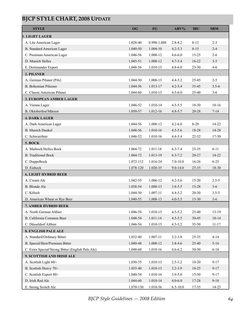# **BJCP STYLE CHART, 2008 UPDATE**

| <b>STYLE</b>                                      | <b>OG</b> | FG           | $ABV\%$      | <b>IBU</b> | <b>SRM</b> |
|---------------------------------------------------|-----------|--------------|--------------|------------|------------|
| 1. LIGHT LAGER                                    |           |              |              |            |            |
| A. Lite American Lager                            | 1.028-40  | 0.998-1.008  | $2.8 - 4.2$  | $8 - 12$   | $2 - 3$    |
| <b>B.</b> Standard American Lager                 | 1.040-50  | $1.004 - 10$ | $4.2 - 5.3$  | $8 - 15$   | $2 - 4$    |
| C. Premium American Lager                         | 1.046-56  | 1.008-12     | $4.6 - 6.0$  | $15 - 25$  | $2 - 6$    |
| D. Munich Helles                                  | 1.045-51  | 1.008-12     | $4.7 - 5.4$  | $16 - 22$  | $3 - 5$    |
| E. Dortmunder Export                              | 1.048-56  | 1.010-15     | $4.8 - 6.0$  | 23-30      | $4 - 6$    |
| 2. PILSNER                                        |           |              |              |            |            |
| A. German Pilsner (Pils)                          | 1.044-50  | 1.008-13     | $4.4 - 5.2$  | 25-45      | $2 - 5$    |
| B. Bohemian Pilsener                              | 1.044-56  | 1.013-17     | $4.2 - 5.4$  | 35-45      | $3.5 - 6$  |
| C. Classic American Pilsner                       | 1.044-60  | 1.010-15     | $4.5 - 6.0$  | 25-40      | $3-6$      |
| <b>3. EUROPEAN AMBER LAGER</b>                    |           |              |              |            |            |
| A. Vienna Lager                                   | 1.046-52  | 1.010-14     | $4.5 - 5.5$  | 18-30      | $10-16$    |
| B. Oktoberfest/Märzen                             | 1.050-57  | 1.012-16     | $4.8 - 5.7$  | 20-28      | $7 - 14$   |
| <b>4. DARK LAGER</b>                              |           |              |              |            |            |
| A. Dark American Lager                            | 1.044-56  | 1.008-12     | $4.2 - 6.0$  | $8 - 20$   | 14-22      |
| <b>B.</b> Munich Dunkel                           | 1.048-56  | 1.010-16     | $4.5 - 5.6$  | 18-28      | 14-28      |
| C. Schwarzbier                                    | 1.046-52  | 1.010-16     | $4.4 - 5.4$  | 22-32      | 17-30      |
| <b>5. BOCK</b>                                    |           |              |              |            |            |
| A. Maibock/Helles Bock                            | 1.064-72  | 1.011-18     | $6.3 - 7.4$  | $23 - 35$  | $6 - 11$   |
| <b>B.</b> Traditional Bock                        | 1.064-72  | 1.013-19     | $6.3 - 7.2$  | $20 - 27$  | 14-22      |
| C. Doppelbock                                     | 1.072-112 | 1.016-24     | $7.0 - 10.0$ | $16 - 26$  | $6 - 25$   |
| D. Eisbock                                        | 1.078-120 | 1.020-35     | $9.0 - 14.0$ | 25-35      | 18-30      |
| <b>6. LIGHT HYBRID BEER</b>                       |           |              |              |            |            |
| A. Cream Ale                                      | 1.042-55  | 1.006-12     | $4.2 - 5.6$  | $15 - 20$  | $2.5 - 5$  |
| <b>B.</b> Blonde Ale                              | 1.038-54  | 1.008-13     | $3.8 - 5.5$  | 15-28      | $3-6$      |
| C. Kölsch                                         | 1.044-50  | 1.007-11     | $4.4 - 5.2$  | $20 - 30$  | $3.5 - 5$  |
| D. American Wheat or Rye Beer                     | 1.040-55  | 1.008-13     | $4.0 - 5.5$  | $15 - 30$  | $3-6$      |
| 7. AMBER HYBRID BEER                              |           |              |              |            |            |
| A. North German Altbier                           | 1.046-54  | 1.010-15     | $4.5 - 5.2$  | 25-40      | 13-19      |
| B. California Common Beer                         | 1.048-54  | 1.011-14     | $4.5 - 5.5$  | 30-45      | $10 - 14$  |
| C. Düsseldorf Altbier                             | 1.046-54  | 1.010-15     | $4.5 - 5.2$  | 35-50      | $11 - 17$  |
| 8. ENGLISH PALE ALE                               |           |              |              |            |            |
| A. Standard/Ordinary Bitter                       | 1.032-40  | 1.007-11     | $3.2 - 3.8$  | 25-35      | $4 - 14$   |
| B. Special/Best/Premium Bitter                    | 1.040-48  | 1.008-12     | $3.8 - 4.6$  | 25-40      | $5 - 16$   |
| C. Extra Special/Strong Bitter (English Pale Ale) | 1.048-60  | 1.010-16     | $4.6 - 6.2$  | $30 - 50$  | $6 - 18$   |
| 9. SCOTTISH AND IRISH ALE                         |           |              |              |            |            |
| A. Scottish Light 60/-                            | 1.030-35  | 1.010-13     | $2.5 - 3.2$  | $10 - 20$  | $9 - 17$   |
| B. Scottish Heavy 70/-                            | 1.035-40  | 1.010-15     | $3.2 - 3.9$  | $10 - 25$  | $9 - 17$   |
| C. Scottish Export 80/-                           | 1.040-54  | 1.010-16     | $3.9 - 5.0$  | 15-30      | $9 - 17$   |
| D. Irish Red Ale                                  | 1.044-60  | 1.010-14     | $4.0 - 6.0$  | 17-28      | $9 - 18$   |
| E. Strong Scotch Ale                              | 1.070-130 | 1.018-56     | $6.5 - 10.0$ | $17 - 35$  | $14 - 25$  |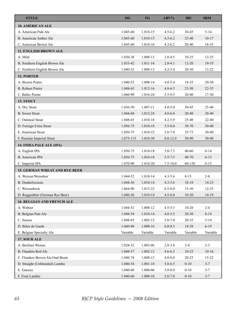| <b>STYLE</b>                         | OG        | FG           | $ABV\%$      | <b>IBU</b> | <b>SRM</b> |
|--------------------------------------|-----------|--------------|--------------|------------|------------|
| <b>10. AMERICAN ALE</b>              |           |              |              |            |            |
| A. American Pale Ale                 | 1.045-60  | 1.010-15     | $4.5 - 6.2$  | 30-45      | $5 - 14$   |
| B. American Amber Ale                | 1.045-60  | 1.010-15     | $4.5 - 6.2$  | 25-40      | $10 - 17$  |
| C. American Brown Ale                | 1.045-60  | 1.010-16     | $4.3 - 6.2$  | 20-40      | 18-35      |
| <b>11. ENGLISH BROWN ALE</b>         |           |              |              |            |            |
| A. Mild                              | 1.030-38  | 1.008-13     | $2.8 - 4.5$  | $10 - 25$  | $12 - 25$  |
| B. Southern English Brown Ale        | 1.033-42  | 1.011-14     | $2.8 - 4.1$  | $12 - 20$  | 19-35      |
| C. Northern English Brown Ale        | 1.040-52  | 1.008-13     | $4.2 - 5.4$  | 20-30      | 12-22      |
| 12. PORTER                           |           |              |              |            |            |
| A. Brown Porter                      | 1.040-52  | 1.008-14     | $4.0 - 5.4$  | 18-35      | $20 - 30$  |
| <b>B.</b> Robust Porter              | 1.048-65  | 1.012-16     | $4.8 - 6.5$  | 25-50      | $22 - 35$  |
| C. Baltic Porter                     | 1.060-90  | 1.016-24     | $5.5 - 9.5$  | 20-40      | 17-30      |
| <b>13. STOUT</b>                     |           |              |              |            |            |
| A. Dry Stout                         | 1.036-50  | 1.007-11     | $4.0 - 5.0$  | 30-45      | 25-40      |
| <b>B.</b> Sweet Stout                | 1.044-60  | 1.012-24     | $4.0 - 6.0$  | 20-40      | $30 - 40$  |
| C. Oatmeal Stout                     | 1.048-65  | 1.010-18     | $4.2 - 5.9$  | 25-40      | 22-40      |
| D. Foreign Extra Stout               | 1.056-75  | 1.010-18     | $5.5 - 8.0$  | 30-70      | 30-40      |
| E. American Stout                    | 1.050-75  | 1.010-22     | $5.0 - 7.0$  | 35-75      | $30 - 40$  |
| F. Russian Imperial Stout            | 1.075-115 | 1.018-30     | $8.0 - 12.0$ | 50-90      | 30-40      |
| 14. INDIA PALE ALE (IPA)             |           |              |              |            |            |
| A. English IPA                       | 1.050-75  | 1.010-18     | $5.0 - 7.5$  | 40-60      | $8 - 14$   |
| <b>B.</b> American IPA               | 1.056-75  | 1.010-18     | $5.5 - 7.5$  | 40-70      | $6 - 15$   |
| C. Imperial IPA                      | 1.070-90  | 1.010-20     | $7.5 - 10.0$ | 60-120     | $8 - 15$   |
| <b>15. GERMAN WHEAT AND RYE BEER</b> |           |              |              |            |            |
| A. Weizen/Weissbier                  | 1.044-52  | 1.010-14     | $4.3 - 5.6$  | $8 - 15$   | $2 - 8$    |
| B. Dunkelweizen                      | 1.044-56  | 1.010-14     | $4.3 - 5.6$  | $10 - 18$  | $14 - 23$  |
| C. Weizenbock                        | 1.064-90  | 1.015-22     | $6.5 - 8.0$  | $15 - 30$  | $12 - 25$  |
| D. Roggenbier (German Rye Beer)      | 1.046-56  | 1.010-14     | $4.5 - 6.0$  | $10 - 20$  | 14-19      |
| <b>16. BELGIAN AND FRENCH ALE</b>    |           |              |              |            |            |
| A. Witbier                           | 1.044-52  | 1.008-12     | $4.5 - 5.5$  | $10 - 20$  | $2 - 4$    |
| B. Belgian Pale Ale                  | 1.048-54  | 1.010-14     | $4.8 - 5.5$  | $20 - 30$  | $8 - 14$   |
| C. Saison                            | 1.048-65  | 1.002-12     | $5.0 - 7.0$  | 20-35      | $5 - 14$   |
| D. Bière de Garde                    | 1.060-80  | 1.008-16     | $6.0 - 8.5$  | 18-28      | $6 - 19$   |
| E. Belgian Specialty Ale             | Variable  | Variable     | Variable     | Variable   | Variable   |
| 17. SOUR ALE                         |           |              |              |            |            |
| A. Berliner Weisse                   | 1.028-32  | 1.003-06     | $2.8 - 3.8$  | $3 - 8$    | $2 - 3$    |
| B. Flanders Red Ale                  | 1.048-57  | 1.002-12     | $4.6 - 6.5$  | $10 - 25$  | $10 - 16$  |
| C. Flanders Brown Ale/Oud Bruin      | 1.040-74  | 1.008-12     | $4.0 - 8.0$  | $20 - 25$  | 15-22      |
| D. Straight (Unblended) Lambic       | 1.040-54  | $1.001 - 10$ | $5.0 - 6.5$  | $0 - 10$   | $3 - 7$    |
| E. Gueuze                            | 1.040-60  | 1.000-06     | $5.0 - 8.0$  | $0 - 10$   | $3 - 7$    |
| F. Fruit Lambic                      | 1.040-60  | $1.000 - 10$ | $5.0 - 7.0$  | $0 - 10$   | $3 - 7$    |